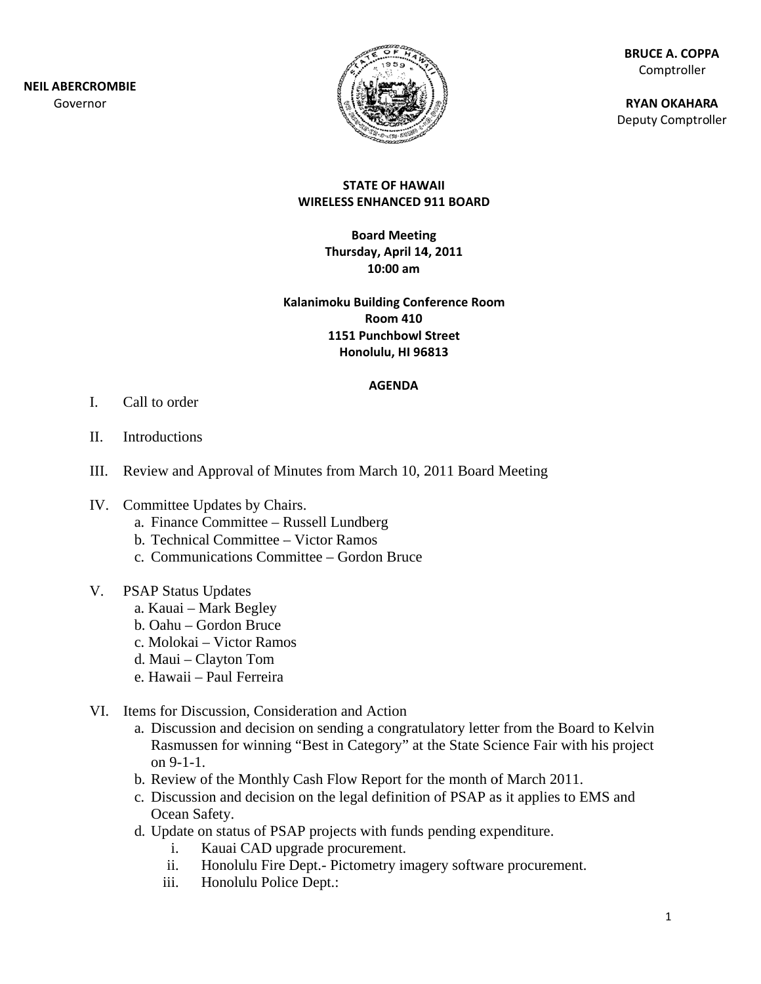

**BR RUCE A. COPP PA** Comptroller

**RY YAN OKAHAR A** Deputy Comptroller

#### **ST TATE OF HAW WAII WIRELESS ENHANCED 9 911 BOARD**

**B Board Meetin ng Thurs sday, April 14 4, 2011 10:00 am**

**Kalanimoku B Building Conf ference Room m1151 Punchbowl S Street Ho nolulu, HI 96 6813 Room 410**

#### **AGENDA**

- I. Call to order
- II. Introductions
- III. Review and Approval of Minutes from March 10, 2011 Board Meeting
- IV. Committee Updates by Chairs.
	- a. Finance Committee Russell Lundberg
	- b. Technical Committee Victor Ramos
	- c. Communications Committee Gordon Bruce
- V. PSAP Status Updates
	- a. Kauai Mark Begley
	- b. Oahu Gordon Bruce
	- c. Molokai Victor Ramos
	- d. Maui Clayton Tom
	- e. . Hawaii P Paul Ferreira
- VI. Items for Discussion, Consideration and Action
	- a. Discussion and decision on sending a congratulatory letter from the Board to Kelvin Rasmussen for winning "Best in Category" at the State Science Fair with his project on 9-1-1.
	- b. Review of the Monthly Cash Flow Report for the month of March 2011.
	- c. Discussion and decision on the legal definition of PSAP as it applies to EMS and Ocean Safety.
	- d . Update on status of PS SAP projects s with funds pending exp penditure.
		- i. Kauai CAD upgrade procurement.
		- ii. Honolulu Fire Dept.- Pictometry imagery software procurement.
		- iii. Honolulu Police Dept.: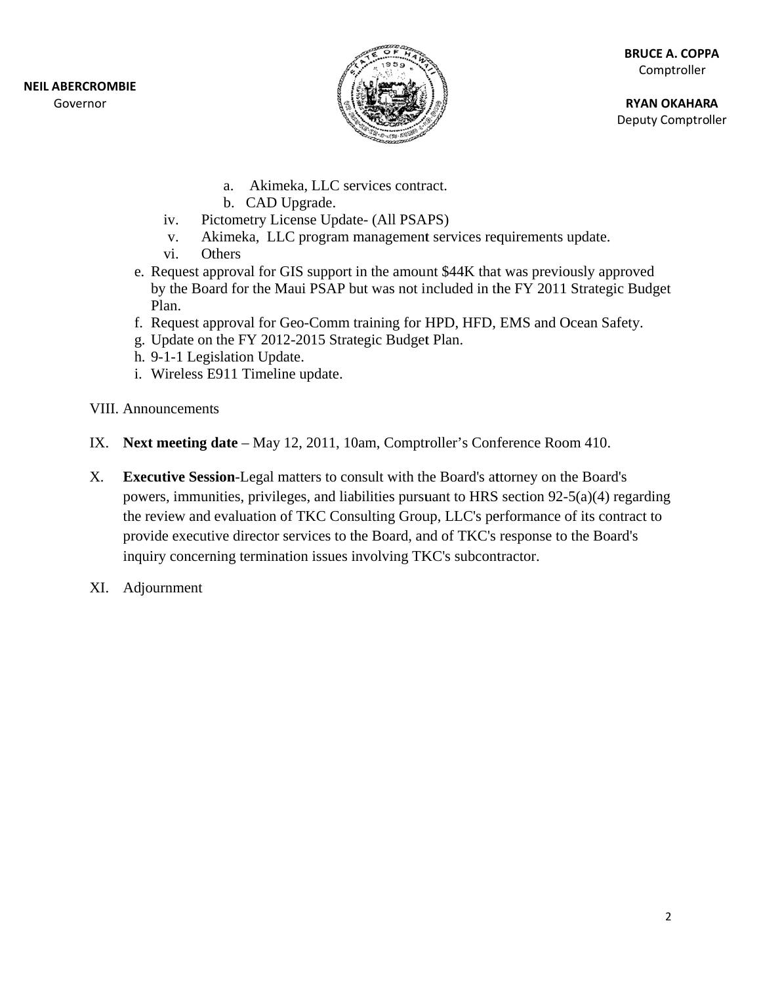**NEIL ABE RCROMBIE** Gov ernor



**RY YAN OKAHAR A** Deputy Comptroller

- a. Akimeka, LLC services contract.
- b. CAD Upgrade.
- $iv.$ ictometry License Update- (All PSAPS)
- v. Akimeka, LLC program management services requirements update.
- vi. Others
- e. Request approval for GIS support in the amount \$44K that was previously approved by the Board for the Maui PSAP but was not included in the FY 2011 Strategic Budget Plan.
- f. Request approval for Geo-Comm training for HPD, HFD, EMS and Ocean Safety.
- g. Update on the FY 2012-2015 Strategic Budget Plan.
- h. 9-1-1 Legislation Update.
- i. Wireless E911 Timeline update.
- VIII. Announcements
- IX. Next meeting date May 12, 2011, 10am, Comptroller's Conference Room 410.
- X. Executive Session-Legal matters to consult with the Board's attorney on the Board's powers, immunities, privileges, and liabilities pursuant to HRS section 92-5(a)(4) regarding the review and evaluation of TKC Consulting Group, LLC's performance of its contract to provide executive director services to the Board, and of TKC's response to the Board's inquiry concerning termination issues involving TKC's subcontractor.
- XI. Adj journment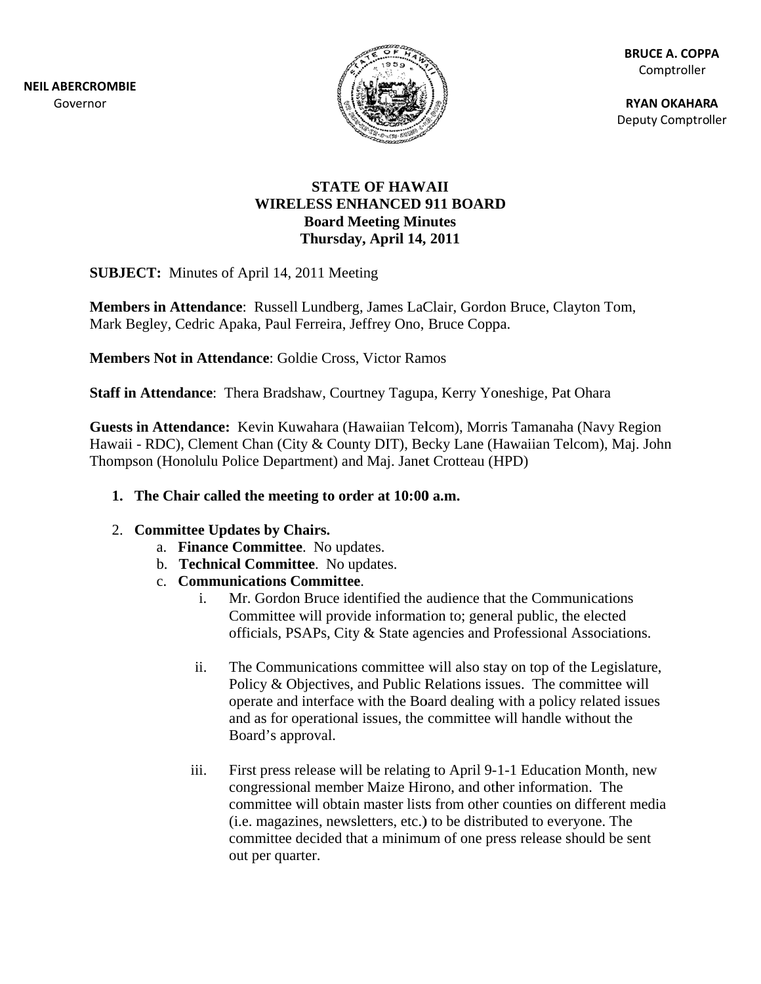**NEIL ABE RCROMBIE** Gov ernor



**BR RUCE A. COPP PA** Comptroller

**RY YAN OKAHAR A** Deputy Comptroller

### **WIR RELESS EN NHANCED 9 911 BOARD DSTATE OF HAWAII Board Meeting Minutes Thursday y, April 14, 2011**

**SUBJECT:** Minutes of April 14, 2011 Meeting

Members in Attendance: Russell Lundberg, James LaClair, Gordon Bruce, Clayton Tom, Mark Begley, Cedric Apaka, Paul Ferreira, Jeffrey Ono, Bruce Coppa.

Members Not in Attendance: Goldie Cross, Victor Ramos

Staff in Attendance: Thera Bradshaw, Courtney Tagupa, Kerry Yoneshige, Pat Ohara

Guests in Attendance: Kevin Kuwahara (Hawaiian Telcom), Morris Tamanaha (Navy Region Hawaii - RDC), Clement Chan (City & County DIT), Becky Lane (Hawaiian Telcom), Maj. John Thompson (Honolulu Police Department) and Maj. Janet Crotteau (HPD)

### **1.** The Chair called the meeting to order at 10:00 a.m.

### 2. **C Committee U Updates by C Chairs.**

- a. Finance Committee. No updates.
- b. **Technical Committee**. No updates.
- c. **Comm munications s Committee e**.
	- i. Mr. Gordon Bruce identified the audience that the Communications Committee will provide information to; general public, the elected officials, PSAPs, City & State agencies and Professional Associations.
	- ii. The Communications committee will also stay on top of the Legislature, Policy & Objectives, and Public Relations issues. The committee will operate and interface with the Board dealing with a policy related issues and as for operational issues, the committee will handle without the Board's a approval.
	- iii. First press release will be relating to April 9-1-1 Education Month, new congressional member Maize Hirono, and other information. The committee will obtain master lists from other counties on different media (i.e. magazines, newsletters, etc.) to be distributed to everyone. The committee decided that a minimum of one press release should be sent out per quarter.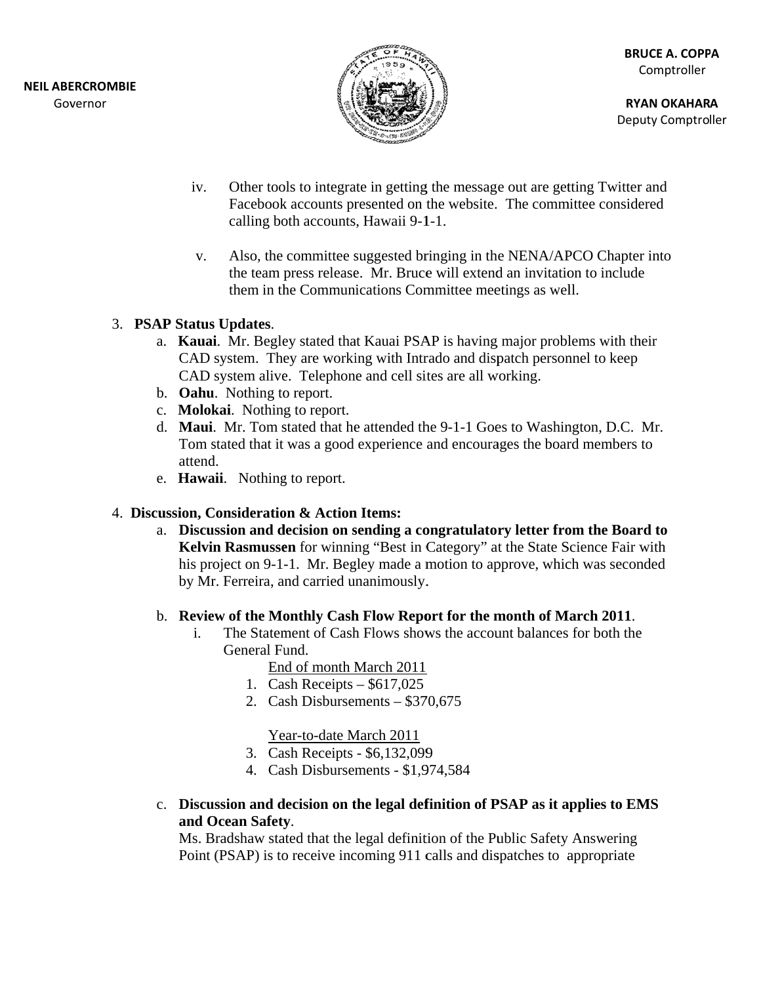

**RY YAN OKAHAR A** Deputy Comptroller

- iv. Other tools to integrate in getting the message out are getting Twitter and Facebook accounts presented on the website. The committee considered calling both accounts, Hawaii 9-1-1.
- v. the team press release. Mr. Bruce will extend an invitation to include<br>them in the Communications Committee meetings as well.<br>**AP Status Updates**.<br>**a. Kauai**. Mr. Begley stated that Kauai PSAP is having major problems with Also, the committee suggested bringing in the NENA/APCO Chapter into the team press release. Mr. Bruce will extend an invitation to include them in the Communications Committee meetings as well.

### 3. **PSAP Status Updates.**

- CAD system. They are working with Intrado and dispatch personnel to keep CAD system alive. Telephone and cell sites are all working.
- b. Oahu. Nothing to report.
- c. **Molokai**. Nothing to report.
- d. Maui. Mr. Tom stated that he attended the 9-1-1 Goes to Washington, D.C. Mr. Tom stated that it was a good experience and encourages the board members to attend d.
- e. **Hawaii**. Nothing to report.

# 4. Discussion, Consideration & Action Items:

a. Discussion and decision on sending a congratulatory letter from the Board to Kelvin Rasmussen for winning "Best in Category" at the State Science Fair with his project on 9-1-1. Mr. Begley made a motion to approve, which was seconded by Mr. Ferreira, and carried unanimously.

# **b.** Review of the Monthly Cash Flow Report for the month of March 2011.

- i. The Statement of Cash Flows shows the account balances for both the General Fund.
	- End of month March 2011
	- 1. Ca ash Receipts \$617,025
	- 2. Cash Disbursements \$370,675

Year-to-date March 2011

- 3. Ca ash Receipts \$6,132,099
- 3. Cash Receipts \$6,132,099<br>4. Cash Disbursements \$1,974,584
- c. Discussion and decision on the legal definition of PSAP as it applies to EMS and Ocean Safety.

Ms. Bradshaw stated that the legal definition of the Public Safety Answering Point (PSAP) is to receive incoming 911 calls and dispatches to appropriate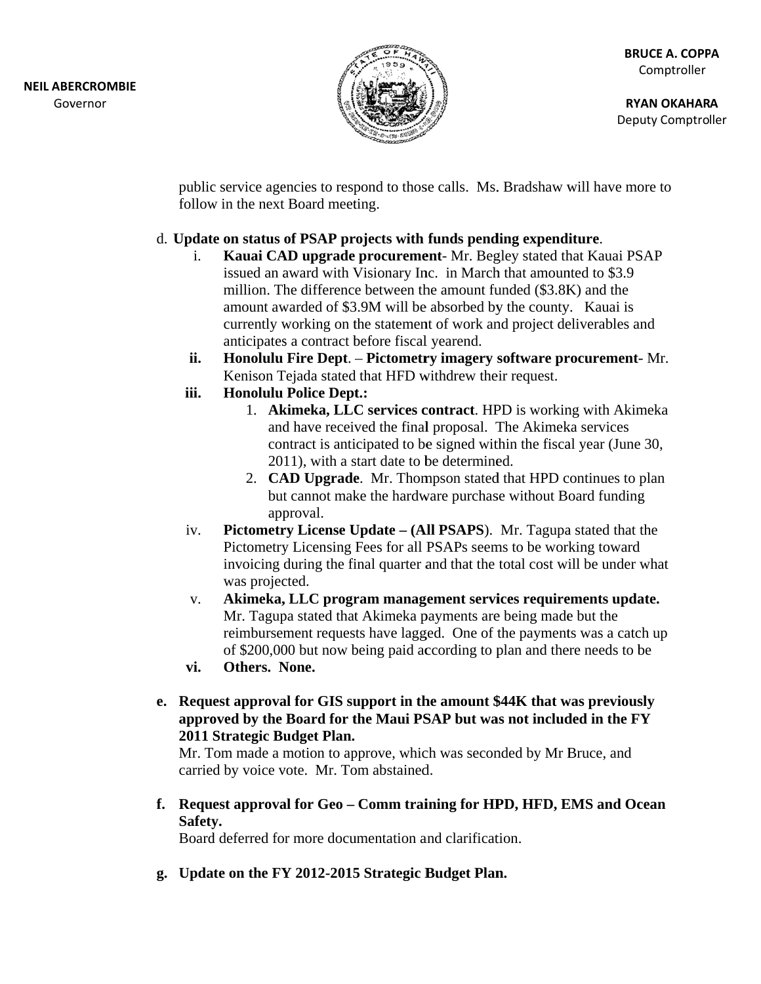

**RY YAN OKAHAR A** Deputy Comptroller

public service agencies to respond to those calls. Ms. Bradshaw will have more to follow in the next Board meeting.

### d. Update on status of PSAP projects with funds pending expenditure.

- i. Kauai CAD upgrade procurement- Mr. Begley stated that Kauai PSAP issued an award with Visionary Inc. in March that amounted to \$3.9 million. The difference between the amount funded (\$3.8K) and the amount awarded of \$3.9M will be absorbed by the county. Kauai is currently working on the statement of work and project deliverables and anticipates s a contract b before fiscal l yearend.
- **ii. Honolulu Fire Dept. - Pictometry imagery software procurement- Mr.** Kenison Tejada stated that HFD withdrew their request.
- **iii. Honolulu Police Dept t.:** 
	- 1. Akimeka, LLC services contract. HPD is working with Akimeka and have received the final proposal. The Akimeka services contract is anticipated to be signed within the fiscal year (June 30, 2011), with a start date to be determined.
	- 2. **CAD Upgrade**. Mr. Thompson stated that HPD continues to plan but cannot make the hardware purchase without Board funding app proval. but cannot make the hardware purchase without Board funding<br>
	approval.<br> **Pictometry License Update – (All PSAPS**). Mr. Tagupa stated that the
- iv. Pictometry Licensing Fees for all PSAPs seems to be working toward Pictometry Licensing Fees for all PSAPs seems to be working toward<br>invoicing during the final quarter and that the total cost will be under what was projected.
- v. Akimeka, LLC program management services requirements update. Mr. Tagupa stated that Akimeka payments are being made but the reimbursement requests have lagged. One of the payments was a catch up of \$200,000 but now being paid according to plan and there needs to be
- **vi. Others. N None.**
- **e.** Request approval for GIS support in the amount \$44K that was previously approved by the Board for the Maui PSAP but was not included in the FY 2011 Strategic Budget Plan.

Mr. Tom made a motion to approve, which was seconded by Mr Bruce, and carried by voice vote. Mr. Tom abstained.

**f.** Request approval for Geo – Comm training for HPD, HFD, EMS and Ocean Safety.

Board deferred for more documentation and clarification.

g. Update on the FY 2012-2015 Strategic Budget Plan.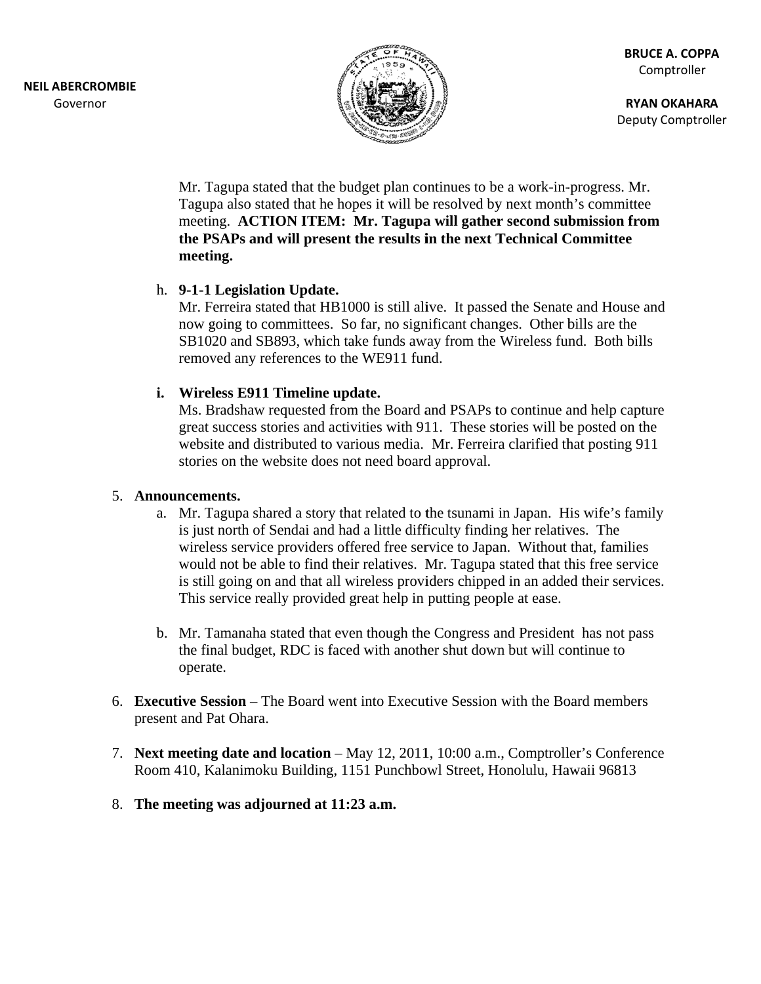

**RY YAN OKAHAR A** Deputy Comptroller

Mr. Tagupa stated that the budget plan continues to be a work-in-progress. Mr. Tagupa also stated that he hopes it will be resolved by next month's committee meeting. ACTION ITEM: Mr. Tagupa will gather second submission from **the PS SAPs and w will present t the results i in the next T Technical C Committee**  meeting.

### h. 9-1-1 Legislation Update.

Mr. Ferreira stated that HB1000 is still alive. It passed the Senate and House and now going to committees. So far, no significant changes. Other bills are the SB1020 and SB893, which take funds away from the Wireless fund. Both bills removed any references to the WE911 fund.

### **i.** Wireless E911 Timeline update.

Ms. Bradshaw requested from the Board and PSAPs to continue and help capture great success stories and activities with 911. These stories will be posted on the website and distributed to various media. Mr. Ferreira clarified that posting 911 stories on the website does not need board approval.

### 5. **Announcements.**

- a. Mr. Tagupa shared a story that related to the tsunami in Japan. His wife's family is just north of Sendai and had a little difficulty finding her relatives. The wireless service providers offered free service to Japan. Without that, families would not be able to find their relatives. Mr. Tagupa stated that this free service is still going on and that all wireless providers chipped in an added their services. This service really provided great help in putting people at ease.
- b. Mr. Tamanaha stated that even though the Congress and President has not pass the final budget, RDC is faced with another shut down but will continue to operate.
- 6. **Executive Session** The Board went into Executive Session with the Board members present and Pat Ohara.
- 7. Next meeting date and location May 12, 2011, 10:00 a.m., Comptroller's Conference Room 410, Kalanimoku Building, 1151 Punchbowl Street, Honolulu, Hawaii 96813
- 8. The meeting was adjourned at 11:23 a.m.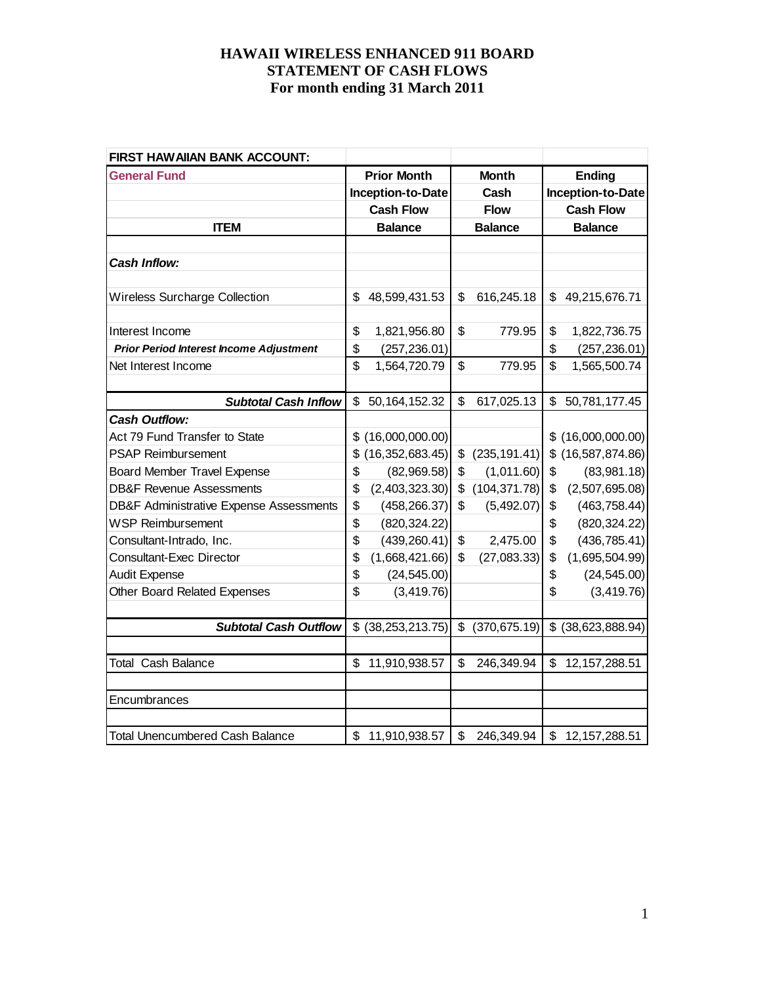| FIRST HAW AIIAN BANK ACCOUNT:                      |    |                     |                |               |                |                     |
|----------------------------------------------------|----|---------------------|----------------|---------------|----------------|---------------------|
| <b>General Fund</b>                                |    | <b>Prior Month</b>  | <b>Month</b>   |               |                | <b>Ending</b>       |
|                                                    |    | Inception-to-Date   |                | Cash          |                | Inception-to-Date   |
|                                                    |    | <b>Cash Flow</b>    |                | <b>Flow</b>   |                | <b>Cash Flow</b>    |
| <b>ITEM</b>                                        |    | <b>Balance</b>      | <b>Balance</b> |               | <b>Balance</b> |                     |
|                                                    |    |                     |                |               |                |                     |
| <b>Cash Inflow:</b>                                |    |                     |                |               |                |                     |
|                                                    |    |                     |                |               |                |                     |
| Wireless Surcharge Collection                      | \$ | 48,599,431.53       | \$             | 616,245.18    | \$             | 49,215,676.71       |
|                                                    |    |                     |                |               |                |                     |
| Interest Income                                    | \$ | 1,821,956.80        | \$             | 779.95        | \$             | 1,822,736.75        |
| <b>Prior Period Interest Income Adjustment</b>     | \$ | (257, 236.01)       |                |               | \$             | (257, 236.01)       |
| Net Interest Income                                | \$ | 1,564,720.79        | \$             | 779.95        | \$             | 1,565,500.74        |
|                                                    |    |                     |                |               |                |                     |
| <b>Subtotal Cash Inflow</b>                        | \$ | 50, 164, 152. 32    | \$             | 617,025.13    | \$             | 50,781,177.45       |
| <b>Cash Outflow:</b>                               |    |                     |                |               |                |                     |
| Act 79 Fund Transfer to State                      | \$ | (16,000,000.00)     |                |               |                | \$(16,000,000.00)   |
| <b>PSAP Reimbursement</b>                          | \$ | (16, 352, 683.45)   | \$             | (235, 191.41) | \$             | (16, 587, 874.86)   |
| <b>Board Member Travel Expense</b>                 | \$ | (82,969.58)         | \$             | (1,011.60)    | \$             | (83,981.18)         |
| <b>DB&amp;F Revenue Assessments</b>                | \$ | (2,403,323.30)      | \$             | (104, 371.78) | \$             | (2,507,695.08)      |
| <b>DB&amp;F Administrative Expense Assessments</b> | \$ | (458, 266.37)       | \$             | (5,492.07)    | \$             | (463, 758.44)       |
| <b>WSP Reimbursement</b>                           | \$ | (820, 324.22)       |                |               | \$             | (820, 324.22)       |
| Consultant-Intrado, Inc.                           | \$ | (439, 260.41)       | \$             | 2,475.00      | \$             | (436, 785.41)       |
| <b>Consultant-Exec Director</b>                    | \$ | (1,668,421.66)      | \$             | (27,083.33)   | \$             | (1,695,504.99)      |
| <b>Audit Expense</b>                               | \$ | (24, 545.00)        |                |               | \$             | (24, 545.00)        |
| <b>Other Board Related Expenses</b>                | \$ | (3, 419.76)         |                |               | \$             | (3,419.76)          |
|                                                    |    |                     |                |               |                |                     |
| <b>Subtotal Cash Outflow</b>                       |    | $$$ (38,253,213.75) | \$             | (370, 675.19) |                | $$$ (38,623,888.94) |
|                                                    |    |                     |                |               |                |                     |
| <b>Total Cash Balance</b>                          | \$ | 11,910,938.57       | \$             | 246,349.94    | \$             | 12, 157, 288.51     |
|                                                    |    |                     |                |               |                |                     |
| Encumbrances                                       |    |                     |                |               |                |                     |
|                                                    |    |                     |                |               |                |                     |
| <b>Total Unencumbered Cash Balance</b>             |    | \$11,910,938.57     | \$             | 246,349.94    |                | \$12,157,288.51     |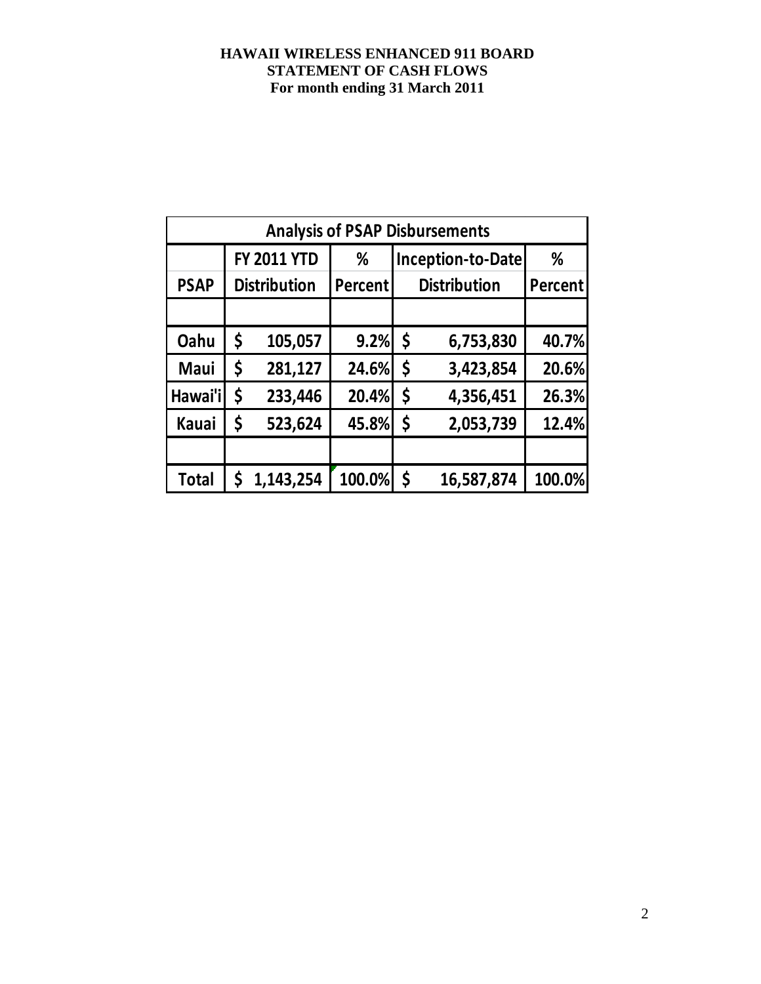|              | <b>Analysis of PSAP Disbursements</b> |                                              |         |         |                |        |  |  |  |  |  |  |
|--------------|---------------------------------------|----------------------------------------------|---------|---------|----------------|--------|--|--|--|--|--|--|
|              |                                       | <b>FY 2011 YTD</b><br>Inception-to-Date<br>% |         |         |                |        |  |  |  |  |  |  |
| <b>PSAP</b>  |                                       | <b>Distribution</b>                          | Percent |         | <b>Percent</b> |        |  |  |  |  |  |  |
|              |                                       |                                              |         |         |                |        |  |  |  |  |  |  |
| Oahu         | \$                                    | 105,057                                      | 9.2%    | $\zeta$ | 6,753,830      | 40.7%  |  |  |  |  |  |  |
| Maui         | \$                                    | 281,127                                      | 24.6%   | \$      | 3,423,854      | 20.6%  |  |  |  |  |  |  |
| Hawai'i      | \$                                    | 233,446                                      | 20.4%   | \$      | 4,356,451      | 26.3%  |  |  |  |  |  |  |
| <b>Kauai</b> | \$                                    | 523,624                                      | 45.8%   | \$      | 2,053,739      | 12.4%  |  |  |  |  |  |  |
|              |                                       |                                              |         |         |                |        |  |  |  |  |  |  |
| <b>Total</b> | \$                                    | 1,143,254                                    | 100.0%  | \$      | 16,587,874     | 100.0% |  |  |  |  |  |  |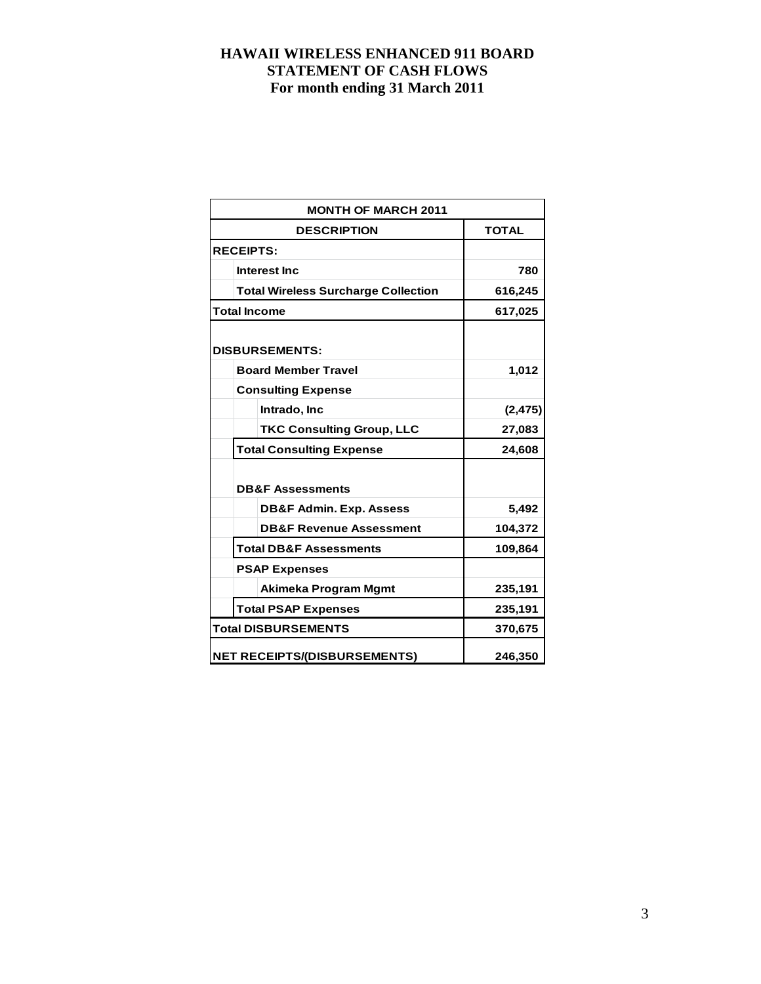| <b>MONTH OF MARCH 2011</b>                 |              |
|--------------------------------------------|--------------|
| <b>DESCRIPTION</b>                         | <b>TOTAL</b> |
| <b>RECEIPTS:</b>                           |              |
| Interest Inc.                              | 780          |
| <b>Total Wireless Surcharge Collection</b> | 616,245      |
| <b>Total Income</b>                        | 617,025      |
| <b>DISBURSEMENTS:</b>                      |              |
| <b>Board Member Travel</b>                 | 1,012        |
| <b>Consulting Expense</b>                  |              |
| Intrado, Inc                               | (2, 475)     |
| <b>TKC Consulting Group, LLC</b>           | 27,083       |
| <b>Total Consulting Expense</b>            | 24,608       |
| <b>DB&amp;F Assessments</b>                |              |
| <b>DB&amp;F Admin. Exp. Assess</b>         | 5,492        |
| <b>DB&amp;F Revenue Assessment</b>         | 104,372      |
| <b>Total DB&amp;F Assessments</b>          | 109,864      |
| <b>PSAP Expenses</b>                       |              |
| Akimeka Program Mgmt                       | 235,191      |
| <b>Total PSAP Expenses</b>                 | 235,191      |
| <b>Total DISBURSEMENTS</b>                 | 370,675      |
| <b>NET RECEIPTS/(DISBURSEMENTS)</b>        | 246,350      |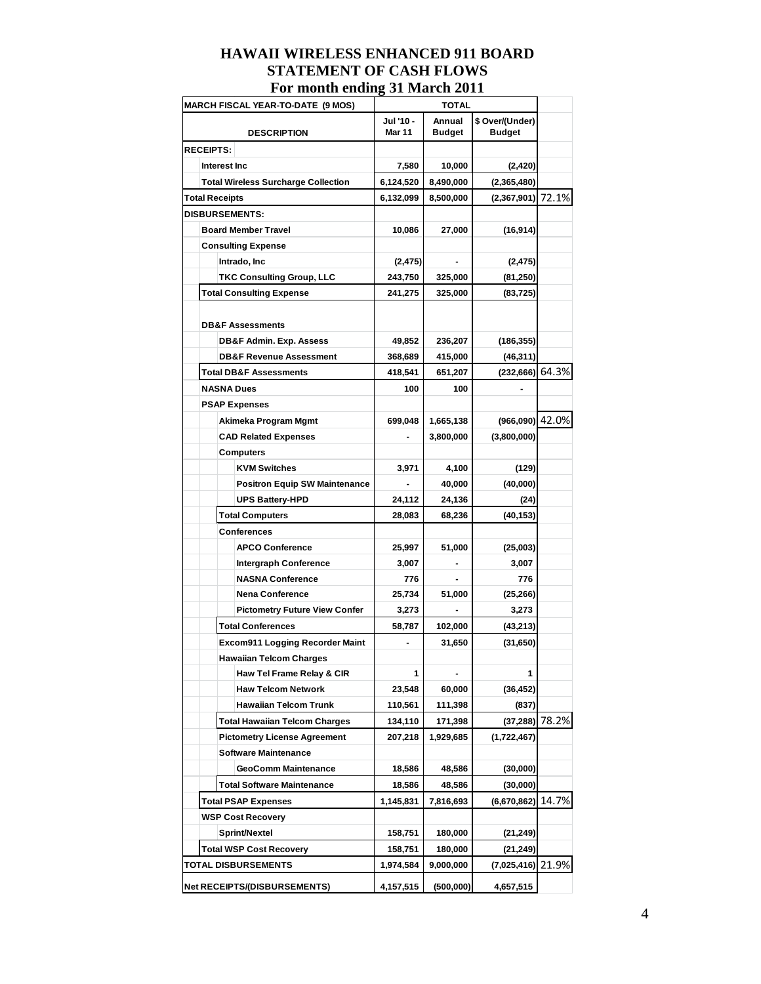|                  | r or month chung of march 2011             |                            |                              |                                  |       |
|------------------|--------------------------------------------|----------------------------|------------------------------|----------------------------------|-------|
|                  | <b>MARCH FISCAL YEAR-TO-DATE (9 MOS)</b>   |                            | <b>TOTAL</b>                 |                                  |       |
|                  | <b>DESCRIPTION</b>                         | Jul '10 -<br><b>Mar 11</b> | Annual<br><b>Budget</b>      | \$ Over/(Under)<br><b>Budget</b> |       |
| <b>RECEIPTS:</b> |                                            |                            |                              |                                  |       |
|                  | Interest Inc                               | 7,580                      | 10,000                       | (2,420)                          |       |
|                  | <b>Total Wireless Surcharge Collection</b> | 6,124,520                  | 8,490,000                    | (2,365,480)                      |       |
|                  | <b>Total Receipts</b>                      | 6,132,099                  | 8,500,000                    | (2,367,901)                      | 72.1% |
|                  | <b>DISBURSEMENTS:</b>                      |                            |                              |                                  |       |
|                  | <b>Board Member Travel</b>                 | 10,086                     | 27,000                       | (16, 914)                        |       |
|                  | <b>Consulting Expense</b>                  |                            |                              |                                  |       |
|                  | Intrado, Inc                               | (2, 475)                   |                              | (2, 475)                         |       |
|                  | <b>TKC Consulting Group, LLC</b>           | 243,750                    | 325,000                      | (81, 250)                        |       |
|                  | <b>Total Consulting Expense</b>            | 241,275                    | 325,000                      | (83, 725)                        |       |
|                  | <b>DB&amp;F Assessments</b>                |                            |                              |                                  |       |
|                  | <b>DB&amp;F Admin. Exp. Assess</b>         | 49,852                     | 236,207                      | (186, 355)                       |       |
|                  | <b>DB&amp;F Revenue Assessment</b>         | 368,689                    | 415,000                      | (46, 311)                        |       |
|                  | <b>Total DB&amp;F Assessments</b>          | 418,541                    | 651,207                      | (232,666) 64.3%                  |       |
|                  | <b>NASNA Dues</b>                          | 100                        | 100                          |                                  |       |
|                  | <b>PSAP Expenses</b>                       |                            |                              |                                  |       |
|                  | Akimeka Program Mgmt                       | 699,048                    | 1,665,138                    | (966,090) 42.0%                  |       |
|                  | <b>CAD Related Expenses</b>                |                            | 3,800,000                    | (3,800,000)                      |       |
|                  | <b>Computers</b>                           |                            |                              |                                  |       |
|                  | <b>KVM Switches</b>                        | 3,971                      | 4,100                        | (129)                            |       |
|                  | <b>Positron Equip SW Maintenance</b>       |                            | 40,000                       | (40,000)                         |       |
|                  | <b>UPS Battery-HPD</b>                     | 24,112                     | 24,136                       | (24)                             |       |
|                  | <b>Total Computers</b>                     | 28,083                     | 68,236                       | (40, 153)                        |       |
|                  | <b>Conferences</b>                         |                            |                              |                                  |       |
|                  | <b>APCO Conference</b>                     | 25,997                     | 51,000                       | (25,003)                         |       |
|                  | <b>Intergraph Conference</b>               | 3,007                      |                              | 3,007                            |       |
|                  | <b>NASNA Conference</b>                    | 776                        | $\qquad \qquad \blacksquare$ | 776                              |       |
|                  | <b>Nena Conference</b>                     | 25,734                     | 51,000                       | (25, 266)                        |       |
|                  | <b>Pictometry Future View Confer</b>       | 3,273                      |                              | 3,273                            |       |
|                  | <b>Total Conferences</b>                   | 58,787                     | 102,000                      | (43, 213)                        |       |
|                  | Excom911 Logging Recorder Maint            |                            | 31,650                       | (31, 650)                        |       |
|                  | <b>Hawaiian Telcom Charges</b>             |                            |                              |                                  |       |
|                  | Haw Tel Frame Relay & CIR                  | 1                          |                              | 1                                |       |
|                  | <b>Haw Telcom Network</b>                  | 23,548                     | 60,000                       | (36, 452)                        |       |
|                  | <b>Hawaiian Telcom Trunk</b>               | 110,561                    | 111,398                      | (837)                            |       |
|                  | <b>Total Hawaiian Telcom Charges</b>       | 134,110                    | 171,398                      | $(37, 288)$ 78.2%                |       |
|                  | <b>Pictometry License Agreement</b>        | 207,218                    | 1,929,685                    | (1,722,467)                      |       |
|                  | <b>Software Maintenance</b>                |                            |                              |                                  |       |
|                  | <b>GeoComm Maintenance</b>                 | 18,586                     | 48,586                       | (30,000)                         |       |
|                  | <b>Total Software Maintenance</b>          | 18,586                     | 48,586                       | (30,000)                         |       |
|                  | <b>Total PSAP Expenses</b>                 | 1,145,831                  | 7,816,693                    | (6,670,862)                      | 14.7% |
|                  | <b>WSP Cost Recovery</b>                   |                            |                              |                                  |       |
|                  | Sprint/Nextel                              | 158,751                    | 180,000                      | (21, 249)                        |       |
|                  | <b>Total WSP Cost Recovery</b>             | 158,751                    | 180,000                      | (21, 249)                        |       |
|                  | <b>TOTAL DISBURSEMENTS</b>                 | 1,974,584                  | 9,000,000                    | (7,025,416) 21.9%                |       |
|                  | <b>Net RECEIPTS/(DISBURSEMENTS)</b>        | 4,157,515                  | (500,000)                    | 4,657,515                        |       |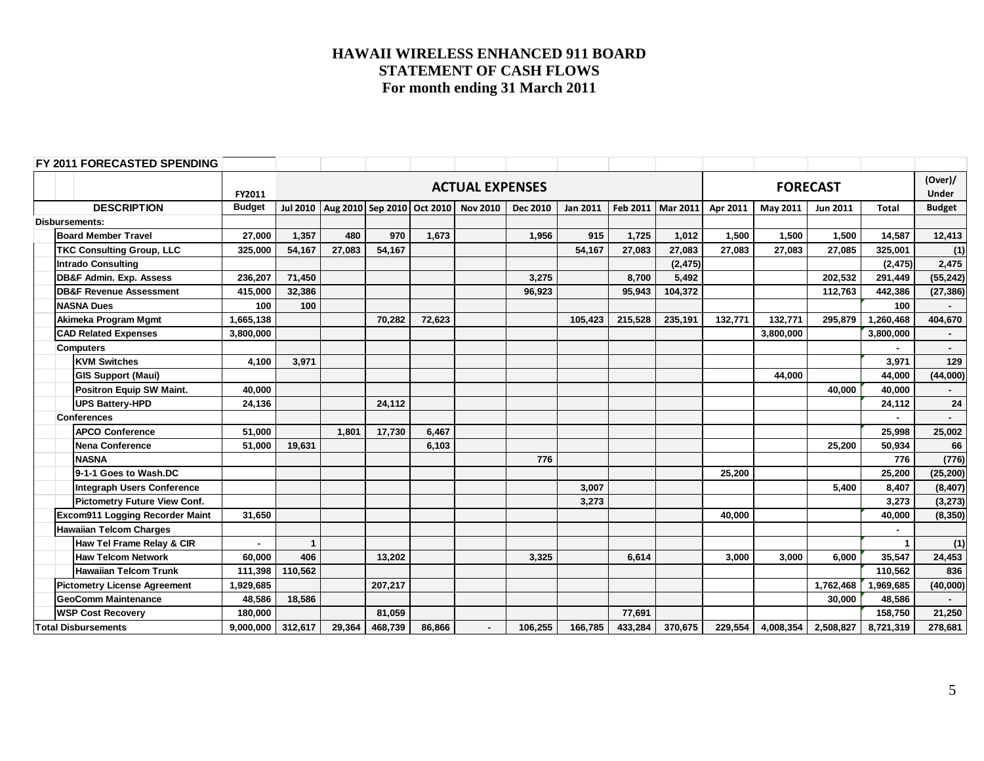| FY 2011 FORECASTED SPENDING            |               |                |        |         |        |                                                      |                 |          |         |                     |          |           |                 |              |                         |
|----------------------------------------|---------------|----------------|--------|---------|--------|------------------------------------------------------|-----------------|----------|---------|---------------------|----------|-----------|-----------------|--------------|-------------------------|
|                                        | FY2011        |                |        |         |        | <b>ACTUAL EXPENSES</b>                               |                 |          |         |                     |          |           | <b>FORECAST</b> |              | (Over)/<br><b>Under</b> |
| <b>DESCRIPTION</b>                     | <b>Budget</b> |                |        |         |        | Jul 2010   Aug 2010   Sep 2010   Oct 2010   Nov 2010 | <b>Dec 2010</b> | Jan 2011 |         | Feb 2011   Mar 2011 | Apr 2011 | May 2011  | <b>Jun 2011</b> | Total        | <b>Budget</b>           |
| Disbursements:                         |               |                |        |         |        |                                                      |                 |          |         |                     |          |           |                 |              |                         |
| <b>Board Member Travel</b>             | 27,000        | 1,357          | 480    | 970     | 1,673  |                                                      | 1,956           | 915      | 1,725   | 1,012               | 1,500    | 1,500     | 1,500           | 14,587       | 12,413                  |
| <b>TKC Consulting Group, LLC</b>       | 325,000       | 54,167         | 27,083 | 54,167  |        |                                                      |                 | 54,167   | 27,083  | 27,083              | 27,083   | 27,083    | 27,085          | 325,001      | (1)                     |
| <b>Intrado Consulting</b>              |               |                |        |         |        |                                                      |                 |          |         | (2, 475)            |          |           |                 | (2, 475)     | 2,475                   |
| <b>DB&amp;F Admin. Exp. Assess</b>     | 236,207       | 71,450         |        |         |        |                                                      | 3,275           |          | 8,700   | 5,492               |          |           | 202,532         | 291,449      | (55, 242)               |
| <b>DB&amp;F Revenue Assessment</b>     | 415,000       | 32,386         |        |         |        |                                                      | 96,923          |          | 95,943  | 104,372             |          |           | 112,763         | 442,386      | (27, 386)               |
| <b>NASNA Dues</b>                      | 100           | 100            |        |         |        |                                                      |                 |          |         |                     |          |           |                 | 100          |                         |
| Akimeka Program Mgmt                   | 1,665,138     |                |        | 70,282  | 72,623 |                                                      |                 | 105,423  | 215,528 | 235,191             | 132,771  | 132,771   | 295,879         | 1,260,468    | 404,670                 |
| <b>CAD Related Expenses</b>            | 3,800,000     |                |        |         |        |                                                      |                 |          |         |                     |          | 3,800,000 |                 | 3,800,000    |                         |
| <b>Computers</b>                       |               |                |        |         |        |                                                      |                 |          |         |                     |          |           |                 |              |                         |
| <b>KVM Switches</b>                    | 4,100         | 3,971          |        |         |        |                                                      |                 |          |         |                     |          |           |                 | 3,971        | 129                     |
| <b>GIS Support (Maui)</b>              |               |                |        |         |        |                                                      |                 |          |         |                     |          | 44.000    |                 | 44,000       | (44,000)                |
| <b>Positron Equip SW Maint.</b>        | 40,000        |                |        |         |        |                                                      |                 |          |         |                     |          |           | 40.000          | 40,000       |                         |
| <b>UPS Battery-HPD</b>                 | 24,136        |                |        | 24,112  |        |                                                      |                 |          |         |                     |          |           |                 | 24,112       | 24                      |
| <b>Conferences</b>                     |               |                |        |         |        |                                                      |                 |          |         |                     |          |           |                 |              |                         |
| <b>APCO Conference</b>                 | 51,000        |                | 1,801  | 17,730  | 6,467  |                                                      |                 |          |         |                     |          |           |                 | 25,998       | 25,002                  |
| <b>Nena Conference</b>                 | 51,000        | 19,631         |        |         | 6,103  |                                                      |                 |          |         |                     |          |           | 25,200          | 50,934       | 66                      |
| <b>NASNA</b>                           |               |                |        |         |        |                                                      | 776             |          |         |                     |          |           |                 | 776          | (776)                   |
| 9-1-1 Goes to Wash.DC                  |               |                |        |         |        |                                                      |                 |          |         |                     | 25,200   |           |                 | 25,200       | (25, 200)               |
| <b>Integraph Users Conference</b>      |               |                |        |         |        |                                                      |                 | 3.007    |         |                     |          |           | 5,400           | 8,407        | (8, 407)                |
| <b>Pictometry Future View Conf.</b>    |               |                |        |         |        |                                                      |                 | 3,273    |         |                     |          |           |                 | 3,273        | (3, 273)                |
| <b>Excom911 Logging Recorder Maint</b> | 31,650        |                |        |         |        |                                                      |                 |          |         |                     | 40,000   |           |                 | 40,000       | (8, 350)                |
| <b>Hawaiian Telcom Charges</b>         |               |                |        |         |        |                                                      |                 |          |         |                     |          |           |                 | $\sim$       |                         |
| Haw Tel Frame Relay & CIR              | $\sim$        | $\overline{1}$ |        |         |        |                                                      |                 |          |         |                     |          |           |                 | $\mathbf{1}$ | (1)                     |
| <b>Haw Telcom Network</b>              | 60,000        | 406            |        | 13,202  |        |                                                      | 3,325           |          | 6,614   |                     | 3,000    | 3,000     | 6,000           | 35,547       | 24,453                  |
| <b>Hawaiian Telcom Trunk</b>           | 111,398       | 110,562        |        |         |        |                                                      |                 |          |         |                     |          |           |                 | 110,562      | 836                     |
| <b>Pictometry License Agreement</b>    | 1,929,685     |                |        | 207,217 |        |                                                      |                 |          |         |                     |          |           | 1,762,468       | 1,969,685    | (40,000)                |
| <b>GeoComm Maintenance</b>             | 48,586        | 18,586         |        |         |        |                                                      |                 |          |         |                     |          |           | 30,000          | 48,586       |                         |
| <b>WSP Cost Recovery</b>               | 180,000       |                |        | 81.059  |        |                                                      |                 |          | 77,691  |                     |          |           |                 | 158,750      | 21,250                  |
| <b>Total Disbursements</b>             | 9,000,000     | 312,617        | 29,364 | 468,739 | 86,866 |                                                      | 106,255         | 166,785  | 433,284 | 370,675             | 229,554  | 4,008,354 | 2,508,827       | 8,721,319    | 278,681                 |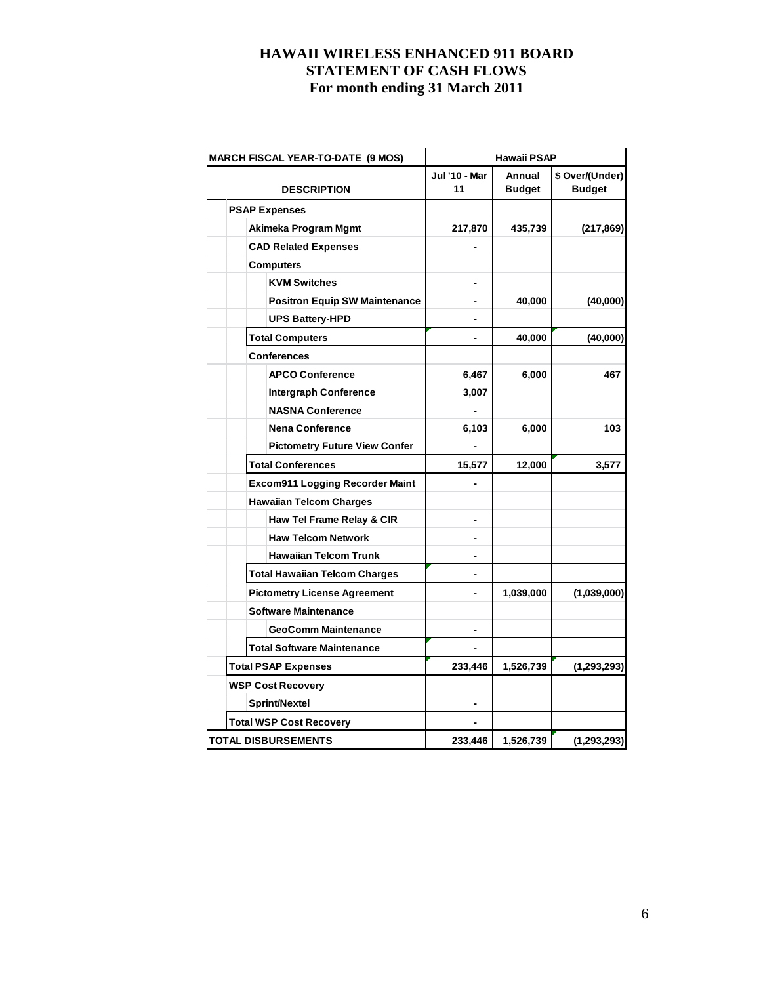| <b>MARCH FISCAL YEAR-TO-DATE (9 MOS)</b> | <b>Hawaii PSAP</b>         |                         |                                  |  |  |
|------------------------------------------|----------------------------|-------------------------|----------------------------------|--|--|
| <b>DESCRIPTION</b>                       | <b>Jul '10 - Mar</b><br>11 | Annual<br><b>Budget</b> | \$ Over/(Under)<br><b>Budget</b> |  |  |
| <b>PSAP Expenses</b>                     |                            |                         |                                  |  |  |
| Akimeka Program Mgmt                     | 217,870                    | 435,739                 | (217, 869)                       |  |  |
| <b>CAD Related Expenses</b>              |                            |                         |                                  |  |  |
| <b>Computers</b>                         |                            |                         |                                  |  |  |
| <b>KVM Switches</b>                      |                            |                         |                                  |  |  |
| <b>Positron Equip SW Maintenance</b>     |                            | 40,000                  | (40,000)                         |  |  |
| <b>UPS Battery-HPD</b>                   |                            |                         |                                  |  |  |
| <b>Total Computers</b>                   | $\overline{\phantom{0}}$   | 40,000                  | (40,000)                         |  |  |
| <b>Conferences</b>                       |                            |                         |                                  |  |  |
| <b>APCO Conference</b>                   | 6,467                      | 6,000                   | 467                              |  |  |
| <b>Intergraph Conference</b>             | 3,007                      |                         |                                  |  |  |
| <b>NASNA Conference</b>                  |                            |                         |                                  |  |  |
| <b>Nena Conference</b>                   | 6,103                      | 6,000                   | 103                              |  |  |
| <b>Pictometry Future View Confer</b>     |                            |                         |                                  |  |  |
| <b>Total Conferences</b>                 | 15,577                     | 12,000                  | 3,577                            |  |  |
| <b>Excom911 Logging Recorder Maint</b>   |                            |                         |                                  |  |  |
| <b>Hawaiian Telcom Charges</b>           |                            |                         |                                  |  |  |
| Haw Tel Frame Relay & CIR                |                            |                         |                                  |  |  |
| <b>Haw Telcom Network</b>                |                            |                         |                                  |  |  |
| <b>Hawaiian Telcom Trunk</b>             |                            |                         |                                  |  |  |
| <b>Total Hawaiian Telcom Charges</b>     |                            |                         |                                  |  |  |
| <b>Pictometry License Agreement</b>      |                            | 1,039,000               | (1,039,000)                      |  |  |
| <b>Software Maintenance</b>              |                            |                         |                                  |  |  |
| <b>GeoComm Maintenance</b>               |                            |                         |                                  |  |  |
| <b>Total Software Maintenance</b>        |                            |                         |                                  |  |  |
| <b>Total PSAP Expenses</b>               | 233,446                    | 1,526,739               | (1, 293, 293)                    |  |  |
| <b>WSP Cost Recovery</b>                 |                            |                         |                                  |  |  |
| Sprint/Nextel                            |                            |                         |                                  |  |  |
| <b>Total WSP Cost Recovery</b>           |                            |                         |                                  |  |  |
| <b>TOTAL DISBURSEMENTS</b>               | 233,446                    | 1,526,739               | (1, 293, 293)                    |  |  |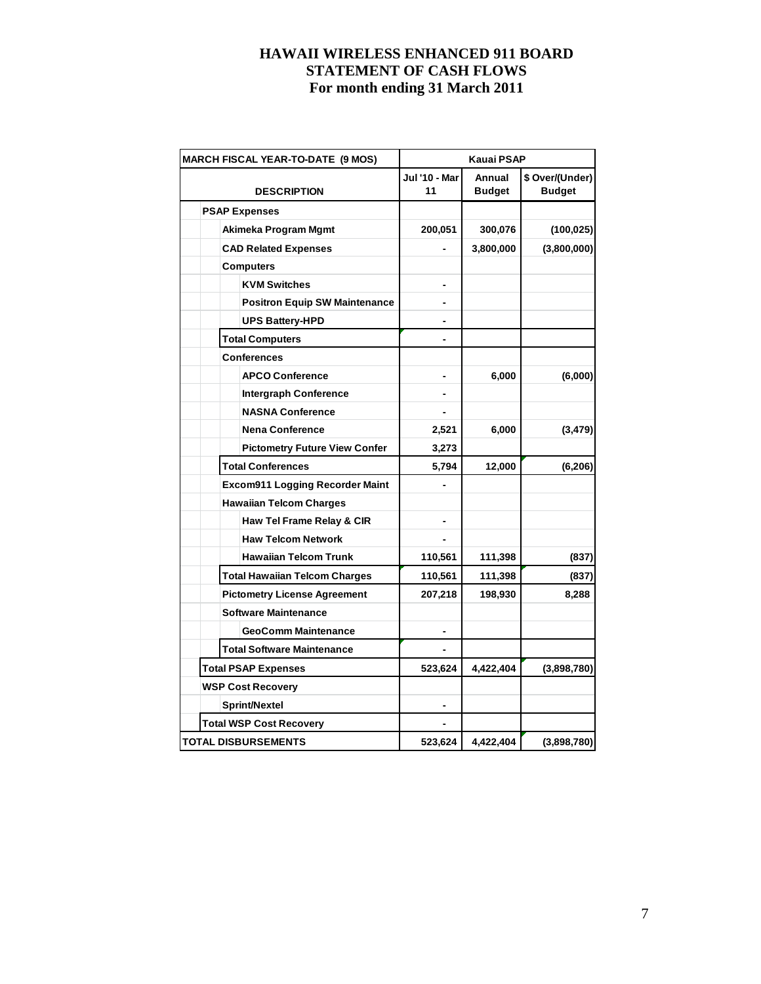| <b>MARCH FISCAL YEAR-TO-DATE (9 MOS)</b> | <b>Kauai PSAP</b>   |                         |                                  |  |  |
|------------------------------------------|---------------------|-------------------------|----------------------------------|--|--|
| <b>DESCRIPTION</b>                       | Jul '10 - Mar<br>11 | Annual<br><b>Budget</b> | \$ Over/(Under)<br><b>Budget</b> |  |  |
| <b>PSAP Expenses</b>                     |                     |                         |                                  |  |  |
| Akimeka Program Mgmt                     | 200,051             | 300,076                 | (100, 025)                       |  |  |
| <b>CAD Related Expenses</b>              |                     | 3,800,000               | (3,800,000)                      |  |  |
| <b>Computers</b>                         |                     |                         |                                  |  |  |
| <b>KVM Switches</b>                      |                     |                         |                                  |  |  |
| <b>Positron Equip SW Maintenance</b>     |                     |                         |                                  |  |  |
| <b>UPS Battery-HPD</b>                   |                     |                         |                                  |  |  |
| <b>Total Computers</b>                   |                     |                         |                                  |  |  |
| <b>Conferences</b>                       |                     |                         |                                  |  |  |
| <b>APCO Conference</b>                   |                     | 6,000                   | (6,000)                          |  |  |
| <b>Intergraph Conference</b>             |                     |                         |                                  |  |  |
| <b>NASNA Conference</b>                  |                     |                         |                                  |  |  |
| <b>Nena Conference</b>                   | 2,521               | 6,000                   | (3, 479)                         |  |  |
| <b>Pictometry Future View Confer</b>     | 3,273               |                         |                                  |  |  |
| <b>Total Conferences</b>                 | 5,794               | 12,000                  | (6, 206)                         |  |  |
| <b>Excom911 Logging Recorder Maint</b>   |                     |                         |                                  |  |  |
| <b>Hawaiian Telcom Charges</b>           |                     |                         |                                  |  |  |
| Haw Tel Frame Relay & CIR                |                     |                         |                                  |  |  |
| <b>Haw Telcom Network</b>                |                     |                         |                                  |  |  |
| <b>Hawaiian Telcom Trunk</b>             | 110,561             | 111,398                 | (837)                            |  |  |
| <b>Total Hawaiian Telcom Charges</b>     | 110,561             | 111,398                 | (837)                            |  |  |
| <b>Pictometry License Agreement</b>      | 207,218             | 198,930                 | 8,288                            |  |  |
| <b>Software Maintenance</b>              |                     |                         |                                  |  |  |
| <b>GeoComm Maintenance</b>               |                     |                         |                                  |  |  |
| <b>Total Software Maintenance</b>        |                     |                         |                                  |  |  |
| <b>Total PSAP Expenses</b>               | 523,624             | 4,422,404               | (3,898,780)                      |  |  |
| <b>WSP Cost Recovery</b>                 |                     |                         |                                  |  |  |
| <b>Sprint/Nextel</b>                     |                     |                         |                                  |  |  |
| <b>Total WSP Cost Recovery</b>           |                     |                         |                                  |  |  |
| <b>TOTAL DISBURSEMENTS</b>               | 523,624             | 4,422,404               | (3,898,780)                      |  |  |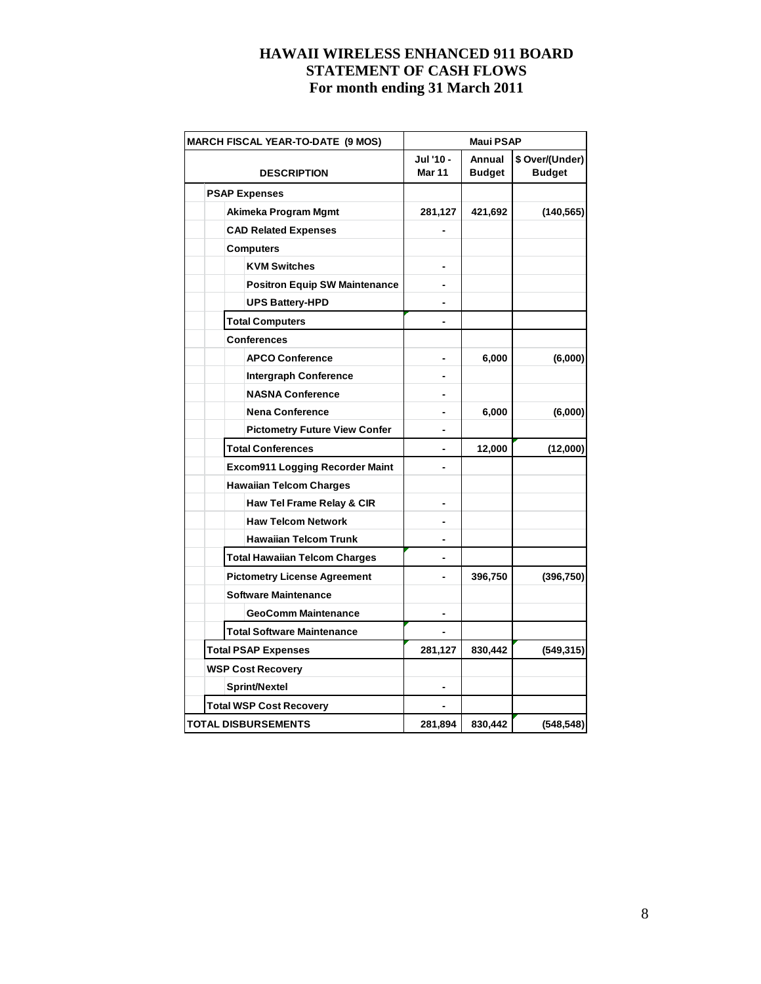| <b>MARCH FISCAL YEAR-TO-DATE (9 MOS)</b> | <b>Maui PSAP</b>           |                         |                                  |  |  |
|------------------------------------------|----------------------------|-------------------------|----------------------------------|--|--|
| <b>DESCRIPTION</b>                       | Jul '10 -<br><b>Mar 11</b> | Annual<br><b>Budget</b> | \$ Over/(Under)<br><b>Budget</b> |  |  |
| <b>PSAP Expenses</b>                     |                            |                         |                                  |  |  |
| Akimeka Program Mgmt                     | 281,127                    | 421,692                 | (140, 565)                       |  |  |
| <b>CAD Related Expenses</b>              |                            |                         |                                  |  |  |
| <b>Computers</b>                         |                            |                         |                                  |  |  |
| <b>KVM Switches</b>                      |                            |                         |                                  |  |  |
| <b>Positron Equip SW Maintenance</b>     |                            |                         |                                  |  |  |
| <b>UPS Battery-HPD</b>                   |                            |                         |                                  |  |  |
| <b>Total Computers</b>                   |                            |                         |                                  |  |  |
| <b>Conferences</b>                       |                            |                         |                                  |  |  |
| <b>APCO Conference</b>                   |                            | 6,000                   | (6,000)                          |  |  |
| <b>Intergraph Conference</b>             |                            |                         |                                  |  |  |
| <b>NASNA Conference</b>                  |                            |                         |                                  |  |  |
| <b>Nena Conference</b>                   |                            | 6,000                   | (6,000)                          |  |  |
| <b>Pictometry Future View Confer</b>     |                            |                         |                                  |  |  |
| <b>Total Conferences</b>                 | -                          | 12,000                  | (12,000)                         |  |  |
| <b>Excom911 Logging Recorder Maint</b>   |                            |                         |                                  |  |  |
| <b>Hawaiian Telcom Charges</b>           |                            |                         |                                  |  |  |
| Haw Tel Frame Relay & CIR                |                            |                         |                                  |  |  |
| <b>Haw Telcom Network</b>                |                            |                         |                                  |  |  |
| <b>Hawaiian Telcom Trunk</b>             |                            |                         |                                  |  |  |
| <b>Total Hawaiian Telcom Charges</b>     |                            |                         |                                  |  |  |
| <b>Pictometry License Agreement</b>      |                            | 396,750                 | (396, 750)                       |  |  |
| <b>Software Maintenance</b>              |                            |                         |                                  |  |  |
| <b>GeoComm Maintenance</b>               |                            |                         |                                  |  |  |
| <b>Total Software Maintenance</b>        |                            |                         |                                  |  |  |
| <b>Total PSAP Expenses</b>               | 281,127                    | 830,442                 | (549, 315)                       |  |  |
| <b>WSP Cost Recovery</b>                 |                            |                         |                                  |  |  |
| <b>Sprint/Nextel</b>                     |                            |                         |                                  |  |  |
| <b>Total WSP Cost Recovery</b>           |                            |                         |                                  |  |  |
| <b>TOTAL DISBURSEMENTS</b>               | 281,894                    | 830,442                 | (548, 548)                       |  |  |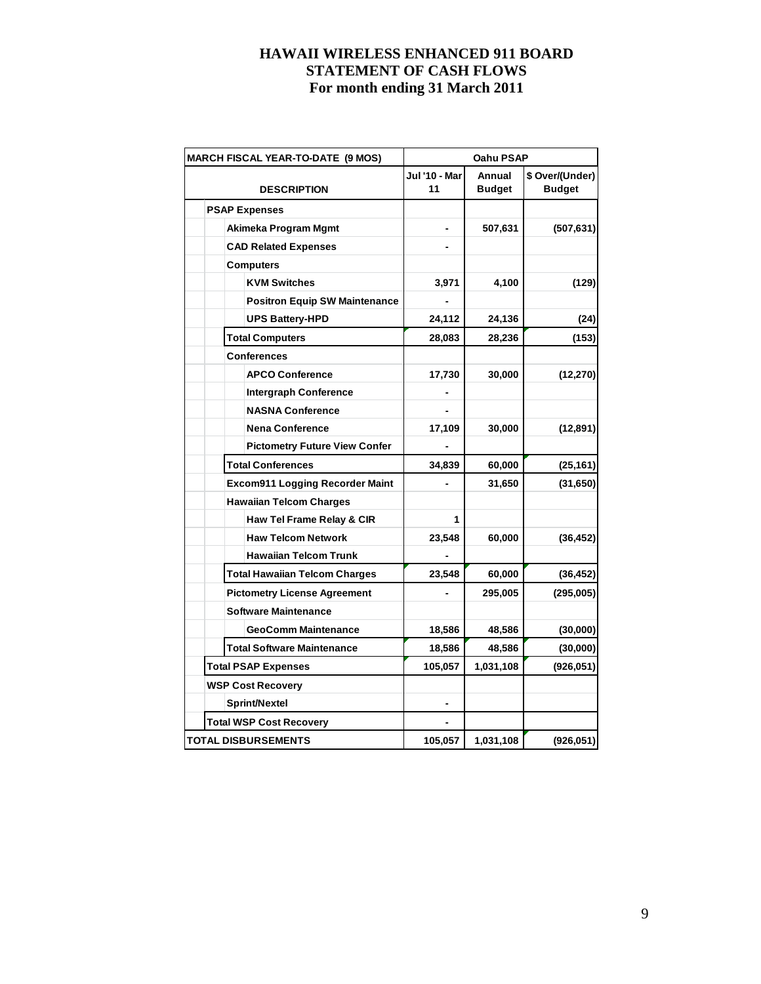| <b>MARCH FISCAL YEAR-TO-DATE (9 MOS)</b> | Oahu PSAP           |                         |                                  |  |  |
|------------------------------------------|---------------------|-------------------------|----------------------------------|--|--|
| <b>DESCRIPTION</b>                       | Jul '10 - Mar<br>11 | Annual<br><b>Budget</b> | \$ Over/(Under)<br><b>Budget</b> |  |  |
| <b>PSAP Expenses</b>                     |                     |                         |                                  |  |  |
| Akimeka Program Mgmt                     |                     | 507,631                 | (507, 631)                       |  |  |
| <b>CAD Related Expenses</b>              |                     |                         |                                  |  |  |
| <b>Computers</b>                         |                     |                         |                                  |  |  |
| <b>KVM Switches</b>                      | 3,971               | 4,100                   | (129)                            |  |  |
| <b>Positron Equip SW Maintenance</b>     |                     |                         |                                  |  |  |
| <b>UPS Battery-HPD</b>                   | 24,112              | 24,136                  | (24)                             |  |  |
| <b>Total Computers</b>                   | 28,083              | 28,236                  | (153)                            |  |  |
| <b>Conferences</b>                       |                     |                         |                                  |  |  |
| <b>APCO Conference</b>                   | 17,730              | 30,000                  | (12, 270)                        |  |  |
| <b>Intergraph Conference</b>             | -                   |                         |                                  |  |  |
| <b>NASNA Conference</b>                  |                     |                         |                                  |  |  |
| <b>Nena Conference</b>                   | 17,109              | 30,000                  | (12, 891)                        |  |  |
| <b>Pictometry Future View Confer</b>     |                     |                         |                                  |  |  |
| <b>Total Conferences</b>                 | 34,839              | 60,000                  | (25, 161)                        |  |  |
| <b>Excom911 Logging Recorder Maint</b>   |                     | 31,650                  | (31,650)                         |  |  |
| <b>Hawaiian Telcom Charges</b>           |                     |                         |                                  |  |  |
| Haw Tel Frame Relay & CIR                | 1                   |                         |                                  |  |  |
| <b>Haw Telcom Network</b>                | 23,548              | 60,000                  | (36, 452)                        |  |  |
| <b>Hawaiian Telcom Trunk</b>             |                     |                         |                                  |  |  |
| Total Hawaiian Telcom Charges            | 23,548              | 60,000                  | (36, 452)                        |  |  |
| <b>Pictometry License Agreement</b>      |                     | 295,005                 | (295,005)                        |  |  |
| <b>Software Maintenance</b>              |                     |                         |                                  |  |  |
| GeoComm Maintenance                      | 18,586              | 48,586                  | (30,000)                         |  |  |
| <b>Total Software Maintenance</b>        | 18,586              | 48,586                  | (30,000)                         |  |  |
| <b>Total PSAP Expenses</b>               | 105,057             | 1,031,108               | (926, 051)                       |  |  |
| <b>WSP Cost Recovery</b>                 |                     |                         |                                  |  |  |
| <b>Sprint/Nextel</b>                     |                     |                         |                                  |  |  |
| <b>Total WSP Cost Recovery</b>           |                     |                         |                                  |  |  |
| <b>TOTAL DISBURSEMENTS</b>               | 105,057             | 1,031,108               | (926, 051)                       |  |  |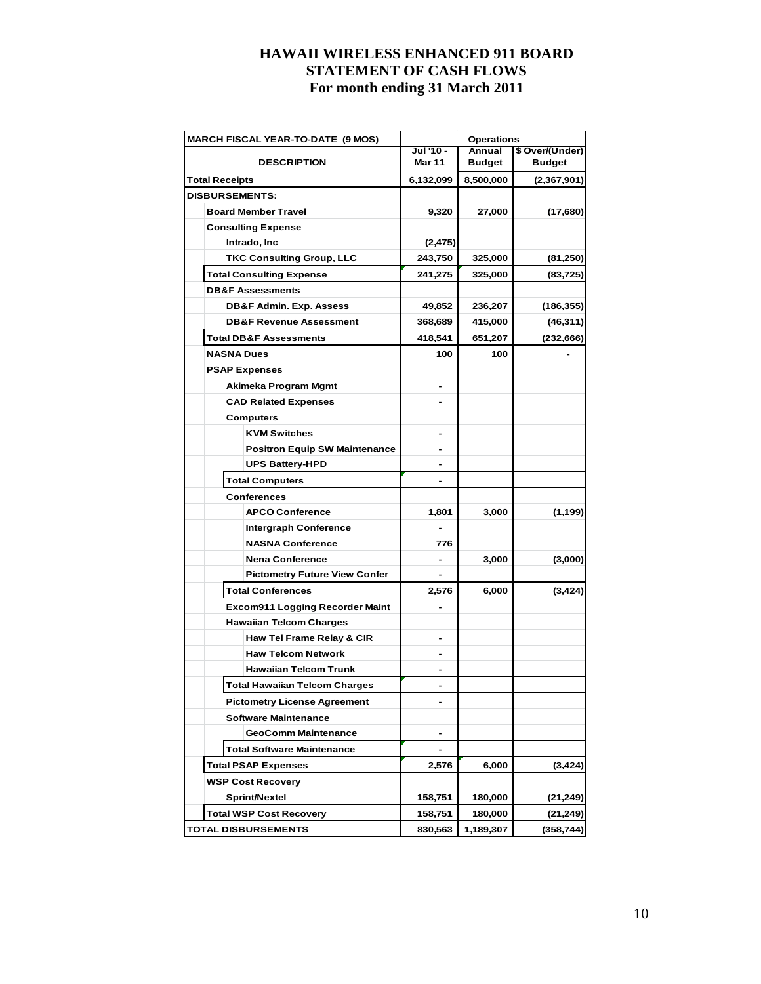| <b>MARCH FISCAL YEAR-TO-DATE (9 MOS)</b> | <b>Operations</b>          |                         |                                  |  |  |
|------------------------------------------|----------------------------|-------------------------|----------------------------------|--|--|
| <b>DESCRIPTION</b>                       | Jul '10 -<br><b>Mar 11</b> | Annual<br><b>Budget</b> | \$ Over/(Under)<br><b>Budget</b> |  |  |
| <b>Total Receipts</b>                    | 6,132,099                  | 8,500,000               | (2,367,901)                      |  |  |
| <b>DISBURSEMENTS:</b>                    |                            |                         |                                  |  |  |
| <b>Board Member Travel</b>               | 9,320                      | 27,000                  | (17,680)                         |  |  |
| <b>Consulting Expense</b>                |                            |                         |                                  |  |  |
| Intrado, Inc                             | (2, 475)                   |                         |                                  |  |  |
| <b>TKC Consulting Group, LLC</b>         | 243,750                    | 325,000                 | (81,250)                         |  |  |
| <b>Total Consulting Expense</b>          | 241,275                    | 325,000                 | (83, 725)                        |  |  |
| <b>DB&amp;F Assessments</b>              |                            |                         |                                  |  |  |
| DB&F Admin. Exp. Assess                  | 49,852                     | 236,207                 | (186, 355)                       |  |  |
| <b>DB&amp;F Revenue Assessment</b>       | 368,689                    | 415,000                 | (46, 311)                        |  |  |
| <b>Total DB&amp;F Assessments</b>        | 418,541                    | 651,207                 | (232, 666)                       |  |  |
| <b>NASNA Dues</b>                        | 100                        | 100                     |                                  |  |  |
| <b>PSAP Expenses</b>                     |                            |                         |                                  |  |  |
| Akimeka Program Mgmt                     | $\blacksquare$             |                         |                                  |  |  |
| <b>CAD Related Expenses</b>              |                            |                         |                                  |  |  |
| <b>Computers</b>                         |                            |                         |                                  |  |  |
| <b>KVM Switches</b>                      |                            |                         |                                  |  |  |
| <b>Positron Equip SW Maintenance</b>     |                            |                         |                                  |  |  |
| <b>UPS Battery-HPD</b>                   |                            |                         |                                  |  |  |
| <b>Total Computers</b>                   |                            |                         |                                  |  |  |
| <b>Conferences</b>                       |                            |                         |                                  |  |  |
| <b>APCO Conference</b>                   | 1,801                      | 3,000                   | (1,199)                          |  |  |
| <b>Intergraph Conference</b>             |                            |                         |                                  |  |  |
| <b>NASNA Conference</b>                  | 776                        |                         |                                  |  |  |
| <b>Nena Conference</b>                   | $\overline{a}$             | 3,000                   | (3,000)                          |  |  |
| <b>Pictometry Future View Confer</b>     |                            |                         |                                  |  |  |
| <b>Total Conferences</b>                 | 2,576                      | 6,000                   | (3, 424)                         |  |  |
| <b>Excom911 Logging Recorder Maint</b>   |                            |                         |                                  |  |  |
| <b>Hawaiian Telcom Charges</b>           |                            |                         |                                  |  |  |
| Haw Tel Frame Relay & CIR                |                            |                         |                                  |  |  |
| <b>Haw Telcom Network</b>                |                            |                         |                                  |  |  |
| <b>Hawaiian Telcom Trunk</b>             |                            |                         |                                  |  |  |
| <b>Total Hawaiian Telcom Charges</b>     |                            |                         |                                  |  |  |
| <b>Pictometry License Agreement</b>      | $\overline{a}$             |                         |                                  |  |  |
| <b>Software Maintenance</b>              |                            |                         |                                  |  |  |
| <b>GeoComm Maintenance</b>               |                            |                         |                                  |  |  |
| <b>Total Software Maintenance</b>        |                            |                         |                                  |  |  |
| <b>Total PSAP Expenses</b>               | 2,576                      | 6,000                   | (3, 424)                         |  |  |
| <b>WSP Cost Recovery</b>                 |                            |                         |                                  |  |  |
| Sprint/Nextel                            | 158,751                    | 180,000                 | (21,249)                         |  |  |
| Total WSP Cost Recovery                  | 158,751                    | 180,000                 | (21,249)                         |  |  |
| <b>TOTAL DISBURSEMENTS</b>               | 830,563                    | 1,189,307               | (358, 744)                       |  |  |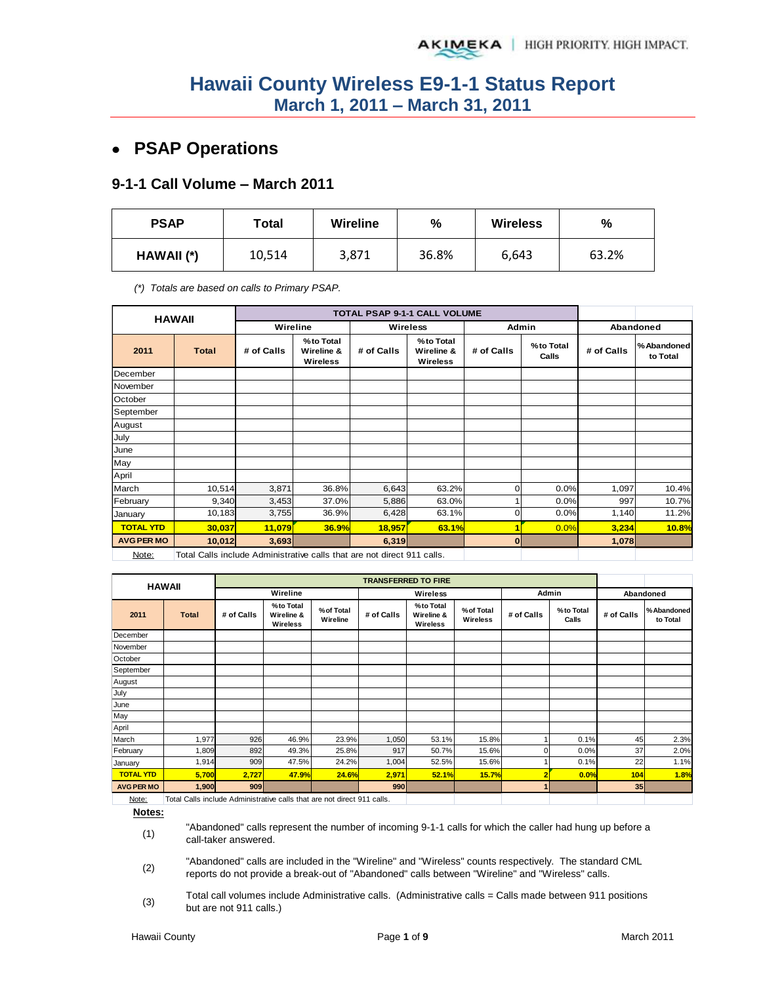# **PSAP Operations**

#### **9-1-1 Call Volume – March 2011**

| <b>PSAP</b> | Total  | <b>Wireline</b> | %     | <b>Wireless</b> | %     |  |
|-------------|--------|-----------------|-------|-----------------|-------|--|
| HAWAII (*)  | 10,514 | 3,871           | 36.8% | 6,643           | 63.2% |  |

*(\*) Totals are based on calls to Primary PSAP.* 

| <b>HAWAII</b>     |                                                                         |            |                                            |                                                          | TOTAL PSAP 9-1-1 CALL VOLUME |             |                    |            |                         |
|-------------------|-------------------------------------------------------------------------|------------|--------------------------------------------|----------------------------------------------------------|------------------------------|-------------|--------------------|------------|-------------------------|
|                   |                                                                         | Wireline   |                                            |                                                          | <b>Wireless</b>              | Admin       |                    | Abandoned  |                         |
| 2011              | <b>Total</b>                                                            | # of Calls | %to Total<br>Wireline &<br><b>Wireless</b> | %to Total<br># of Calls<br>Wireline &<br><b>Wireless</b> |                              | # of Calls  | %to Total<br>Calls | # of Calls | % Abandoned<br>to Total |
| December          |                                                                         |            |                                            |                                                          |                              |             |                    |            |                         |
| November          |                                                                         |            |                                            |                                                          |                              |             |                    |            |                         |
| October           |                                                                         |            |                                            |                                                          |                              |             |                    |            |                         |
| September         |                                                                         |            |                                            |                                                          |                              |             |                    |            |                         |
| August            |                                                                         |            |                                            |                                                          |                              |             |                    |            |                         |
| July              |                                                                         |            |                                            |                                                          |                              |             |                    |            |                         |
| June              |                                                                         |            |                                            |                                                          |                              |             |                    |            |                         |
| May               |                                                                         |            |                                            |                                                          |                              |             |                    |            |                         |
| April             |                                                                         |            |                                            |                                                          |                              |             |                    |            |                         |
| March             | 10,514                                                                  | 3,871      | 36.8%                                      | 6,643                                                    | 63.2%                        | $\mathbf 0$ | 0.0%               | 1,097      | 10.4%                   |
| February          | 9,340                                                                   | 3,453      | 37.0%                                      | 5,886                                                    | 63.0%                        |             | 0.0%               | 997        | 10.7%                   |
| January           | 10,183                                                                  | 3,755      | 36.9%                                      | 6,428                                                    | 63.1%                        | $\mathbf 0$ | 0.0%               | 1,140      | 11.2%                   |
| <b>TOTAL YTD</b>  | 30,037                                                                  | 11,079     | 36.9%                                      | 18,957                                                   | 63.1%                        | 1           | 0.0%               | 3,234      | 10.8%                   |
| <b>AVG PER MO</b> | 10,012                                                                  | 3,693      |                                            | 6,319                                                    |                              | 0           |                    | 1,078      |                         |
| Note:             | Total Calls include Administrative calls that are not direct 911 calls. |            |                                            |                                                          |                              |             |                    |            |                         |

|                   | <b>HAWAII</b>                                                           |            |                                     |                        | <b>TRANSFERRED TO FIRE</b> |                                     |                        |              |                    |            |                        |
|-------------------|-------------------------------------------------------------------------|------------|-------------------------------------|------------------------|----------------------------|-------------------------------------|------------------------|--------------|--------------------|------------|------------------------|
|                   |                                                                         |            | Wireline                            |                        |                            | Wireless                            |                        |              | Admin<br>Abandoned |            |                        |
| 2011              | <b>Total</b>                                                            | # of Calls | %to Total<br>Wireline &<br>Wireless | % of Total<br>Wireline | # of Calls                 | %to Total<br>Wireline &<br>Wireless | % of Total<br>Wireless | # of Calls   | %to Total<br>Calls | # of Calls | %Abandoned<br>to Total |
| December          |                                                                         |            |                                     |                        |                            |                                     |                        |              |                    |            |                        |
| November          |                                                                         |            |                                     |                        |                            |                                     |                        |              |                    |            |                        |
| October           |                                                                         |            |                                     |                        |                            |                                     |                        |              |                    |            |                        |
| September         |                                                                         |            |                                     |                        |                            |                                     |                        |              |                    |            |                        |
| August            |                                                                         |            |                                     |                        |                            |                                     |                        |              |                    |            |                        |
| July              |                                                                         |            |                                     |                        |                            |                                     |                        |              |                    |            |                        |
| June              |                                                                         |            |                                     |                        |                            |                                     |                        |              |                    |            |                        |
| May               |                                                                         |            |                                     |                        |                            |                                     |                        |              |                    |            |                        |
| April             |                                                                         |            |                                     |                        |                            |                                     |                        |              |                    |            |                        |
| March             | 1,977                                                                   | 926        | 46.9%                               | 23.9%                  | 1,050                      | 53.1%                               | 15.8%                  |              | 0.1%               | 45         | 2.3%                   |
| February          | 1,809                                                                   | 892        | 49.3%                               | 25.8%                  | 917                        | 50.7%                               | 15.6%                  | 0            | 0.0%               | 37         | 2.0%                   |
| January           | 1,914                                                                   | 909        | 47.5%                               | 24.2%                  | 1,004                      | 52.5%                               | 15.6%                  |              | 0.1%               | 22         | 1.1%                   |
| <b>TOTAL YTD</b>  | 5,700                                                                   | 2,727      | 47.9%                               | 24.6%                  | 2,971                      | 52.1%                               | 15.7%                  |              | 0.0%               | 104        | 1.8%                   |
| <b>AVG PER MO</b> | 1,900                                                                   | 909        |                                     |                        | 990                        |                                     |                        | $\mathbf{1}$ |                    | 35         |                        |
| Note:             | Total Calls include Administrative calls that are not direct 911 calls. |            |                                     |                        |                            |                                     |                        |              |                    |            |                        |

Note: Total Calls include Administrative calls that are not direct 911 calls.

**Notes:**

- (1) "Abandoned" calls represent the number of incoming 9-1-1 calls for which the caller had hung up before a call-taker answered.
- (2) "Abandoned" calls are included in the "Wireline" and "Wireless" counts respectively. The standard CML reports do not provide a break-out of "Abandoned" calls between "Wireline" and "Wireless" calls.
- (3) Total call volumes include Administrative calls. (Administrative calls = Calls made between 911 positions but are not 911 calls.)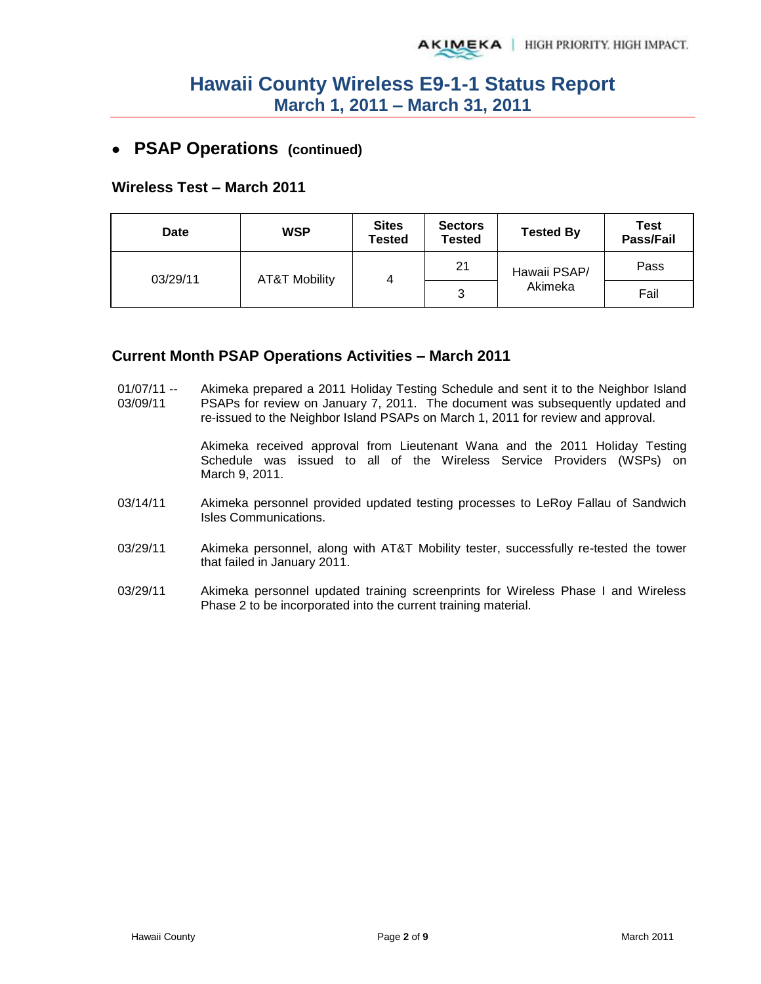### **PSAP Operations (continued)**

#### **Wireless Test – March 2011**

| <b>Date</b> | <b>WSP</b>               |   | <b>Sectors</b><br>Tested | <b>Tested By</b> | <b>Test</b><br>Pass/Fail |  |  |  |
|-------------|--------------------------|---|--------------------------|------------------|--------------------------|--|--|--|
| 03/29/11    | <b>AT&amp;T Mobility</b> | 4 | 21                       | Hawaii PSAP/     | Pass                     |  |  |  |
|             |                          |   | າ<br>ບ                   | Akimeka          | Fail                     |  |  |  |

#### **Current Month PSAP Operations Activities – March 2011**

 $01/07/11 -$ 03/09/11 Akimeka prepared a 2011 Holiday Testing Schedule and sent it to the Neighbor Island PSAPs for review on January 7, 2011. The document was subsequently updated and re-issued to the Neighbor Island PSAPs on March 1, 2011 for review and approval.

> Akimeka received approval from Lieutenant Wana and the 2011 Holiday Testing Schedule was issued to all of the Wireless Service Providers (WSPs) on March 9, 2011.

- 03/14/11 Akimeka personnel provided updated testing processes to LeRoy Fallau of Sandwich Isles Communications.
- 03/29/11 Akimeka personnel, along with AT&T Mobility tester, successfully re-tested the tower that failed in January 2011.
- 03/29/11 Akimeka personnel updated training screenprints for Wireless Phase I and Wireless Phase 2 to be incorporated into the current training material.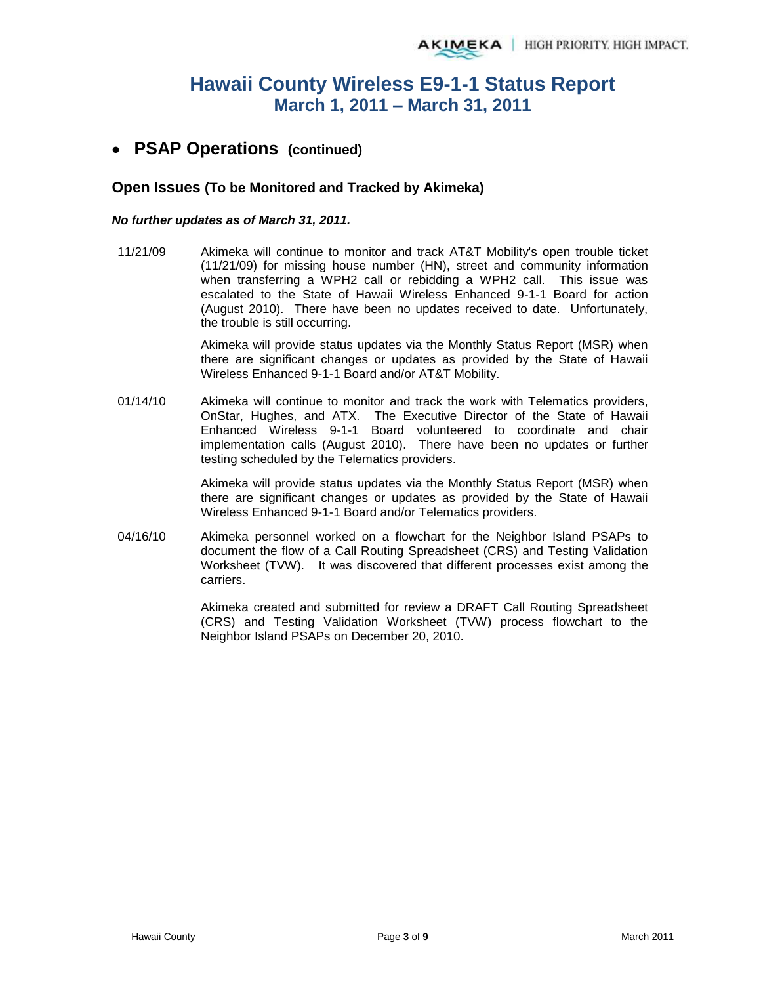### **PSAP Operations (continued)**

#### **Open Issues (To be Monitored and Tracked by Akimeka)**

#### *No further updates as of March 31, 2011.*

11/21/09 Akimeka will continue to monitor and track AT&T Mobility's open trouble ticket (11/21/09) for missing house number (HN), street and community information when transferring a WPH2 call or rebidding a WPH2 call. This issue was escalated to the State of Hawaii Wireless Enhanced 9-1-1 Board for action (August 2010). There have been no updates received to date. Unfortunately, the trouble is still occurring.

> Akimeka will provide status updates via the Monthly Status Report (MSR) when there are significant changes or updates as provided by the State of Hawaii Wireless Enhanced 9-1-1 Board and/or AT&T Mobility.

01/14/10 Akimeka will continue to monitor and track the work with Telematics providers, OnStar, Hughes, and ATX. The Executive Director of the State of Hawaii Enhanced Wireless 9-1-1 Board volunteered to coordinate and chair implementation calls (August 2010). There have been no updates or further testing scheduled by the Telematics providers.

> Akimeka will provide status updates via the Monthly Status Report (MSR) when there are significant changes or updates as provided by the State of Hawaii Wireless Enhanced 9-1-1 Board and/or Telematics providers.

04/16/10 Akimeka personnel worked on a flowchart for the Neighbor Island PSAPs to document the flow of a Call Routing Spreadsheet (CRS) and Testing Validation Worksheet (TVW). It was discovered that different processes exist among the carriers.

> Akimeka created and submitted for review a DRAFT Call Routing Spreadsheet (CRS) and Testing Validation Worksheet (TVW) process flowchart to the Neighbor Island PSAPs on December 20, 2010.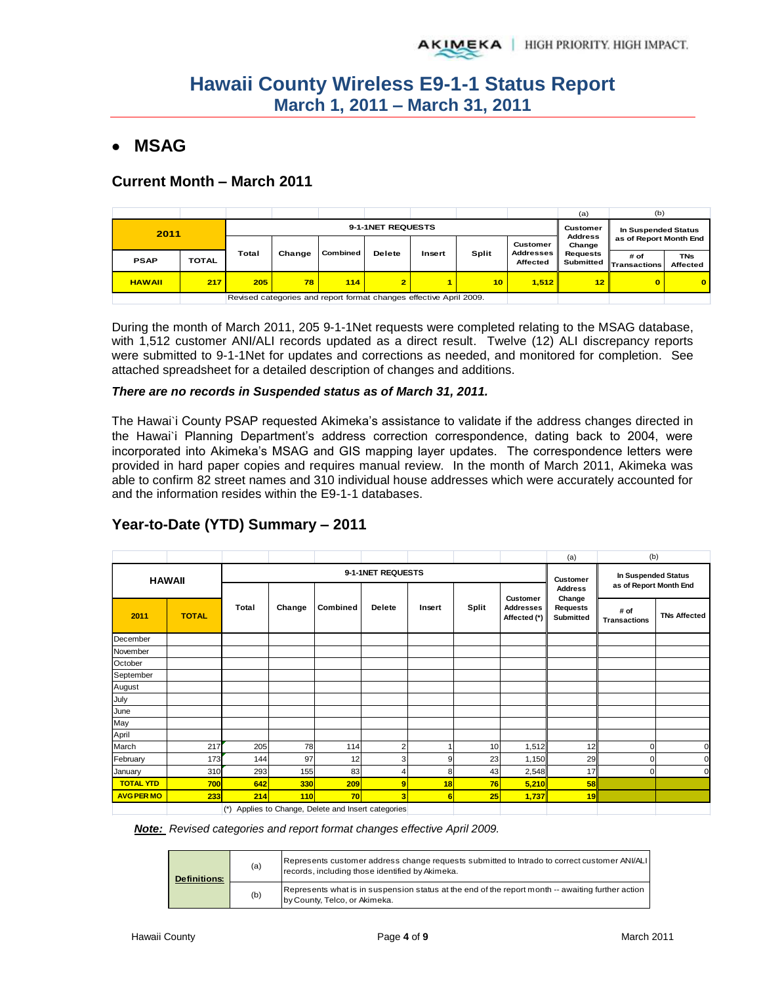# **MSAG**

### **Current Month – March 2011**

|               |              |       |                                                                    |          |                   |        |       |                              | (a)                      | (b)                            |                               |  |
|---------------|--------------|-------|--------------------------------------------------------------------|----------|-------------------|--------|-------|------------------------------|--------------------------|--------------------------------|-------------------------------|--|
| 2011          |              |       |                                                                    |          | 9-1-1NET REQUESTS |        |       |                              | Customer                 | In Suspended Status            |                               |  |
|               |              |       |                                                                    |          |                   |        |       | Customer                     | <b>Address</b><br>Change | as of Report Month End         |                               |  |
| <b>PSAP</b>   | <b>TOTAL</b> | Total | Change                                                             | Combined | <b>Delete</b>     | Insert | Split | <b>Addresses</b><br>Affected | <b>Requests</b>          | # of<br>Submitted Transactions | <b>TNs</b><br><b>Affected</b> |  |
| <b>HAWAII</b> | 217          | 205   | 78                                                                 | 114      | $\overline{2}$    |        | 10    | 1.512                        | 12 <sub>1</sub>          | O.                             | $\bf{0}$                      |  |
|               |              |       | Revised categories and report format changes effective April 2009. |          |                   |        |       |                              |                          |                                |                               |  |

During the month of March 2011, 205 9-1-1Net requests were completed relating to the MSAG database, with 1,512 customer ANI/ALI records updated as a direct result. Twelve (12) ALI discrepancy reports were submitted to 9-1-1Net for updates and corrections as needed, and monitored for completion. See attached spreadsheet for a detailed description of changes and additions.

#### *There are no records in Suspended status as of March 31, 2011.*

The Hawai`i County PSAP requested Akimeka's assistance to validate if the address changes directed in the Hawai`i Planning Department's address correction correspondence, dating back to 2004, were incorporated into Akimeka's MSAG and GIS mapping layer updates. The correspondence letters were provided in hard paper copies and requires manual review. In the month of March 2011, Akimeka was able to confirm 82 street names and 310 individual house addresses which were accurately accounted for and the information resides within the E9-1-1 databases.

|                   |               |       |        |                                                         |                   |        |       |                                  | (a)                          | (b)                                                  |                     |
|-------------------|---------------|-------|--------|---------------------------------------------------------|-------------------|--------|-------|----------------------------------|------------------------------|------------------------------------------------------|---------------------|
|                   | <b>HAWAII</b> |       |        |                                                         | 9-1-1NET REQUESTS |        |       |                                  | <b>Customer</b>              | <b>In Suspended Status</b><br>as of Report Month End |                     |
|                   |               |       |        |                                                         |                   |        |       | Customer                         | <b>Address</b><br>Change     |                                                      |                     |
| 2011              | <b>TOTAL</b>  | Total | Change | Combined                                                | Delete            | Insert | Split | <b>Addresses</b><br>Affected (*) | <b>Requests</b><br>Submitted | # of<br><b>Transactions</b>                          | <b>TNs Affected</b> |
| December          |               |       |        |                                                         |                   |        |       |                                  |                              |                                                      |                     |
| November          |               |       |        |                                                         |                   |        |       |                                  |                              |                                                      |                     |
| October           |               |       |        |                                                         |                   |        |       |                                  |                              |                                                      |                     |
| September         |               |       |        |                                                         |                   |        |       |                                  |                              |                                                      |                     |
| August            |               |       |        |                                                         |                   |        |       |                                  |                              |                                                      |                     |
| July              |               |       |        |                                                         |                   |        |       |                                  |                              |                                                      |                     |
| June              |               |       |        |                                                         |                   |        |       |                                  |                              |                                                      |                     |
| May               |               |       |        |                                                         |                   |        |       |                                  |                              |                                                      |                     |
| April             |               |       |        |                                                         |                   |        |       |                                  |                              |                                                      |                     |
| March             | 217           | 205   | 78     | 114                                                     | $\overline{2}$    |        | 10    | 1,512                            | 12                           | $\Omega$                                             | $\Omega$            |
| February          | 173           | 144   | 97     | 12                                                      | 3                 | 9      | 23    | 1,150                            | 29                           | ი                                                    | $\Omega$            |
| January           | 310           | 293   | 155    | 83                                                      | 4                 | 8      | 43    | 2,548                            | 17                           | $\mathbf{0}$                                         | $\Omega$            |
| <b>TOTAL YTD</b>  | 700           | 642   | 330    | 209                                                     | 9                 | 18     | 76    | 5,210                            | 58                           |                                                      |                     |
| <b>AVG PER MO</b> | 233           | 214   | 110    | 70                                                      | 3                 | 6      | 25    | 1,737                            | 19                           |                                                      |                     |
|                   |               |       |        | $(4)$ Applies to Observe. Delate and locate actionalist |                   |        |       |                                  |                              |                                                      |                     |

### **Year-to-Date (YTD) Summary – 2011**

(\*) Applies to Change, Delete and Insert categories

*Note: Revised categories and report format changes effective April 2009.*

| <b>Definitions:</b> | (a) | Represents customer address change requests submitted to Intrado to correct customer ANI/ALI<br>records, including those identified by Akimeka. |
|---------------------|-----|-------------------------------------------------------------------------------------------------------------------------------------------------|
|                     | (b) | Represents what is in suspension status at the end of the report month -- awaiting further action<br>by County, Telco, or Akimeka.              |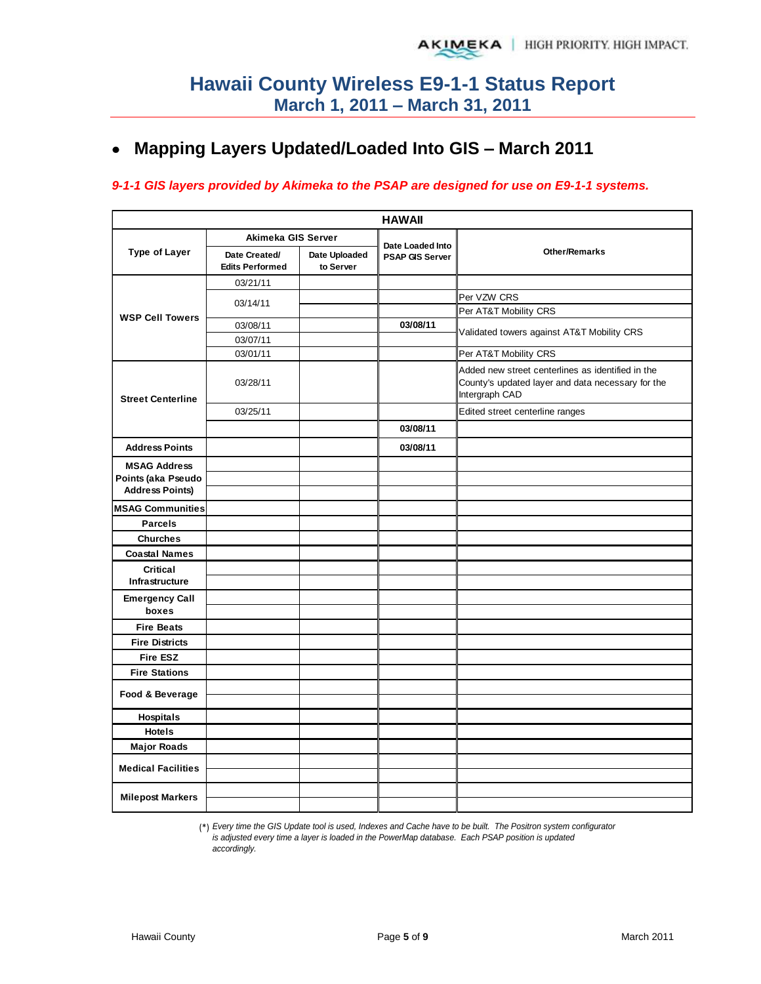# **Mapping Layers Updated/Loaded Into GIS – March 2011**

#### *9-1-1 GIS layers provided by Akimeka to the PSAP are designed for use on E9-1-1 systems.*

| <b>HAWAII</b>             |                                         |                            |                                            |                                                                                                                          |  |  |  |  |  |  |
|---------------------------|-----------------------------------------|----------------------------|--------------------------------------------|--------------------------------------------------------------------------------------------------------------------------|--|--|--|--|--|--|
|                           | Akimeka GIS Server                      |                            |                                            |                                                                                                                          |  |  |  |  |  |  |
| <b>Type of Layer</b>      | Date Created/<br><b>Edits Performed</b> | Date Uploaded<br>to Server | Date Loaded Into<br><b>PSAP GIS Server</b> | Other/Remarks                                                                                                            |  |  |  |  |  |  |
|                           | 03/21/11                                |                            |                                            |                                                                                                                          |  |  |  |  |  |  |
|                           | 03/14/11                                |                            |                                            | Per VZW CRS                                                                                                              |  |  |  |  |  |  |
| <b>WSP Cell Towers</b>    |                                         |                            |                                            | Per AT&T Mobility CRS                                                                                                    |  |  |  |  |  |  |
|                           | 03/08/11                                |                            | 03/08/11                                   | Validated towers against AT&T Mobility CRS                                                                               |  |  |  |  |  |  |
|                           | 03/07/11                                |                            |                                            |                                                                                                                          |  |  |  |  |  |  |
|                           | 03/01/11                                |                            |                                            | Per AT&T Mobility CRS                                                                                                    |  |  |  |  |  |  |
| <b>Street Centerline</b>  | 03/28/11                                |                            |                                            | Added new street centerlines as identified in the<br>County's updated layer and data necessary for the<br>Intergraph CAD |  |  |  |  |  |  |
|                           | 03/25/11                                |                            |                                            | Edited street centerline ranges                                                                                          |  |  |  |  |  |  |
|                           |                                         |                            | 03/08/11                                   |                                                                                                                          |  |  |  |  |  |  |
| <b>Address Points</b>     |                                         |                            | 03/08/11                                   |                                                                                                                          |  |  |  |  |  |  |
| <b>MSAG Address</b>       |                                         |                            |                                            |                                                                                                                          |  |  |  |  |  |  |
| Points (aka Pseudo        |                                         |                            |                                            |                                                                                                                          |  |  |  |  |  |  |
| <b>Address Points)</b>    |                                         |                            |                                            |                                                                                                                          |  |  |  |  |  |  |
| <b>MSAG Communities</b>   |                                         |                            |                                            |                                                                                                                          |  |  |  |  |  |  |
| <b>Parcels</b>            |                                         |                            |                                            |                                                                                                                          |  |  |  |  |  |  |
| <b>Churches</b>           |                                         |                            |                                            |                                                                                                                          |  |  |  |  |  |  |
| <b>Coastal Names</b>      |                                         |                            |                                            |                                                                                                                          |  |  |  |  |  |  |
| Critical                  |                                         |                            |                                            |                                                                                                                          |  |  |  |  |  |  |
| Infrastructure            |                                         |                            |                                            |                                                                                                                          |  |  |  |  |  |  |
| <b>Emergency Call</b>     |                                         |                            |                                            |                                                                                                                          |  |  |  |  |  |  |
| boxes                     |                                         |                            |                                            |                                                                                                                          |  |  |  |  |  |  |
| <b>Fire Beats</b>         |                                         |                            |                                            |                                                                                                                          |  |  |  |  |  |  |
| <b>Fire Districts</b>     |                                         |                            |                                            |                                                                                                                          |  |  |  |  |  |  |
| <b>Fire ESZ</b>           |                                         |                            |                                            |                                                                                                                          |  |  |  |  |  |  |
| <b>Fire Stations</b>      |                                         |                            |                                            |                                                                                                                          |  |  |  |  |  |  |
| Food & Beverage           |                                         |                            |                                            |                                                                                                                          |  |  |  |  |  |  |
| Hospitals                 |                                         |                            |                                            |                                                                                                                          |  |  |  |  |  |  |
| <b>Hotels</b>             |                                         |                            |                                            |                                                                                                                          |  |  |  |  |  |  |
| <b>Major Roads</b>        |                                         |                            |                                            |                                                                                                                          |  |  |  |  |  |  |
|                           |                                         |                            |                                            |                                                                                                                          |  |  |  |  |  |  |
| <b>Medical Facilities</b> |                                         |                            |                                            |                                                                                                                          |  |  |  |  |  |  |
| <b>Milepost Markers</b>   |                                         |                            |                                            |                                                                                                                          |  |  |  |  |  |  |

(\*) *Every time the GIS Update tool is used, Indexes and Cache have to be built. The Positron system configurator is adjusted every time a layer is loaded in the PowerMap database. Each PSAP position is updated accordingly.*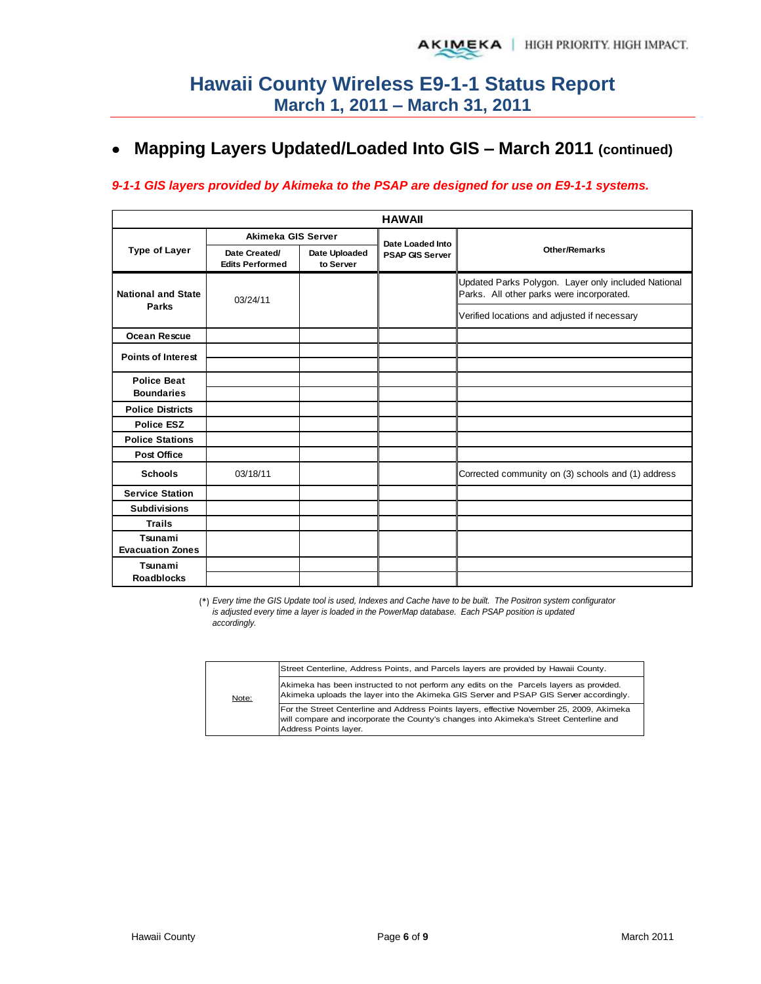# **Mapping Layers Updated/Loaded Into GIS – March 2011 (continued)**

#### *9-1-1 GIS layers provided by Akimeka to the PSAP are designed for use on E9-1-1 systems.*

|                                         | <b>HAWAII</b>                           |                            |                        |                                                                                                  |  |  |  |  |  |  |  |
|-----------------------------------------|-----------------------------------------|----------------------------|------------------------|--------------------------------------------------------------------------------------------------|--|--|--|--|--|--|--|
|                                         | Akimeka GIS Server                      |                            | Date Loaded Into       |                                                                                                  |  |  |  |  |  |  |  |
| <b>Type of Layer</b>                    | Date Created/<br><b>Edits Performed</b> | Date Uploaded<br>to Server | <b>PSAP GIS Server</b> | <b>Other/Remarks</b>                                                                             |  |  |  |  |  |  |  |
| <b>National and State</b>               | 03/24/11                                |                            |                        | Updated Parks Polygon. Layer only included National<br>Parks. All other parks were incorporated. |  |  |  |  |  |  |  |
| Parks                                   |                                         |                            |                        | Verified locations and adjusted if necessary                                                     |  |  |  |  |  |  |  |
| <b>Ocean Rescue</b>                     |                                         |                            |                        |                                                                                                  |  |  |  |  |  |  |  |
| <b>Points of Interest</b>               |                                         |                            |                        |                                                                                                  |  |  |  |  |  |  |  |
|                                         |                                         |                            |                        |                                                                                                  |  |  |  |  |  |  |  |
| <b>Police Beat</b><br><b>Boundaries</b> |                                         |                            |                        |                                                                                                  |  |  |  |  |  |  |  |
|                                         |                                         |                            |                        |                                                                                                  |  |  |  |  |  |  |  |
| <b>Police Districts</b>                 |                                         |                            |                        |                                                                                                  |  |  |  |  |  |  |  |
| <b>Police ESZ</b>                       |                                         |                            |                        |                                                                                                  |  |  |  |  |  |  |  |
| <b>Police Stations</b>                  |                                         |                            |                        |                                                                                                  |  |  |  |  |  |  |  |
| <b>Post Office</b>                      |                                         |                            |                        |                                                                                                  |  |  |  |  |  |  |  |
| <b>Schools</b>                          | 03/18/11                                |                            |                        | Corrected community on (3) schools and (1) address                                               |  |  |  |  |  |  |  |
| <b>Service Station</b>                  |                                         |                            |                        |                                                                                                  |  |  |  |  |  |  |  |
| <b>Subdivisions</b>                     |                                         |                            |                        |                                                                                                  |  |  |  |  |  |  |  |
| <b>Trails</b>                           |                                         |                            |                        |                                                                                                  |  |  |  |  |  |  |  |
| Tsunami<br><b>Evacuation Zones</b>      |                                         |                            |                        |                                                                                                  |  |  |  |  |  |  |  |
| Tsunami                                 |                                         |                            |                        |                                                                                                  |  |  |  |  |  |  |  |
| <b>Roadblocks</b>                       |                                         |                            |                        |                                                                                                  |  |  |  |  |  |  |  |

(\*) *Every time the GIS Update tool is used, Indexes and Cache have to be built. The Positron system configurator is adjusted every time a layer is loaded in the PowerMap database. Each PSAP position is updated accordingly.*

|       | Street Centerline, Address Points, and Parcels layers are provided by Hawaii County.                                                                                                                         |
|-------|--------------------------------------------------------------------------------------------------------------------------------------------------------------------------------------------------------------|
| Note: | Akimeka has been instructed to not perform any edits on the Parcels layers as provided.<br>Akimeka uploads the layer into the Akimeka GIS Server and PSAP GIS Server accordingly.                            |
|       | For the Street Centerline and Address Points layers, effective November 25, 2009, Akimeka<br>will compare and incorporate the County's changes into Akimeka's Street Centerline and<br>Address Points layer. |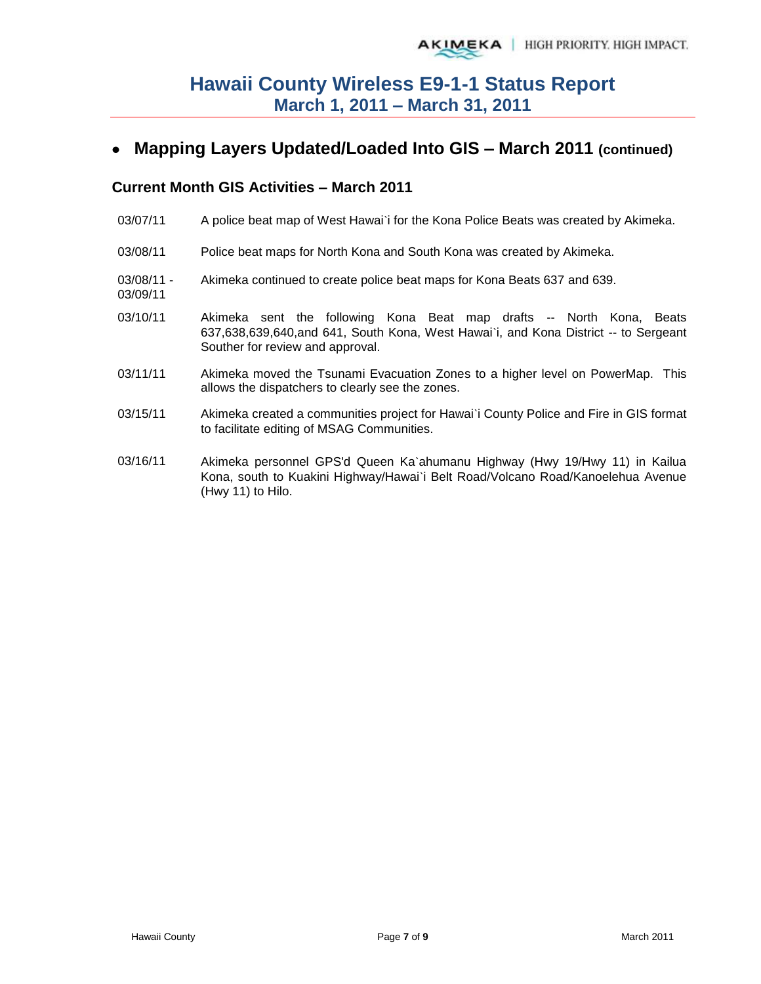# **Mapping Layers Updated/Loaded Into GIS – March 2011 (continued)**

### **Current Month GIS Activities – March 2011**

03/09/11

- 03/07/11 A police beat map of West Hawai'i for the Kona Police Beats was created by Akimeka.
- 03/08/11 Police beat maps for North Kona and South Kona was created by Akimeka.
- 03/08/11 Akimeka continued to create police beat maps for Kona Beats 637 and 639.
- 03/10/11 Akimeka sent the following Kona Beat map drafts -- North Kona, Beats 637,638,639,640,and 641, South Kona, West Hawai`i, and Kona District -- to Sergeant Souther for review and approval.
- 03/11/11 Akimeka moved the Tsunami Evacuation Zones to a higher level on PowerMap. This allows the dispatchers to clearly see the zones.
- 03/15/11 Akimeka created a communities project for Hawai`i County Police and Fire in GIS format to facilitate editing of MSAG Communities.
- 03/16/11 Akimeka personnel GPS'd Queen Ka`ahumanu Highway (Hwy 19/Hwy 11) in Kailua Kona, south to Kuakini Highway/Hawai`i Belt Road/Volcano Road/Kanoelehua Avenue (Hwy 11) to Hilo.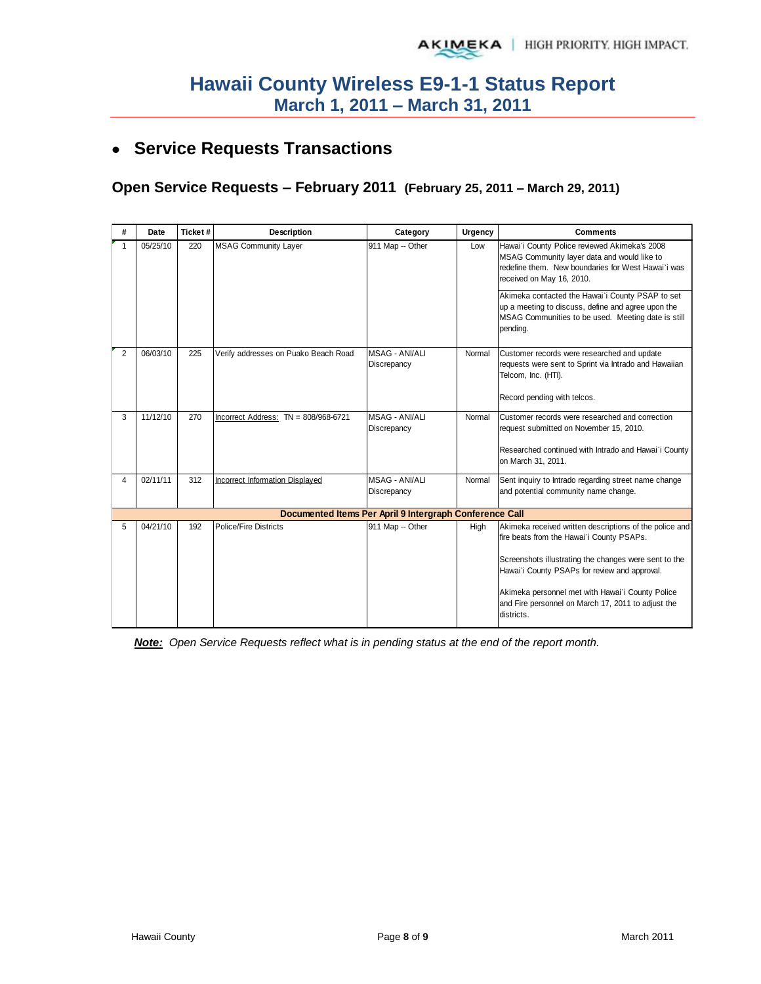# **Service Requests Transactions**

# **Open Service Requests – February 2011 (February 25, 2011 – March 29, 2011)**

| #            | Date     | Ticket# | <b>Description</b>                     | Category                                                | Urgency | <b>Comments</b>                                                                                                                                                                                                |
|--------------|----------|---------|----------------------------------------|---------------------------------------------------------|---------|----------------------------------------------------------------------------------------------------------------------------------------------------------------------------------------------------------------|
| $\mathbf{1}$ | 05/25/10 | 220     | <b>MSAG Community Layer</b>            | 911 Map -- Other                                        | Low     | Hawai'i County Police reviewed Akimeka's 2008<br>MSAG Community layer data and would like to<br>redefine them. New boundaries for West Hawai'i was<br>received on May 16, 2010.                                |
|              |          |         |                                        |                                                         |         | Akimeka contacted the Hawai'i County PSAP to set<br>up a meeting to discuss, define and agree upon the<br>MSAG Communities to be used. Meeting date is still<br>pending.                                       |
| 2            | 06/03/10 | 225     | Verify addresses on Puako Beach Road   | <b>MSAG - ANI/ALI</b><br>Discrepancy                    | Normal  | Customer records were researched and update<br>requests were sent to Sprint via Intrado and Hawaiian<br>Telcom, Inc. (HTI).                                                                                    |
|              |          |         |                                        |                                                         |         | Record pending with telcos.                                                                                                                                                                                    |
| 3            | 11/12/10 | 270     | Incorrect Address: TN = 808/968-6721   | <b>MSAG - ANI/ALI</b><br>Discrepancy                    | Normal  | Customer records were researched and correction<br>request submitted on November 15, 2010.                                                                                                                     |
|              |          |         |                                        |                                                         |         | Researched continued with Intrado and Hawai'i County<br>on March 31, 2011.                                                                                                                                     |
| 4            | 02/11/11 | 312     | <b>Incorrect Information Displayed</b> | <b>MSAG - ANI/ALI</b><br>Discrepancy                    | Normal  | Sent inquiry to Intrado regarding street name change<br>and potential community name change.                                                                                                                   |
|              |          |         |                                        | Documented Items Per April 9 Intergraph Conference Call |         |                                                                                                                                                                                                                |
| 5            | 04/21/10 | 192     | <b>Police/Fire Districts</b>           | 911 Map -- Other                                        | High    | Akimeka received written descriptions of the police and<br>fire beats from the Hawai'i County PSAPs.<br>Screenshots illustrating the changes were sent to the<br>Hawai'i County PSAPs for review and approval. |
|              |          |         |                                        |                                                         |         | Akimeka personnel met with Hawai'i County Police<br>and Fire personnel on March 17, 2011 to adjust the<br>districts.                                                                                           |

*Note: Open Service Requests reflect what is in pending status at the end of the report month.*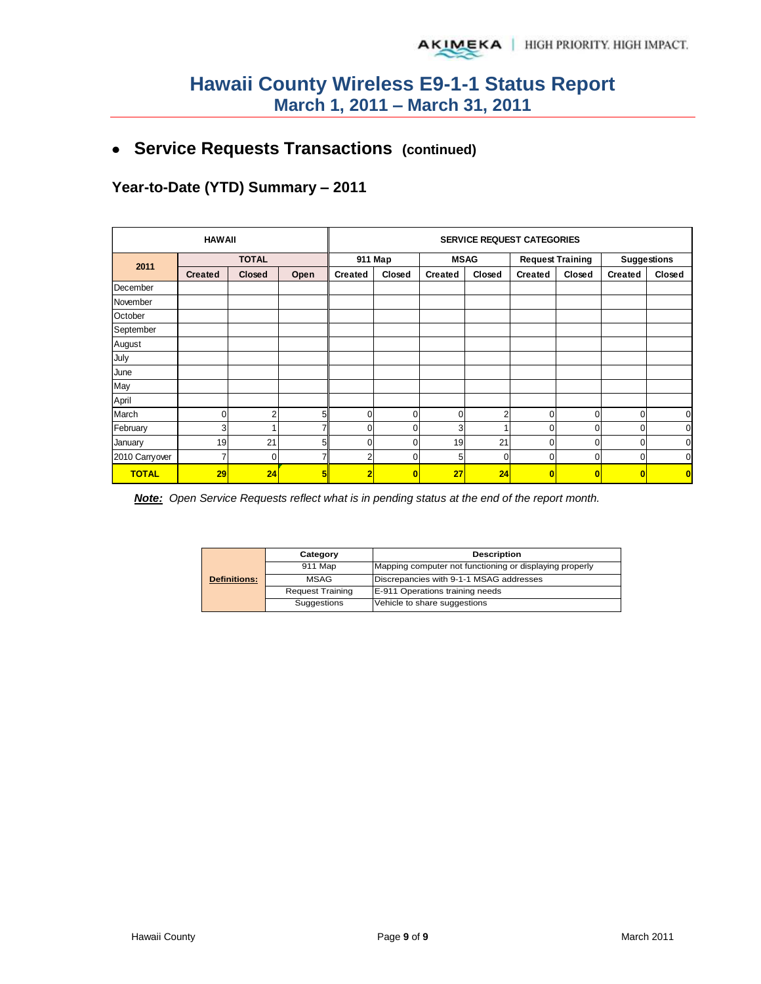**Service Requests Transactions (continued)**

**Year-to-Date (YTD) Summary – 2011**

|                | <b>HAWAII</b>  |          |                |                | <b>SERVICE REQUEST CATEGORIES</b> |                |                |                         |                |                    |             |  |
|----------------|----------------|----------|----------------|----------------|-----------------------------------|----------------|----------------|-------------------------|----------------|--------------------|-------------|--|
| 2011           | <b>TOTAL</b>   |          |                |                | 911 Map<br><b>MSAG</b>            |                |                | <b>Request Training</b> |                | <b>Suggestions</b> |             |  |
|                | <b>Created</b> | Closed   | Open           | <b>Created</b> | Closed                            | <b>Created</b> | Closed         | <b>Created</b>          | Closed         | <b>Created</b>     | Closed      |  |
| December       |                |          |                |                |                                   |                |                |                         |                |                    |             |  |
| November       |                |          |                |                |                                   |                |                |                         |                |                    |             |  |
| October        |                |          |                |                |                                   |                |                |                         |                |                    |             |  |
| September      |                |          |                |                |                                   |                |                |                         |                |                    |             |  |
| August         |                |          |                |                |                                   |                |                |                         |                |                    |             |  |
| July           |                |          |                |                |                                   |                |                |                         |                |                    |             |  |
| June           |                |          |                |                |                                   |                |                |                         |                |                    |             |  |
| May            |                |          |                |                |                                   |                |                |                         |                |                    |             |  |
| April          |                |          |                |                |                                   |                |                |                         |                |                    |             |  |
| March          | 0              | 2        | 5 <sup>1</sup> | $\Omega$       | $\Omega$                          | 0              | $\overline{2}$ | $\mathbf 0$             | 0              | 0                  | $\mathbf 0$ |  |
| February       | 3              |          |                |                | $\Omega$                          | 3              |                | 0                       | 0              | 0                  | $\mathbf 0$ |  |
| January        | 19             | 21       | 5 <sup>1</sup> |                | $\Omega$                          | 19             | 21             | 0                       | $\mathbf 0$    | 0                  | $\mathbf 0$ |  |
| 2010 Carryover | 7              | $\Omega$ |                |                | 0                                 | 5              | $\Omega$       | 0                       | 0              | 0                  | $\mathbf 0$ |  |
| <b>TOTAL</b>   | 29             | 24       | 5II            | 2              | 0                                 | 27             | 24             | $\mathbf{0}$            | $\overline{0}$ |                    | $\bf{0}$    |  |

*Note: Open Service Requests reflect what is in pending status at the end of the report month.* 

| <b>Definitions:</b> | Category                | <b>Description</b>                                      |  |  |  |
|---------------------|-------------------------|---------------------------------------------------------|--|--|--|
|                     | 911 Map                 | Mapping computer not functioning or displaying properly |  |  |  |
|                     | <b>MSAG</b>             | Discrepancies with 9-1-1 MSAG addresses                 |  |  |  |
|                     | <b>Request Training</b> | E-911 Operations training needs                         |  |  |  |
|                     | Suggestions             | Vehicle to share suggestions                            |  |  |  |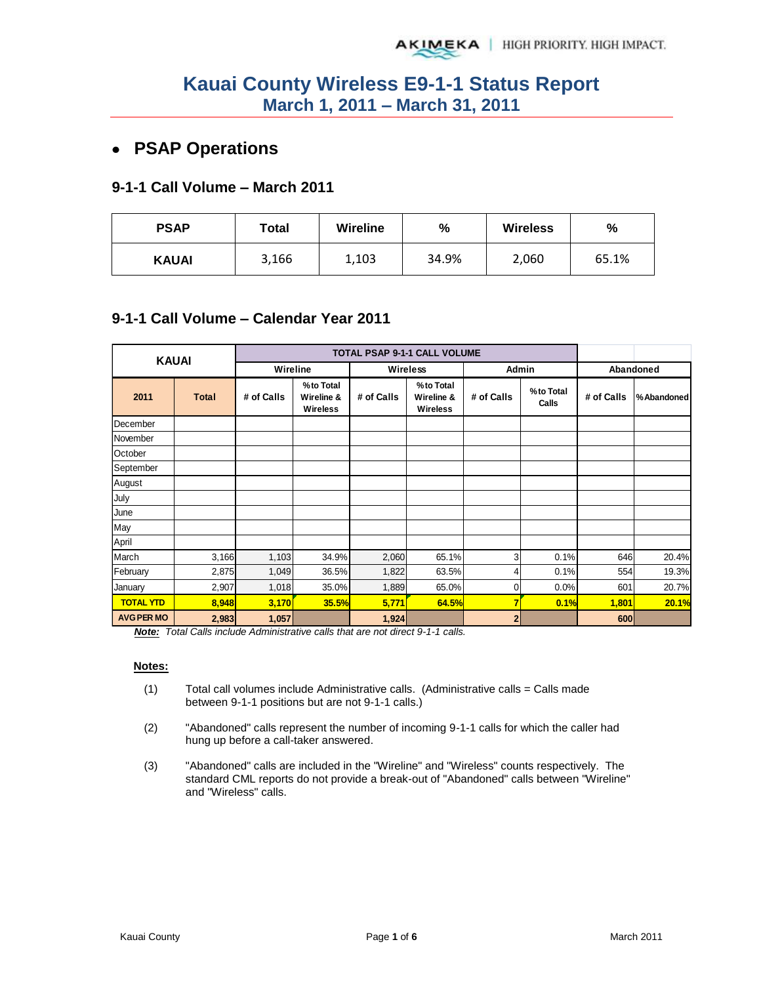# **PSAP Operations**

#### **9-1-1 Call Volume – March 2011**

| <b>PSAP</b>  | Total |       | $\frac{9}{6}$ | <b>Wireless</b> | %     |  |
|--------------|-------|-------|---------------|-----------------|-------|--|
| <b>KAUAI</b> | 3,166 | 1,103 | 34.9%         | 2,060           | 65.1% |  |

### **9-1-1 Call Volume – Calendar Year 2011**

| <b>KAUAI</b>      |              |            |                                            | TOTAL PSAP 9-1-1 CALL VOLUME |                                            |                |                    |            |            |
|-------------------|--------------|------------|--------------------------------------------|------------------------------|--------------------------------------------|----------------|--------------------|------------|------------|
|                   |              | Wireline   |                                            | Wireless                     |                                            | Admin          |                    |            | Abandoned  |
| 2011              | <b>Total</b> | # of Calls | %to Total<br>Wireline &<br><b>Wireless</b> | # of Calls                   | %to Total<br>Wireline &<br><b>Wireless</b> | # of Calls     | %to Total<br>Calls | # of Calls | %Abandoned |
| December          |              |            |                                            |                              |                                            |                |                    |            |            |
| November          |              |            |                                            |                              |                                            |                |                    |            |            |
| October           |              |            |                                            |                              |                                            |                |                    |            |            |
| September         |              |            |                                            |                              |                                            |                |                    |            |            |
| August            |              |            |                                            |                              |                                            |                |                    |            |            |
| July              |              |            |                                            |                              |                                            |                |                    |            |            |
| June              |              |            |                                            |                              |                                            |                |                    |            |            |
| May               |              |            |                                            |                              |                                            |                |                    |            |            |
| April             |              |            |                                            |                              |                                            |                |                    |            |            |
| March             | 3,166        | 1,103      | 34.9%                                      | 2,060                        | 65.1%                                      | 3              | 0.1%               | 646        | 20.4%      |
| February          | 2,875        | 1,049      | 36.5%                                      | 1,822                        | 63.5%                                      | 4              | 0.1%               | 554        | 19.3%      |
| January           | 2,907        | 1,018      | 35.0%                                      | 1,889                        | 65.0%                                      | $\overline{0}$ | 0.0%               | 601        | 20.7%      |
| <b>TOTAL YTD</b>  | 8,948        | 3,170      | <b>35.5%</b>                               | 5,771                        | 64.5%                                      | 7              | 0.1%               | 1,801      | 20.1%      |
| <b>AVG PER MO</b> | 2,983        | 1,057      |                                            | 1,924                        |                                            | 2 <sub>1</sub> |                    | 600        |            |

*Note: Total Calls include Administrative calls that are not direct 9-1-1 calls.* 

#### **Notes:**

- $(1)$  Total call volumes include Administrative calls. (Administrative calls = Calls made between 9-1-1 positions but are not 9-1-1 calls.)
- (2) "Abandoned" calls represent the number of incoming 9-1-1 calls for which the caller had hung up before a call-taker answered.
- (3) "Abandoned" calls are included in the "Wireline" and "Wireless" counts respectively. The standard CML reports do not provide a break-out of "Abandoned" calls between "Wireline" and "Wireless" calls.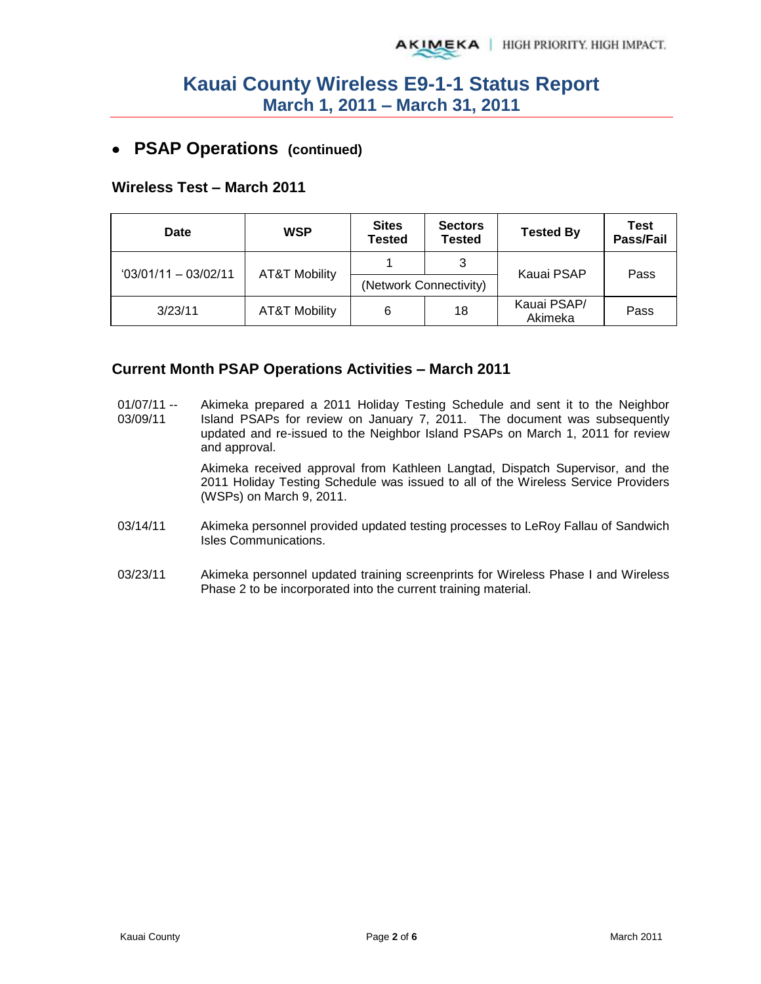# **PSAP Operations (continued)**

#### **Wireless Test – March 2011**

| Date                  | <b>WSP</b>               | <b>Sites</b><br><b>Tested</b> | <b>Sectors</b><br><b>Tested</b> | <b>Tested By</b>       | Test<br>Pass/Fail |
|-----------------------|--------------------------|-------------------------------|---------------------------------|------------------------|-------------------|
| $03/01/11 - 03/02/11$ | <b>AT&amp;T Mobility</b> |                               | 3                               | Kauai PSAP             | Pass              |
|                       |                          |                               | (Network Connectivity)          |                        |                   |
| 3/23/11               | <b>AT&amp;T Mobility</b> | 6                             | 18                              | Kauai PSAP/<br>Akimeka | Pass              |

#### **Current Month PSAP Operations Activities – March 2011**

- $01/07/11 -$ 03/09/11 Akimeka prepared a 2011 Holiday Testing Schedule and sent it to the Neighbor Island PSAPs for review on January 7, 2011. The document was subsequently updated and re-issued to the Neighbor Island PSAPs on March 1, 2011 for review and approval. Akimeka received approval from Kathleen Langtad, Dispatch Supervisor, and the 2011 Holiday Testing Schedule was issued to all of the Wireless Service Providers (WSPs) on March 9, 2011.
- 03/14/11 Akimeka personnel provided updated testing processes to LeRoy Fallau of Sandwich Isles Communications.
- 03/23/11 Akimeka personnel updated training screenprints for Wireless Phase I and Wireless Phase 2 to be incorporated into the current training material.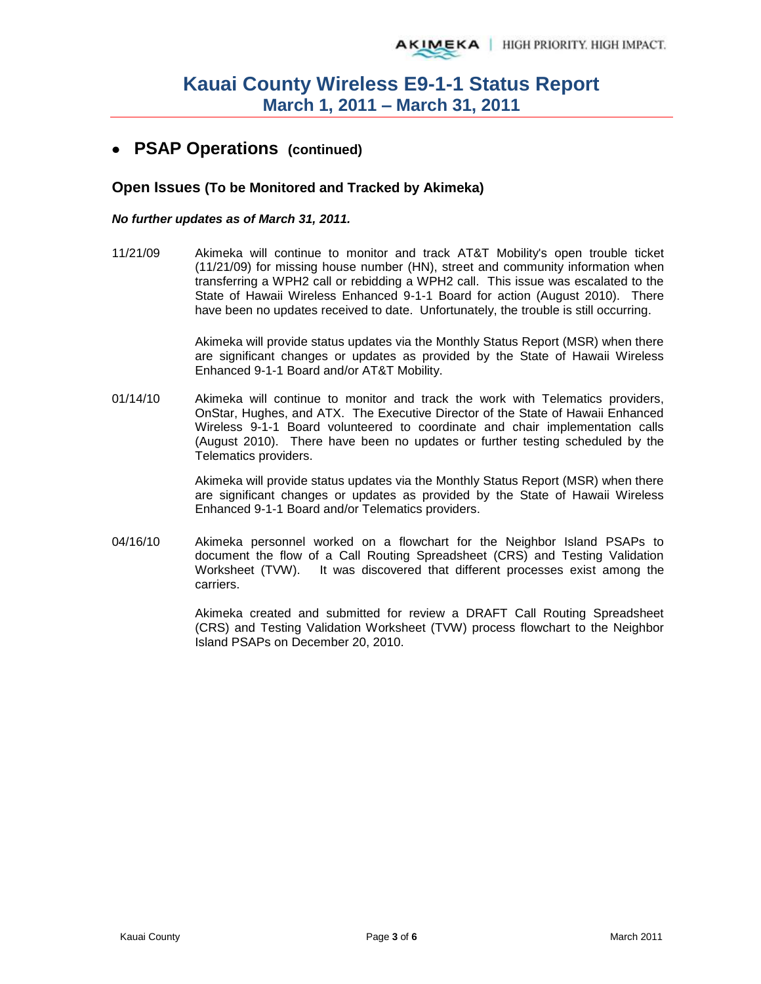### **PSAP Operations (continued)**

#### **Open Issues (To be Monitored and Tracked by Akimeka)**

#### *No further updates as of March 31, 2011.*

11/21/09 Akimeka will continue to monitor and track AT&T Mobility's open trouble ticket (11/21/09) for missing house number (HN), street and community information when transferring a WPH2 call or rebidding a WPH2 call. This issue was escalated to the State of Hawaii Wireless Enhanced 9-1-1 Board for action (August 2010). There have been no updates received to date. Unfortunately, the trouble is still occurring.

> Akimeka will provide status updates via the Monthly Status Report (MSR) when there are significant changes or updates as provided by the State of Hawaii Wireless Enhanced 9-1-1 Board and/or AT&T Mobility.

01/14/10 Akimeka will continue to monitor and track the work with Telematics providers, OnStar, Hughes, and ATX. The Executive Director of the State of Hawaii Enhanced Wireless 9-1-1 Board volunteered to coordinate and chair implementation calls (August 2010). There have been no updates or further testing scheduled by the Telematics providers.

> Akimeka will provide status updates via the Monthly Status Report (MSR) when there are significant changes or updates as provided by the State of Hawaii Wireless Enhanced 9-1-1 Board and/or Telematics providers.

04/16/10 Akimeka personnel worked on a flowchart for the Neighbor Island PSAPs to document the flow of a Call Routing Spreadsheet (CRS) and Testing Validation Worksheet (TVW). It was discovered that different processes exist among the carriers.

> Akimeka created and submitted for review a DRAFT Call Routing Spreadsheet (CRS) and Testing Validation Worksheet (TVW) process flowchart to the Neighbor Island PSAPs on December 20, 2010.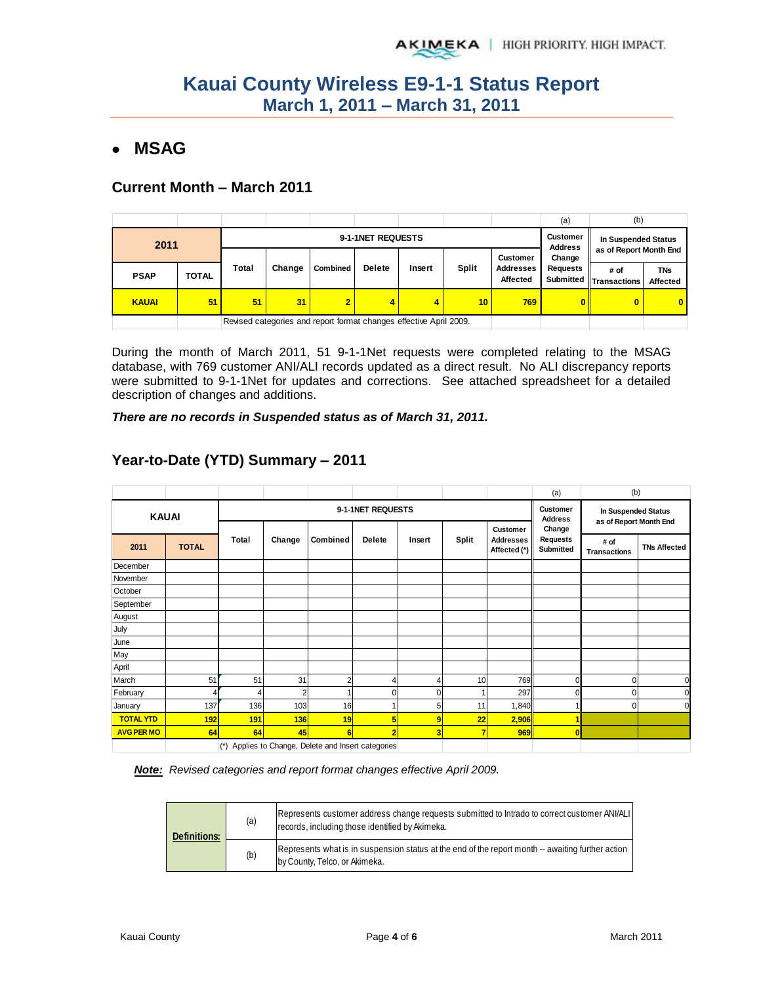# **MSAG**

### **Current Month – March 2011**

|              |              |       |        |                                                                    |                            |                     |              |                       | (a)             | (b)                            |                        |
|--------------|--------------|-------|--------|--------------------------------------------------------------------|----------------------------|---------------------|--------------|-----------------------|-----------------|--------------------------------|------------------------|
| 2011         |              |       |        | 9-1-1NET REQUESTS                                                  | Customer<br><b>Address</b> | In Suspended Status |              |                       |                 |                                |                        |
|              |              |       |        |                                                                    |                            |                     |              | <b>Customer</b>       | Change          | as of Report Month End         |                        |
| <b>PSAP</b>  | <b>TOTAL</b> | Total | Change | <b>Combined</b>                                                    | <b>Delete</b>              | Insert              | <b>Split</b> | Addresses<br>Affected | <b>Requests</b> | # of<br>Submitted Transactions | <b>TNs</b><br>Affected |
| <b>KAUAI</b> | 51           | 51    | 31     | $\overline{2}$                                                     | 4                          | 4                   | 10           | 769                   | 0               | 0                              | 0                      |
|              |              |       |        | Revised categories and report format changes effective April 2009. |                            |                     |              |                       |                 |                                |                        |

During the month of March 2011, 51 9-1-1Net requests were completed relating to the MSAG database, with 769 customer ANI/ALI records updated as a direct result. No ALI discrepancy reports were submitted to 9-1-1Net for updates and corrections. See attached spreadsheet for a detailed description of changes and additions.

*There are no records in Suspended status as of March 31, 2011.* 

|                      |              |                 |     |                   |                                                 |                                               |       |                                              | (a)                             | (b)                                                |          |
|----------------------|--------------|-----------------|-----|-------------------|-------------------------------------------------|-----------------------------------------------|-------|----------------------------------------------|---------------------------------|----------------------------------------------------|----------|
|                      | <b>KAUAI</b> |                 |     | 9-1-1NET REQUESTS | Customer<br><b>Address</b>                      | In Suspended Status<br>as of Report Month End |       |                                              |                                 |                                                    |          |
| <b>TOTAL</b><br>2011 |              | Total<br>Change |     | Combined          | <b>Delete</b>                                   |                                               | Split | Customer<br><b>Addresses</b><br>Affected (*) | Change<br>Requests<br>Submitted | # of<br><b>TNs Affected</b><br><b>Transactions</b> |          |
| December             |              |                 |     |                   |                                                 |                                               |       |                                              |                                 |                                                    |          |
| November             |              |                 |     |                   |                                                 |                                               |       |                                              |                                 |                                                    |          |
| October              |              |                 |     |                   |                                                 |                                               |       |                                              |                                 |                                                    |          |
| September            |              |                 |     |                   |                                                 |                                               |       |                                              |                                 |                                                    |          |
| August               |              |                 |     |                   |                                                 |                                               |       |                                              |                                 |                                                    |          |
| July                 |              |                 |     |                   |                                                 |                                               |       |                                              |                                 |                                                    |          |
| June                 |              |                 |     |                   |                                                 |                                               |       |                                              |                                 |                                                    |          |
| May                  |              |                 |     |                   |                                                 |                                               |       |                                              |                                 |                                                    |          |
| April                |              |                 |     |                   |                                                 |                                               |       |                                              |                                 |                                                    |          |
| March                | 51           | 51              | 31  | $\overline{2}$    | 4                                               | $\overline{4}$                                | 10    | 769                                          | $\Omega$                        | U                                                  | $\Omega$ |
| February             |              | 4               | 2   |                   | 0                                               | 0                                             |       | 297                                          | 0                               |                                                    | n        |
| January              | 137          | 136             | 103 | 16                |                                                 | 5                                             | 11    | 1,840                                        |                                 | 0                                                  | $\Omega$ |
| <b>TOTAL YTD</b>     | 192          | 191             | 136 | 19                | 5                                               | 9                                             | 22    | 2,906                                        |                                 |                                                    |          |
| <b>AVG PER MO</b>    | 64           | 64              | 45  | 6                 | $\overline{2}$                                  | 3                                             | 7     | 969                                          | $\bf{0}$                        |                                                    |          |
|                      |              | $(*)$           |     |                   | Applies to Change, Delete and Insert categories |                                               |       |                                              |                                 |                                                    |          |

### **Year-to-Date (YTD) Summary – 2011**

*Note: Revised categories and report format changes effective April 2009.* 

| <b>Definitions:</b> | (a) | Represents customer address change requests submitted to Intrado to correct customer ANI/ALI<br>records, including those identified by Akimeka. |
|---------------------|-----|-------------------------------------------------------------------------------------------------------------------------------------------------|
|                     | (b) | Represents what is in suspension status at the end of the report month -- awaiting further action<br>by County, Telco, or Akimeka.              |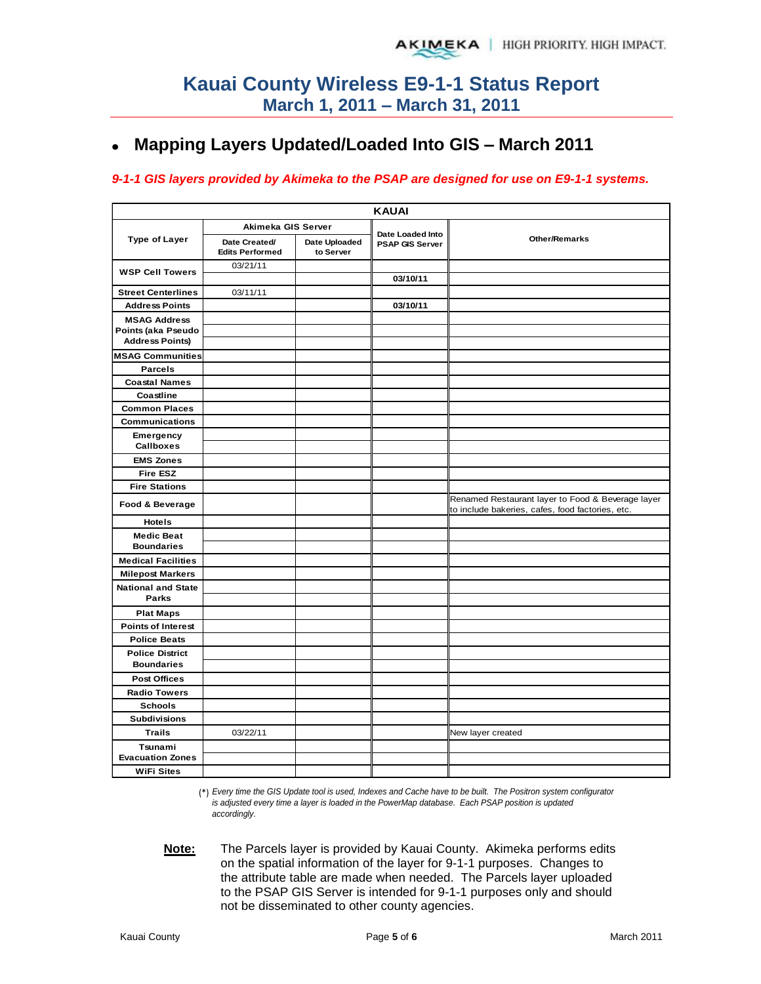#### **Mapping Layers Updated/Loaded Into GIS – March 2011**  $\bullet$

#### *9-1-1 GIS layers provided by Akimeka to the PSAP are designed for use on E9-1-1 systems.*

|                           |                                         |                            | <b>KAUAI</b>                        |                                                                                                       |
|---------------------------|-----------------------------------------|----------------------------|-------------------------------------|-------------------------------------------------------------------------------------------------------|
|                           | Akimeka GIS Server                      |                            |                                     |                                                                                                       |
| <b>Type of Layer</b>      | Date Created/<br><b>Edits Performed</b> | Date Uploaded<br>to Server | Date Loaded Into<br>PSAP GIS Server | <b>Other/Remarks</b>                                                                                  |
| <b>WSP Cell Towers</b>    | 03/21/11                                |                            |                                     |                                                                                                       |
|                           |                                         |                            | 03/10/11                            |                                                                                                       |
| <b>Street Centerlines</b> | 03/11/11                                |                            |                                     |                                                                                                       |
| <b>Address Points</b>     |                                         |                            | 03/10/11                            |                                                                                                       |
| <b>MSAG Address</b>       |                                         |                            |                                     |                                                                                                       |
| Points (aka Pseudo        |                                         |                            |                                     |                                                                                                       |
| <b>Address Points)</b>    |                                         |                            |                                     |                                                                                                       |
| <b>MSAG Communities</b>   |                                         |                            |                                     |                                                                                                       |
| <b>Parcels</b>            |                                         |                            |                                     |                                                                                                       |
| <b>Coastal Names</b>      |                                         |                            |                                     |                                                                                                       |
| Coastline                 |                                         |                            |                                     |                                                                                                       |
| <b>Common Places</b>      |                                         |                            |                                     |                                                                                                       |
| <b>Communications</b>     |                                         |                            |                                     |                                                                                                       |
| Emergency<br>Callboxes    |                                         |                            |                                     |                                                                                                       |
| <b>EMS Zones</b>          |                                         |                            |                                     |                                                                                                       |
| <b>Fire ESZ</b>           |                                         |                            |                                     |                                                                                                       |
| <b>Fire Stations</b>      |                                         |                            |                                     |                                                                                                       |
| Food & Beverage           |                                         |                            |                                     | Renamed Restaurant layer to Food & Beverage layer<br>to include bakeries, cafes, food factories, etc. |
| <b>Hotels</b>             |                                         |                            |                                     |                                                                                                       |
| <b>Medic Beat</b>         |                                         |                            |                                     |                                                                                                       |
| <b>Boundaries</b>         |                                         |                            |                                     |                                                                                                       |
| <b>Medical Facilities</b> |                                         |                            |                                     |                                                                                                       |
| <b>Milepost Markers</b>   |                                         |                            |                                     |                                                                                                       |
| <b>National and State</b> |                                         |                            |                                     |                                                                                                       |
| Parks                     |                                         |                            |                                     |                                                                                                       |
| <b>Plat Maps</b>          |                                         |                            |                                     |                                                                                                       |
| <b>Points of Interest</b> |                                         |                            |                                     |                                                                                                       |
| <b>Police Beats</b>       |                                         |                            |                                     |                                                                                                       |
| <b>Police District</b>    |                                         |                            |                                     |                                                                                                       |
| <b>Boundaries</b>         |                                         |                            |                                     |                                                                                                       |
| <b>Post Offices</b>       |                                         |                            |                                     |                                                                                                       |
| <b>Radio Towers</b>       |                                         |                            |                                     |                                                                                                       |
| <b>Schools</b>            |                                         |                            |                                     |                                                                                                       |
| <b>Subdivisions</b>       |                                         |                            |                                     |                                                                                                       |
| <b>Trails</b>             | 03/22/11                                |                            |                                     | New layer created                                                                                     |
| Tsunami                   |                                         |                            |                                     |                                                                                                       |
| <b>Evacuation Zones</b>   |                                         |                            |                                     |                                                                                                       |
| <b>WiFi Sites</b>         |                                         |                            |                                     |                                                                                                       |

(\*) *Every time the GIS Update tool is used, Indexes and Cache have to be built. The Positron system configurator is adjusted every time a layer is loaded in the PowerMap database. Each PSAP position is updated accordingly.*

**Note:** The Parcels layer is provided by Kauai County. Akimeka performs edits on the spatial information of the layer for 9-1-1 purposes. Changes to the attribute table are made when needed. The Parcels layer uploaded to the PSAP GIS Server is intended for 9-1-1 purposes only and should not be disseminated to other county agencies.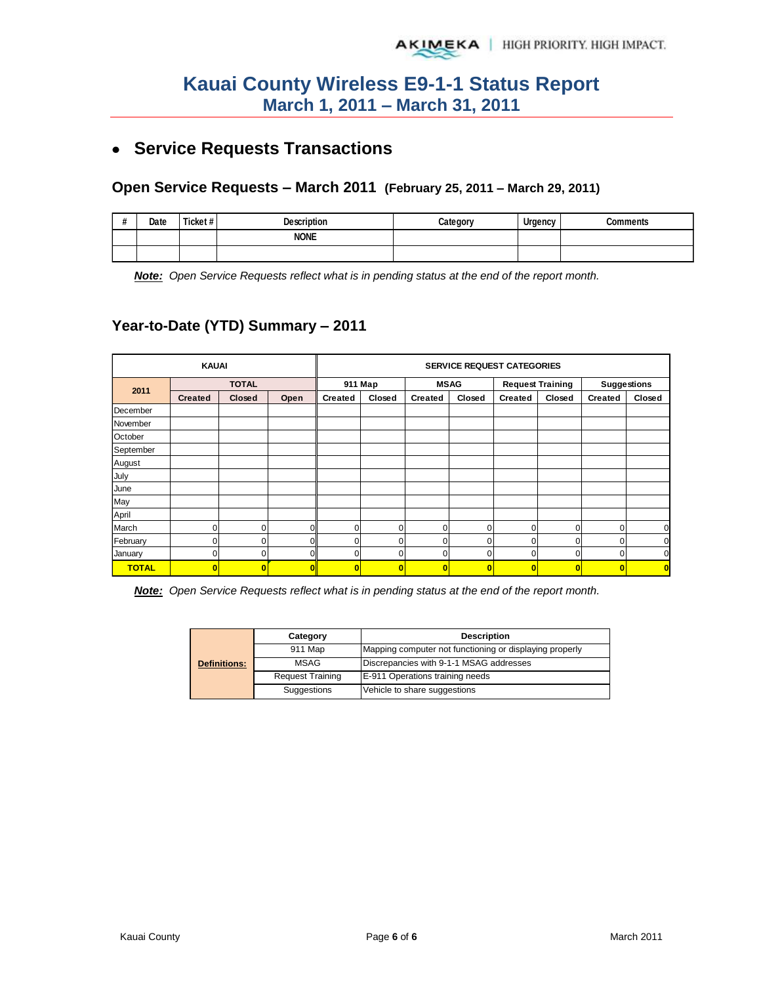# **Service Requests Transactions**

#### **Open Service Requests – March 2011 (February 25, 2011 – March 29, 2011)**

| $\boldsymbol{\#}$ | Date | Ticket# | <b>Description</b> | Category | Urgency | <b>Comments</b> |
|-------------------|------|---------|--------------------|----------|---------|-----------------|
|                   |      |         | <b>NONE</b>        |          |         |                 |
|                   |      |         |                    |          |         |                 |

*Note: Open Service Requests reflect what is in pending status at the end of the report month.*

### **Year-to-Date (YTD) Summary – 2011**

|              | <b>KAUAI</b>   |               |          |                | <b>SERVICE REQUEST CATEGORIES</b> |                         |                         |                |                         |                |                |  |  |
|--------------|----------------|---------------|----------|----------------|-----------------------------------|-------------------------|-------------------------|----------------|-------------------------|----------------|----------------|--|--|
|              |                | <b>TOTAL</b>  |          |                | 911 Map                           |                         | <b>MSAG</b>             |                | <b>Request Training</b> | Suggestions    |                |  |  |
| 2011         | <b>Created</b> | <b>Closed</b> | Open     | <b>Created</b> | Closed                            | Created                 | Closed                  | <b>Created</b> | Closed                  | <b>Created</b> | Closed         |  |  |
| December     |                |               |          |                |                                   |                         |                         |                |                         |                |                |  |  |
| November     |                |               |          |                |                                   |                         |                         |                |                         |                |                |  |  |
| October      |                |               |          |                |                                   |                         |                         |                |                         |                |                |  |  |
| September    |                |               |          |                |                                   |                         |                         |                |                         |                |                |  |  |
| August       |                |               |          |                |                                   |                         |                         |                |                         |                |                |  |  |
| July         |                |               |          |                |                                   |                         |                         |                |                         |                |                |  |  |
| June         |                |               |          |                |                                   |                         |                         |                |                         |                |                |  |  |
| May          |                |               |          |                |                                   |                         |                         |                |                         |                |                |  |  |
| April        |                |               |          |                |                                   |                         |                         |                |                         |                |                |  |  |
| March        |                | 0             | $\Omega$ | $\Omega$       | $\Omega$                          | $\Omega$                | 0                       | 0              | $\mathbf 0$             | $\Omega$       | 0              |  |  |
| February     |                |               |          | 0              | $\Omega$                          | 0                       | $\Omega$                |                | $\Omega$                | ŋ              | 0              |  |  |
| January      | ΩI             | 0             | O        | $\Omega$       | $\Omega$                          | 0                       | 0                       | 0              | $\Omega$                | $\Omega$       | 0              |  |  |
| <b>TOTAL</b> | $\mathbf{0}$   |               | 0        | $\mathbf{0}$   | 0                                 | $\overline{\mathbf{0}}$ | $\overline{\mathbf{0}}$ | 0              | $\bf{0}$                | 0              | $\overline{0}$ |  |  |

*Note: Open Service Requests reflect what is in pending status at the end of the report month.* 

|                     | Category                | <b>Description</b>                                      |  |  |  |  |
|---------------------|-------------------------|---------------------------------------------------------|--|--|--|--|
|                     | 911 Map                 | Mapping computer not functioning or displaying properly |  |  |  |  |
| <b>Definitions:</b> | MSAG                    | Discrepancies with 9-1-1 MSAG addresses                 |  |  |  |  |
|                     | <b>Request Training</b> | E-911 Operations training needs                         |  |  |  |  |
|                     | Suggestions             | Vehicle to share suggestions                            |  |  |  |  |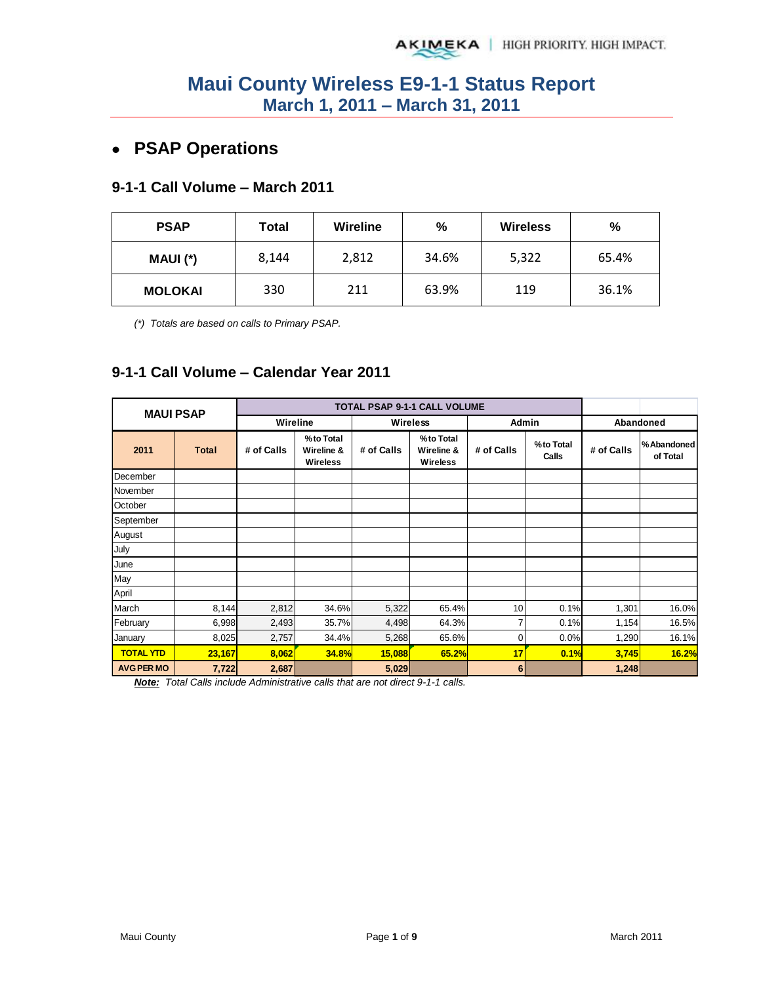# **PSAP Operations**

### **9-1-1 Call Volume – March 2011**

| <b>PSAP</b>    | Total | Wireline | %     | <b>Wireless</b> | %     |
|----------------|-------|----------|-------|-----------------|-------|
| MAUI (*)       | 8,144 | 2,812    | 34.6% | 5,322           | 65.4% |
| <b>MOLOKAI</b> | 330   | 211      | 63.9% | 119             | 36.1% |

*(\*) Totals are based on calls to Primary PSAP.* 

### **9-1-1 Call Volume – Calendar Year 2011**

| <b>MAUI PSAP</b>  |              |            |                                            |                 | <b>TOTAL PSAP 9-1-1 CALL VOLUME</b>        |                |                    |            |                        |
|-------------------|--------------|------------|--------------------------------------------|-----------------|--------------------------------------------|----------------|--------------------|------------|------------------------|
|                   |              | Wireline   |                                            | <b>Wireless</b> |                                            | Admin          |                    |            | Abandoned              |
| 2011              | <b>Total</b> | # of Calls | %to Total<br>Wireline &<br><b>Wireless</b> | # of Calls      | %to Total<br>Wireline &<br><b>Wireless</b> | # of Calls     | %to Total<br>Calls | # of Calls | %Abandoned<br>of Total |
| December          |              |            |                                            |                 |                                            |                |                    |            |                        |
| November          |              |            |                                            |                 |                                            |                |                    |            |                        |
| October           |              |            |                                            |                 |                                            |                |                    |            |                        |
| September         |              |            |                                            |                 |                                            |                |                    |            |                        |
| August            |              |            |                                            |                 |                                            |                |                    |            |                        |
| July              |              |            |                                            |                 |                                            |                |                    |            |                        |
| June              |              |            |                                            |                 |                                            |                |                    |            |                        |
| May               |              |            |                                            |                 |                                            |                |                    |            |                        |
| April             |              |            |                                            |                 |                                            |                |                    |            |                        |
| March             | 8,144        | 2,812      | 34.6%                                      | 5,322           | 65.4%                                      | 10             | 0.1%               | 1,301      | 16.0%                  |
| February          | 6,998        | 2,493      | 35.7%                                      | 4,498           | 64.3%                                      | 7              | 0.1%               | 1,154      | 16.5%                  |
| January           | 8,025        | 2,757      | 34.4%                                      | 5,268           | 65.6%                                      | $\overline{0}$ | 0.0%               | 1,290      | 16.1%                  |
| <b>TOTAL YTD</b>  | 23,167       | 8,062      | 34.8%                                      | 15,088          | 65.2%                                      | 17             | 0.1%               | 3,745      | 16.2%                  |
| <b>AVG PER MO</b> | 7,722        | 2,687      |                                            | 5,029           |                                            | 6              |                    | 1,248      |                        |

*Note: Total Calls include Administrative calls that are not direct 9-1-1 calls.*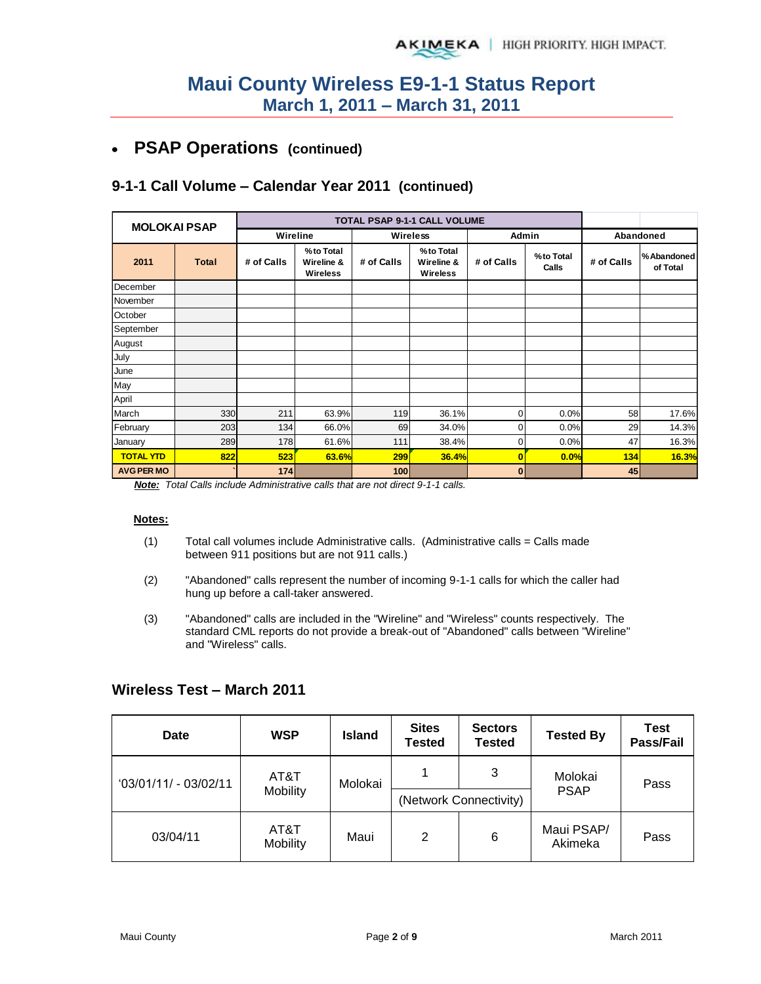#### **PSAP Operations (continued)**   $\bullet$

### **9-1-1 Call Volume – Calendar Year 2011 (continued)**

| <b>MOLOKAI PSAP</b> |              |            |                                            |            | TOTAL PSAP 9-1-1 CALL VOLUME               |              |                    |            |                        |
|---------------------|--------------|------------|--------------------------------------------|------------|--------------------------------------------|--------------|--------------------|------------|------------------------|
|                     |              | Wireline   |                                            | Wireless   |                                            | Admin        |                    |            | Abandoned              |
| 2011                | <b>Total</b> | # of Calls | %to Total<br>Wireline &<br><b>Wireless</b> | # of Calls | %to Total<br>Wireline &<br><b>Wireless</b> | # of Calls   | %to Total<br>Calls | # of Calls | %Abandoned<br>of Total |
| December            |              |            |                                            |            |                                            |              |                    |            |                        |
| November            |              |            |                                            |            |                                            |              |                    |            |                        |
| October             |              |            |                                            |            |                                            |              |                    |            |                        |
| September           |              |            |                                            |            |                                            |              |                    |            |                        |
| August              |              |            |                                            |            |                                            |              |                    |            |                        |
| July                |              |            |                                            |            |                                            |              |                    |            |                        |
| June                |              |            |                                            |            |                                            |              |                    |            |                        |
| May                 |              |            |                                            |            |                                            |              |                    |            |                        |
| April               |              |            |                                            |            |                                            |              |                    |            |                        |
| March               | 330          | 211        | 63.9%                                      | <b>119</b> | 36.1%                                      | $\Omega$     | 0.0%               | 58         | 17.6%                  |
| February            | 203          | 134        | 66.0%                                      | 69         | 34.0%                                      | 0            | 0.0%               | 29         | 14.3%                  |
| January             | 289          | 178        | 61.6%                                      | 111        | 38.4%                                      | 0            | 0.0%               | 47         | 16.3%                  |
| <b>TOTAL YTD</b>    | 822          | 523        | 63.6%                                      | 299        | <b>36.4%</b>                               | $\mathbf{0}$ | 0.0%               | 134        | 16.3%                  |
| <b>AVG PER MO</b>   |              | 174        |                                            | 100        |                                            | 0            |                    | 45         |                        |

*Note: Total Calls include Administrative calls that are not direct 9-1-1 calls.* 

#### **Notes:**

- $(1)$  Total call volumes include Administrative calls. (Administrative calls = Calls made between 911 positions but are not 911 calls.)
- (2) "Abandoned" calls represent the number of incoming 9-1-1 calls for which the caller had hung up before a call-taker answered.
- (3) "Abandoned" calls are included in the "Wireline" and "Wireless" counts respectively. The standard CML reports do not provide a break-out of "Abandoned" calls between "Wireline" and "Wireless" calls.

#### **Wireless Test – March 2011**

| <b>Date</b>                  | <b>WSP</b> | Island  | <b>Sites</b><br><b>Sectors</b><br>Tested<br><b>Tested</b> |                        | <b>Tested By</b>       | <b>Test</b><br>Pass/Fail |  |
|------------------------------|------------|---------|-----------------------------------------------------------|------------------------|------------------------|--------------------------|--|
| $03/01/11/ - 03/02/11$       | AT&T       | Molokai |                                                           | 3                      | Molokai<br><b>PSAP</b> | Pass                     |  |
|                              | Mobility   |         |                                                           | (Network Connectivity) |                        |                          |  |
| AT&T<br>03/04/11<br>Mobility |            | Maui    | 2                                                         | 6                      | Maui PSAP/<br>Akimeka  | Pass                     |  |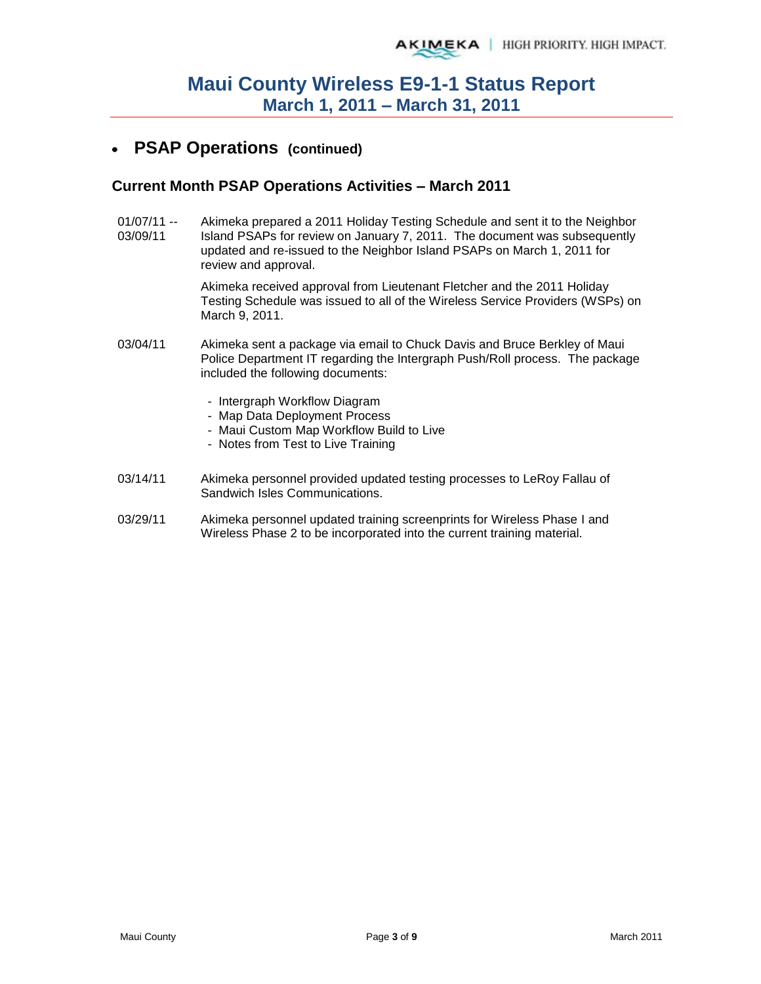#### **PSAP Operations (continued)**   $\bullet$

#### **Current Month PSAP Operations Activities – March 2011**

01/07/11 -- 03/09/11 Akimeka prepared a 2011 Holiday Testing Schedule and sent it to the Neighbor Island PSAPs for review on January 7, 2011. The document was subsequently updated and re-issued to the Neighbor Island PSAPs on March 1, 2011 for review and approval.

> Akimeka received approval from Lieutenant Fletcher and the 2011 Holiday Testing Schedule was issued to all of the Wireless Service Providers (WSPs) on March 9, 2011.

- 03/04/11 Akimeka sent a package via email to Chuck Davis and Bruce Berkley of Maui Police Department IT regarding the Intergraph Push/Roll process. The package included the following documents:
	- Intergraph Workflow Diagram
	- Map Data Deployment Process
	- Maui Custom Map Workflow Build to Live
	- Notes from Test to Live Training
- 03/14/11 Akimeka personnel provided updated testing processes to LeRoy Fallau of Sandwich Isles Communications.
- 03/29/11 Akimeka personnel updated training screenprints for Wireless Phase I and Wireless Phase 2 to be incorporated into the current training material.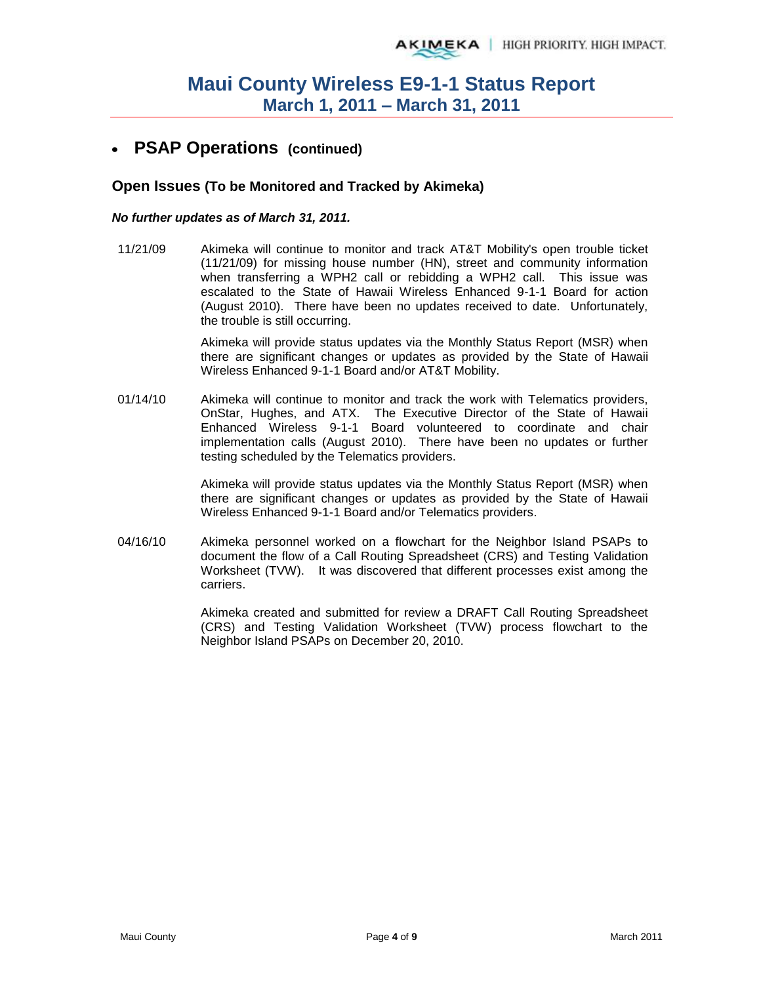## **PSAP Operations (continued)**

#### **Open Issues (To be Monitored and Tracked by Akimeka)**

#### *No further updates as of March 31, 2011.*

11/21/09 Akimeka will continue to monitor and track AT&T Mobility's open trouble ticket (11/21/09) for missing house number (HN), street and community information when transferring a WPH2 call or rebidding a WPH2 call. This issue was escalated to the State of Hawaii Wireless Enhanced 9-1-1 Board for action (August 2010). There have been no updates received to date. Unfortunately, the trouble is still occurring.

> Akimeka will provide status updates via the Monthly Status Report (MSR) when there are significant changes or updates as provided by the State of Hawaii Wireless Enhanced 9-1-1 Board and/or AT&T Mobility.

01/14/10 Akimeka will continue to monitor and track the work with Telematics providers, OnStar, Hughes, and ATX. The Executive Director of the State of Hawaii Enhanced Wireless 9-1-1 Board volunteered to coordinate and chair implementation calls (August 2010). There have been no updates or further testing scheduled by the Telematics providers.

> Akimeka will provide status updates via the Monthly Status Report (MSR) when there are significant changes or updates as provided by the State of Hawaii Wireless Enhanced 9-1-1 Board and/or Telematics providers.

04/16/10 Akimeka personnel worked on a flowchart for the Neighbor Island PSAPs to document the flow of a Call Routing Spreadsheet (CRS) and Testing Validation Worksheet (TVW). It was discovered that different processes exist among the carriers.

> Akimeka created and submitted for review a DRAFT Call Routing Spreadsheet (CRS) and Testing Validation Worksheet (TVW) process flowchart to the Neighbor Island PSAPs on December 20, 2010.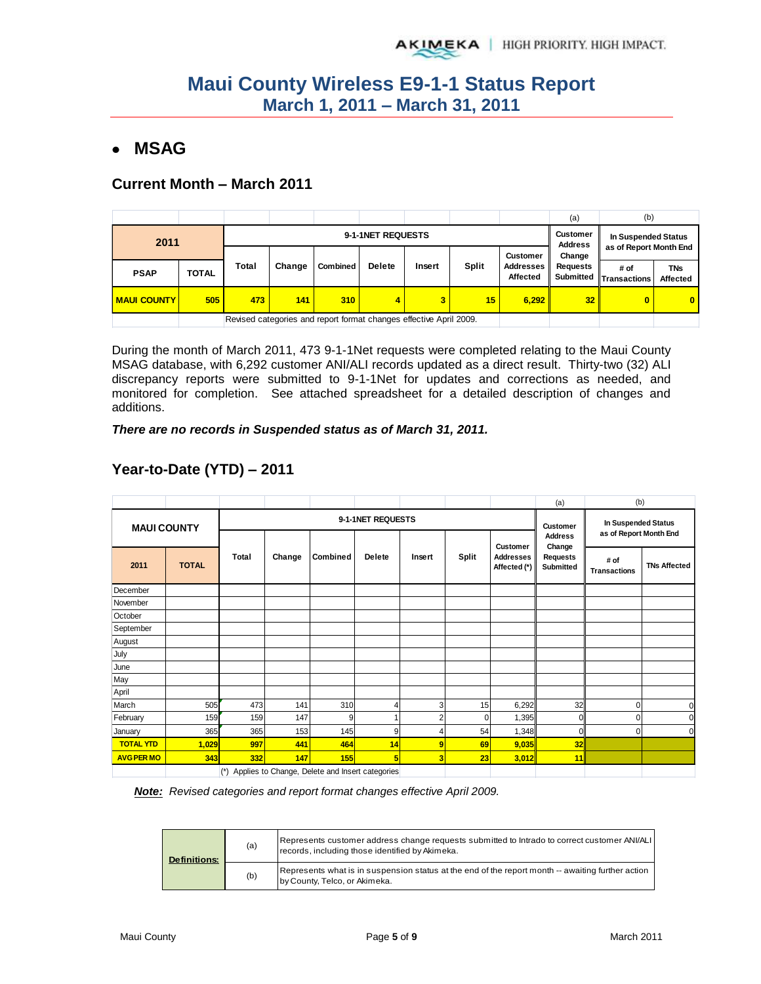# **MSAG**

### **Current Month – March 2011**

|                           |              |       |        |                                                                    |               |        |       |                                     | (a)                                           | (b)                            |                               |
|---------------------------|--------------|-------|--------|--------------------------------------------------------------------|---------------|--------|-------|-------------------------------------|-----------------------------------------------|--------------------------------|-------------------------------|
| 9-1-1NET REQUESTS<br>2011 |              |       |        |                                                                    |               |        |       | Customer<br><b>Address</b>          | In Suspended Status<br>as of Report Month End |                                |                               |
|                           |              |       |        |                                                                    |               |        |       | <b>Customer</b>                     | Change                                        |                                |                               |
| <b>PSAP</b>               | <b>TOTAL</b> | Total | Change | <b>Combined</b>                                                    | <b>Delete</b> | Insert | Split | <b>Addresses</b><br><b>Affected</b> | <b>Requests</b>                               | # of<br>Submitted Transactions | <b>TNs</b><br><b>Affected</b> |
| <b>MAUI COUNTY</b>        | 505          | 473   | 141    | 310                                                                | 4             | 3      | 15    | 6,292                               | 32 <sub>1</sub>                               |                                | $\mathbf{0}$                  |
|                           |              |       |        | Revised categories and report format changes effective April 2009. |               |        |       |                                     |                                               |                                |                               |

During the month of March 2011, 473 9-1-1Net requests were completed relating to the Maui County MSAG database, with 6,292 customer ANI/ALI records updated as a direct result. Thirty-two (32) ALI discrepancy reports were submitted to 9-1-1Net for updates and corrections as needed, and monitored for completion. See attached spreadsheet for a detailed description of changes and additions.

*There are no records in Suspended status as of March 31, 2011.* 

|                    |              |       |                                                 |          |                   |        |       |                                                     | (a)                               | (b)                                           |                     |
|--------------------|--------------|-------|-------------------------------------------------|----------|-------------------|--------|-------|-----------------------------------------------------|-----------------------------------|-----------------------------------------------|---------------------|
| <b>MAUI COUNTY</b> |              |       |                                                 |          | 9-1-1NET REQUESTS |        |       |                                                     | <b>Customer</b><br><b>Address</b> | In Suspended Status<br>as of Report Month End |                     |
| 2011               | <b>TOTAL</b> | Total | Change                                          | Combined | <b>Delete</b>     | Insert | Split | <b>Customer</b><br><b>Addresses</b><br>Affected (*) | Change<br>Requests<br>Submitted   | # of<br><b>Transactions</b>                   | <b>TNs Affected</b> |
| December           |              |       |                                                 |          |                   |        |       |                                                     |                                   |                                               |                     |
| November           |              |       |                                                 |          |                   |        |       |                                                     |                                   |                                               |                     |
| October            |              |       |                                                 |          |                   |        |       |                                                     |                                   |                                               |                     |
| September          |              |       |                                                 |          |                   |        |       |                                                     |                                   |                                               |                     |
| August             |              |       |                                                 |          |                   |        |       |                                                     |                                   |                                               |                     |
| July               |              |       |                                                 |          |                   |        |       |                                                     |                                   |                                               |                     |
| June               |              |       |                                                 |          |                   |        |       |                                                     |                                   |                                               |                     |
| May                |              |       |                                                 |          |                   |        |       |                                                     |                                   |                                               |                     |
| April              |              |       |                                                 |          |                   |        |       |                                                     |                                   |                                               |                     |
| March              | 505          | 473   | 141                                             | 310      | 4                 | 3      | 15    | 6,292                                               | 32                                | $\overline{0}$                                | $\Omega$            |
| February           | 159          | 159   | 147                                             | 9        |                   | r      | 0     | 1,395                                               | $\Omega$                          | 0                                             | r                   |
| January            | 365          | 365   | 153                                             | 145      | 9                 | 4      | 54    | 1,348                                               | $\Omega$                          | 0                                             | $\Omega$            |
| <b>TOTAL YTD</b>   | 1,029        | 997   | 441                                             | 464      | 14                | 9      | 69    | 9,035                                               | 32                                |                                               |                     |
| <b>AVG PER MO</b>  | 343          | 332   | 147                                             | 155      | 5                 | 3      | 23    | 3,012                                               | 11                                |                                               |                     |
|                    |              | $(*)$ | Applies to Change, Delete and Insert categories |          |                   |        |       |                                                     |                                   |                                               |                     |

# **Year-to-Date (YTD) – 2011**

*Note: Revised categories and report format changes effective April 2009.* 

| <b>Definitions:</b> | (a) | Represents customer address change requests submitted to Intrado to correct customer ANI/ALI<br>records, including those identified by Akimeka. |
|---------------------|-----|-------------------------------------------------------------------------------------------------------------------------------------------------|
|                     | (b) | Represents what is in suspension status at the end of the report month -- awaiting further action<br>by County, Telco, or Akimeka.              |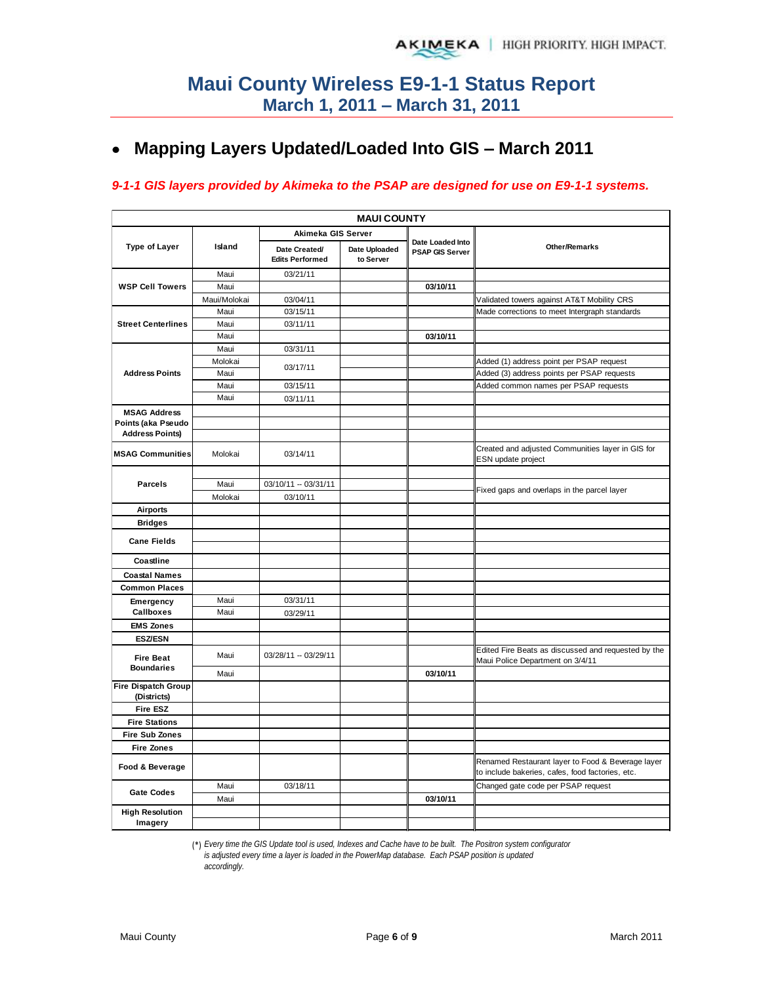# **Mapping Layers Updated/Loaded Into GIS – March 2011**

#### *9-1-1 GIS layers provided by Akimeka to the PSAP are designed for use on E9-1-1 systems.*

|                                           |              |                                         | <b>MAUI COUNTY</b>         |                                            |                                                                                                       |
|-------------------------------------------|--------------|-----------------------------------------|----------------------------|--------------------------------------------|-------------------------------------------------------------------------------------------------------|
|                                           |              | Akimeka GIS Server                      |                            |                                            |                                                                                                       |
| <b>Type of Layer</b>                      | Island       | Date Created/<br><b>Edits Performed</b> | Date Uploaded<br>to Server | Date Loaded Into<br><b>PSAP GIS Server</b> | Other/Remarks                                                                                         |
|                                           | Maui         | 03/21/11                                |                            |                                            |                                                                                                       |
| <b>WSP Cell Towers</b>                    | Maui         |                                         |                            | 03/10/11                                   |                                                                                                       |
|                                           | Maui/Molokai | 03/04/11                                |                            |                                            | Validated towers against AT&T Mobility CRS                                                            |
|                                           | Maui         | 03/15/11                                |                            |                                            | Made corrections to meet Intergraph standards                                                         |
| <b>Street Centerlines</b>                 | Maui         | 03/11/11                                |                            |                                            |                                                                                                       |
|                                           | Maui         |                                         |                            | 03/10/11                                   |                                                                                                       |
|                                           | Maui         | 03/31/11                                |                            |                                            |                                                                                                       |
|                                           | Molokai      | 03/17/11                                |                            |                                            | Added (1) address point per PSAP request                                                              |
| <b>Address Points</b>                     | Maui         |                                         |                            |                                            | Added (3) address points per PSAP requests                                                            |
|                                           | Maui         | 03/15/11                                |                            |                                            | Added common names per PSAP requests                                                                  |
|                                           | Maui         | 03/11/11                                |                            |                                            |                                                                                                       |
| <b>MSAG Address</b>                       |              |                                         |                            |                                            |                                                                                                       |
| Points (aka Pseudo                        |              |                                         |                            |                                            |                                                                                                       |
| <b>Address Points)</b>                    |              |                                         |                            |                                            |                                                                                                       |
| <b>MSAG Communities</b>                   | Molokai      | 03/14/11                                |                            |                                            | Created and adjusted Communities layer in GIS for<br>ESN update project                               |
|                                           |              |                                         |                            |                                            |                                                                                                       |
| <b>Parcels</b>                            | Maui         | 03/10/11 -- 03/31/11                    |                            |                                            | Fixed gaps and overlaps in the parcel layer                                                           |
|                                           | Molokai      | 03/10/11                                |                            |                                            |                                                                                                       |
| <b>Airports</b>                           |              |                                         |                            |                                            |                                                                                                       |
| <b>Bridges</b>                            |              |                                         |                            |                                            |                                                                                                       |
| <b>Cane Fields</b>                        |              |                                         |                            |                                            |                                                                                                       |
| Coastline                                 |              |                                         |                            |                                            |                                                                                                       |
| <b>Coastal Names</b>                      |              |                                         |                            |                                            |                                                                                                       |
| <b>Common Places</b>                      |              |                                         |                            |                                            |                                                                                                       |
| Emergency                                 | Maui         | 03/31/11                                |                            |                                            |                                                                                                       |
| Callboxes                                 | Maui         | 03/29/11                                |                            |                                            |                                                                                                       |
| <b>EMS Zones</b>                          |              |                                         |                            |                                            |                                                                                                       |
| <b>ESZ/ESN</b>                            |              |                                         |                            |                                            |                                                                                                       |
| <b>Fire Beat</b>                          | Maui         | 03/28/11 -- 03/29/11                    |                            |                                            | Edited Fire Beats as discussed and requested by the<br>Maui Police Department on 3/4/11               |
| <b>Boundaries</b>                         | Maui         |                                         |                            | 03/10/11                                   |                                                                                                       |
| <b>Fire Dispatch Group</b><br>(Districts) |              |                                         |                            |                                            |                                                                                                       |
| <b>Fire ESZ</b>                           |              |                                         |                            |                                            |                                                                                                       |
| <b>Fire Stations</b>                      |              |                                         |                            |                                            |                                                                                                       |
| <b>Fire Sub Zones</b>                     |              |                                         |                            |                                            |                                                                                                       |
| <b>Fire Zones</b>                         |              |                                         |                            |                                            |                                                                                                       |
| Food & Beverage                           |              |                                         |                            |                                            | Renamed Restaurant layer to Food & Beverage layer<br>to include bakeries, cafes, food factories, etc. |
|                                           | Maui         | 03/18/11                                |                            |                                            | Changed gate code per PSAP request                                                                    |
| <b>Gate Codes</b>                         | Maui         |                                         |                            | 03/10/11                                   |                                                                                                       |
| <b>High Resolution</b><br>Imagery         |              |                                         |                            |                                            |                                                                                                       |

(\*) *Every time the GIS Update tool is used, Indexes and Cache have to be built. The Positron system configurator* 

*is adjusted every time a layer is loaded in the PowerMap database. Each PSAP position is updated accordingly.*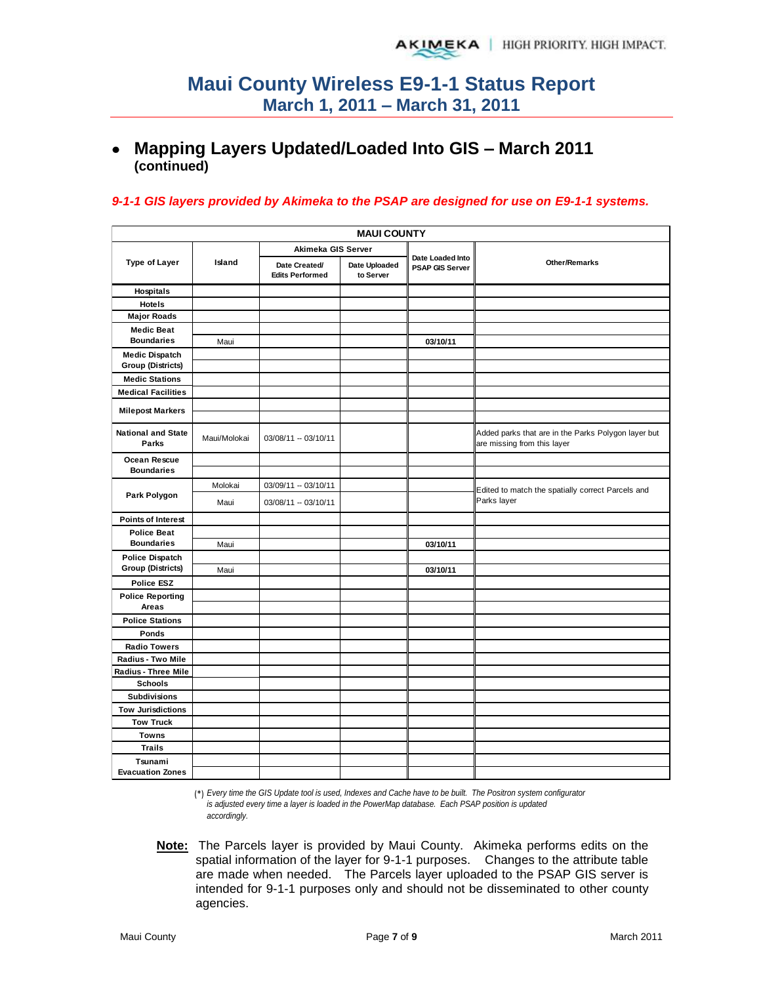# **Mapping Layers Updated/Loaded Into GIS – March 2011 (continued)**

#### *9-1-1 GIS layers provided by Akimeka to the PSAP are designed for use on E9-1-1 systems.*

|                                    | <b>MAUI COUNTY</b> |                                         |                            |                                            |                                                                                    |  |  |  |  |  |
|------------------------------------|--------------------|-----------------------------------------|----------------------------|--------------------------------------------|------------------------------------------------------------------------------------|--|--|--|--|--|
|                                    |                    | Akimeka GIS Server                      |                            |                                            |                                                                                    |  |  |  |  |  |
| <b>Type of Layer</b>               | Island             | Date Created/<br><b>Edits Performed</b> | Date Uploaded<br>to Server | Date Loaded Into<br><b>PSAP GIS Server</b> | <b>Other/Remarks</b>                                                               |  |  |  |  |  |
| Hospitals                          |                    |                                         |                            |                                            |                                                                                    |  |  |  |  |  |
| <b>Hotels</b>                      |                    |                                         |                            |                                            |                                                                                    |  |  |  |  |  |
| <b>Major Roads</b>                 |                    |                                         |                            |                                            |                                                                                    |  |  |  |  |  |
| <b>Medic Beat</b>                  |                    |                                         |                            |                                            |                                                                                    |  |  |  |  |  |
| <b>Boundaries</b>                  | Maui               |                                         |                            | 03/10/11                                   |                                                                                    |  |  |  |  |  |
| <b>Medic Dispatch</b>              |                    |                                         |                            |                                            |                                                                                    |  |  |  |  |  |
| <b>Group (Districts)</b>           |                    |                                         |                            |                                            |                                                                                    |  |  |  |  |  |
| <b>Medic Stations</b>              |                    |                                         |                            |                                            |                                                                                    |  |  |  |  |  |
| <b>Medical Facilities</b>          |                    |                                         |                            |                                            |                                                                                    |  |  |  |  |  |
| <b>Milepost Markers</b>            |                    |                                         |                            |                                            |                                                                                    |  |  |  |  |  |
|                                    |                    |                                         |                            |                                            |                                                                                    |  |  |  |  |  |
| <b>National and State</b><br>Parks | Maui/Molokai       | 03/08/11 -- 03/10/11                    |                            |                                            | Added parks that are in the Parks Polygon layer but<br>are missing from this layer |  |  |  |  |  |
| Ocean Rescue                       |                    |                                         |                            |                                            |                                                                                    |  |  |  |  |  |
| <b>Boundaries</b>                  |                    |                                         |                            |                                            |                                                                                    |  |  |  |  |  |
|                                    | Molokai            | 03/09/11 -- 03/10/11                    |                            |                                            | Edited to match the spatially correct Parcels and                                  |  |  |  |  |  |
| Park Polygon                       | Maui               | 03/08/11 -- 03/10/11                    |                            |                                            | Parks layer                                                                        |  |  |  |  |  |
| <b>Points of Interest</b>          |                    |                                         |                            |                                            |                                                                                    |  |  |  |  |  |
| <b>Police Beat</b>                 |                    |                                         |                            |                                            |                                                                                    |  |  |  |  |  |
| <b>Boundaries</b>                  | Maui               |                                         |                            | 03/10/11                                   |                                                                                    |  |  |  |  |  |
| <b>Police Dispatch</b>             |                    |                                         |                            |                                            |                                                                                    |  |  |  |  |  |
| <b>Group (Districts)</b>           | Maui               |                                         |                            | 03/10/11                                   |                                                                                    |  |  |  |  |  |
| <b>Police ESZ</b>                  |                    |                                         |                            |                                            |                                                                                    |  |  |  |  |  |
| <b>Police Reporting</b>            |                    |                                         |                            |                                            |                                                                                    |  |  |  |  |  |
| Areas                              |                    |                                         |                            |                                            |                                                                                    |  |  |  |  |  |
| <b>Police Stations</b>             |                    |                                         |                            |                                            |                                                                                    |  |  |  |  |  |
| Ponds                              |                    |                                         |                            |                                            |                                                                                    |  |  |  |  |  |
| <b>Radio Towers</b>                |                    |                                         |                            |                                            |                                                                                    |  |  |  |  |  |
| Radius - Two Mile                  |                    |                                         |                            |                                            |                                                                                    |  |  |  |  |  |
| Radius - Three Mile                |                    |                                         |                            |                                            |                                                                                    |  |  |  |  |  |
| <b>Schools</b>                     |                    |                                         |                            |                                            |                                                                                    |  |  |  |  |  |
| <b>Subdivisions</b>                |                    |                                         |                            |                                            |                                                                                    |  |  |  |  |  |
| <b>Tow Jurisdictions</b>           |                    |                                         |                            |                                            |                                                                                    |  |  |  |  |  |
| <b>Tow Truck</b>                   |                    |                                         |                            |                                            |                                                                                    |  |  |  |  |  |
| <b>Towns</b>                       |                    |                                         |                            |                                            |                                                                                    |  |  |  |  |  |
| <b>Trails</b>                      |                    |                                         |                            |                                            |                                                                                    |  |  |  |  |  |
| Tsunami                            |                    |                                         |                            |                                            |                                                                                    |  |  |  |  |  |
| <b>Evacuation Zones</b>            |                    |                                         |                            |                                            |                                                                                    |  |  |  |  |  |

(\*) *Every time the GIS Update tool is used, Indexes and Cache have to be built. The Positron system configurator is adjusted every time a layer is loaded in the PowerMap database. Each PSAP position is updated accordingly.*

**Note:** The Parcels layer is provided by Maui County. Akimeka performs edits on the spatial information of the layer for 9-1-1 purposes. Changes to the attribute table are made when needed. The Parcels layer uploaded to the PSAP GIS server is intended for 9-1-1 purposes only and should not be disseminated to other county agencies.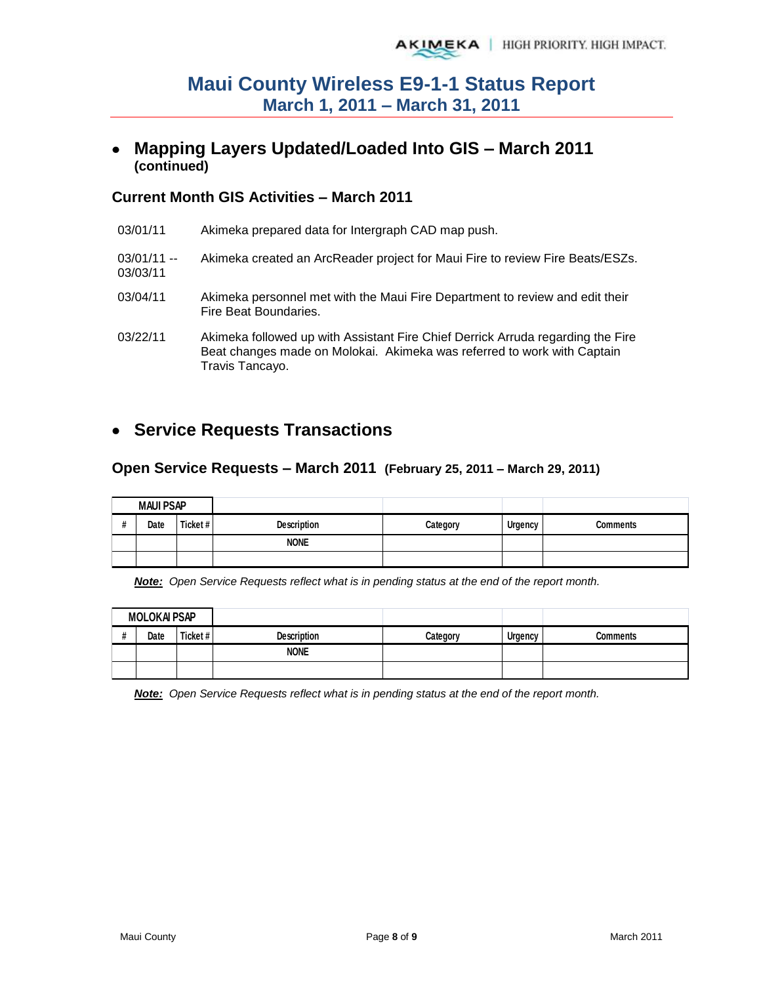## **Mapping Layers Updated/Loaded Into GIS – March 2011 (continued)**

### **Current Month GIS Activities – March 2011**

| 03/01/11                 | Akimeka prepared data for Intergraph CAD map push.                                                                                                                            |
|--------------------------|-------------------------------------------------------------------------------------------------------------------------------------------------------------------------------|
| $03/01/11 -$<br>03/03/11 | Akimeka created an ArcReader project for Maui Fire to review Fire Beats/ESZs.                                                                                                 |
| 03/04/11                 | Akimeka personnel met with the Maui Fire Department to review and edit their<br>Fire Beat Boundaries.                                                                         |
| 03/22/11                 | Akimeka followed up with Assistant Fire Chief Derrick Arruda regarding the Fire<br>Beat changes made on Molokai. Akimeka was referred to work with Captain<br>Travis Tancayo. |

# **Service Requests Transactions**

#### **Open Service Requests – March 2011 (February 25, 2011 – March 29, 2011)**

| <b>MAUI PSAP</b> |      |         |             |          |         |          |
|------------------|------|---------|-------------|----------|---------|----------|
|                  | Date | Ticket# | Description | Category | Urgency | Comments |
|                  |      |         | <b>NONE</b> |          |         |          |
|                  |      |         |             |          |         |          |

*Note: Open Service Requests reflect what is in pending status at the end of the report month.* 

|      | <b>MOLOKAI PSAP</b> |                    |          |                |          |
|------|---------------------|--------------------|----------|----------------|----------|
| Date | Ticket#             | <b>Description</b> | Category | <b>Urgency</b> | Comments |
|      |                     | <b>NONE</b>        |          |                |          |
|      |                     |                    |          |                |          |

*Note: Open Service Requests reflect what is in pending status at the end of the report month.*